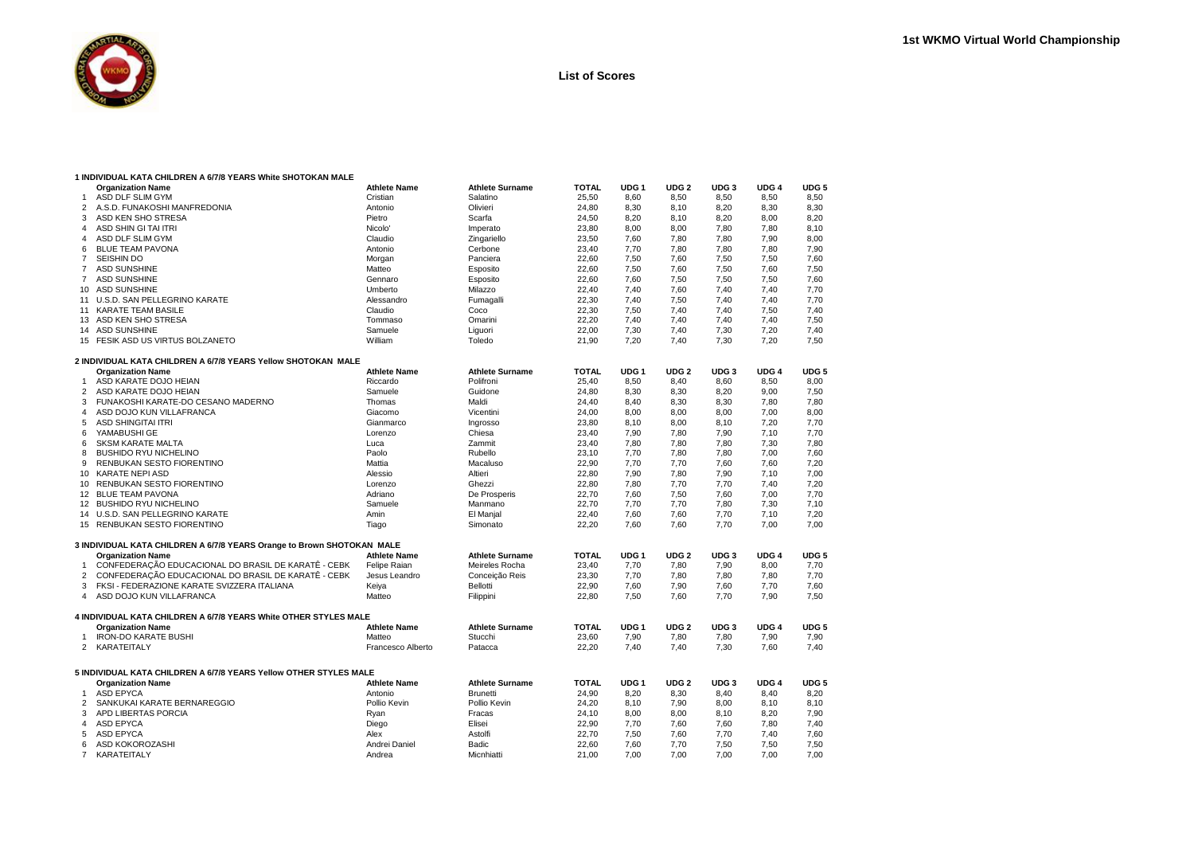

# **1 INDIVIDUAL KATA CHILDREN A 6/7/8 YEARS White SHOTOKAN MALE**

|                | <b>Organization Name</b>                                               | <b>Athlete Name</b> | <b>Athlete Surname</b> | <b>TOTAL</b> | UDG 1            | UDG <sub>2</sub> | UDG <sub>3</sub> | UDG <sub>4</sub> | UDG 5            |
|----------------|------------------------------------------------------------------------|---------------------|------------------------|--------------|------------------|------------------|------------------|------------------|------------------|
|                | ASD DLF SLIM GYM                                                       | Cristian            | Salatino               | 25,50        | 8,60             | 8,50             | 8,50             | 8,50             | 8,50             |
| 2              | A.S.D. FUNAKOSHI MANFREDONIA                                           | Antonio             | Olivieri               | 24,80        | 8,30             | 8,10             | 8,20             | 8,30             | 8,30             |
| 3              | ASD KEN SHO STRESA                                                     | Pietro              | Scarfa                 | 24,50        | 8,20             | 8,10             | 8,20             | 8.00             | 8,20             |
| 4              | ASD SHIN GI TAI ITRI                                                   | Nicolo'             | Imperato               | 23,80        | 8,00             | 8,00             | 7,80             | 7,80             | 8,10             |
|                | ASD DLF SLIM GYM                                                       | Claudio             | Zingariello            | 23,50        | 7,60             | 7,80             | 7,80             | 7,90             | 8,00             |
| 6              | <b>BLUE TEAM PAVONA</b>                                                | Antonio             | Cerbone                | 23,40        | 7,70             | 7,80             | 7,80             | 7,80             | 7,90             |
| $\overline{7}$ | <b>SEISHIN DO</b>                                                      | Morgan              | Panciera               | 22,60        | 7,50             | 7,60             | 7,50             | 7,50             | 7,60             |
| $\overline{7}$ | <b>ASD SUNSHINE</b>                                                    | Matteo              | Esposito               | 22,60        | 7,50             | 7,60             | 7,50             | 7,60             | 7,50             |
| $\overline{7}$ | <b>ASD SUNSHINE</b>                                                    | Gennaro             | Esposito               | 22,60        | 7,60             | 7,50             | 7,50             | 7,50             | 7,60             |
|                | 10 ASD SUNSHINE                                                        | Umberto             | Milazzo                | 22,40        | 7,40             | 7,60             | 7,40             | 7,40             | 7,70             |
|                | 11 U.S.D. SAN PELLEGRINO KARATE                                        | Alessandro          | Fumagalli              | 22,30        | 7,40             | 7,50             | 7,40             | 7,40             | 7,70             |
|                | 11 KARATE TEAM BASILE                                                  | Claudio             | Coco                   | 22,30        | 7,50             | 7,40             | 7,40             | 7,50             | 7,40             |
|                |                                                                        | Tommaso             |                        |              |                  |                  |                  |                  |                  |
|                | 13 ASD KEN SHO STRESA                                                  |                     | Omarini                | 22,20        | 7,40             | 7,40             | 7,40             | 7,40             | 7,50             |
|                | 14 ASD SUNSHINE                                                        | Samuele             | Liguori                | 22,00        | 7,30             | 7,40             | 7,30             | 7,20             | 7.40             |
|                | 15 FESIK ASD US VIRTUS BOLZANETO                                       | William             | Toledo                 | 21,90        | 7.20             | 7.40             | 7,30             | 7.20             | 7.50             |
|                | 2 INDIVIDUAL KATA CHILDREN A 6/7/8 YEARS Yellow SHOTOKAN MALE          |                     |                        |              |                  |                  |                  |                  |                  |
|                | <b>Organization Name</b>                                               | <b>Athlete Name</b> | <b>Athlete Surname</b> | <b>TOTAL</b> | UDG <sub>1</sub> | UDG <sub>2</sub> | UDG <sub>3</sub> | UDG <sub>4</sub> | UDG <sub>5</sub> |
|                | ASD KARATE DOJO HEIAN                                                  | Riccardo            | Polifroni              | 25,40        | 8,50             | 8,40             | 8,60             | 8,50             | 8,00             |
| 2              | ASD KARATE DOJO HEIAN                                                  | Samuele             | Guidone                | 24,80        | 8,30             | 8,30             | 8,20             | 9,00             | 7,50             |
| 3              | FUNAKOSHI KARATE-DO CESANO MADERNO                                     | Thomas              | Maldi                  | 24,40        | 8,40             | 8,30             | 8,30             | 7,80             | 7,80             |
| 4              | ASD DOJO KUN VILLAFRANCA                                               | Giacomo             | Vicentini              | 24,00        | 8,00             | 8,00             | 8,00             | 7.00             | 8,00             |
| 5              | <b>ASD SHINGITAI ITRI</b>                                              | Gianmarco           | Ingrosso               | 23,80        | 8,10             | 8,00             | 8,10             | 7,20             | 7,70             |
| 6              | YAMABUSHI GE                                                           | Lorenzo             | Chiesa                 | 23,40        | 7,90             | 7,80             | 7,90             | 7,10             | 7,70             |
| 6              | <b>SKSM KARATE MALTA</b>                                               | Luca                | Zammit                 | 23,40        | 7,80             | 7,80             | 7,80             | 7,30             | 7,80             |
| 8              | <b>BUSHIDO RYU NICHELINO</b>                                           | Paolo               | Rubello                | 23,10        | 7,70             | 7,80             | 7,80             | 7,00             | 7,60             |
| 9              | RENBUKAN SESTO FIORENTINO                                              | Mattia              | Macaluso               | 22,90        | 7,70             | 7,70             | 7,60             | 7,60             | 7,20             |
| 10             | <b>KARATE NEPI ASD</b>                                                 | Alessio             | Altieri                | 22,80        | 7,90             | 7,80             | 7,90             | 7.10             | 7,00             |
|                |                                                                        |                     |                        |              |                  |                  |                  |                  |                  |
|                | 10 RENBUKAN SESTO FIORENTINO                                           | Lorenzo             | Ghezzi                 | 22,80        | 7,80             | 7,70             | 7,70             | 7,40             | 7,20             |
|                | 12 BLUE TEAM PAVONA                                                    | Adriano             | De Prosperis           | 22,70        | 7,60             | 7,50             | 7,60             | 7,00             | 7,70             |
|                | 12 BUSHIDO RYU NICHELINO                                               | Samuele             | Manmano                | 22,70        | 7,70             | 7,70             | 7,80             | 7,30             | 7,10             |
|                | 14 U.S.D. SAN PELLEGRINO KARATE                                        | Amin                | El Manjal              | 22,40        | 7,60             | 7,60             | 7,70             | 7,10             | 7,20             |
|                | 15 RENBUKAN SESTO FIORENTINO                                           | Tiago               | Simonato               | 22,20        | 7,60             | 7,60             | 7,70             | 7,00             | 7.00             |
|                | 3 INDIVIDUAL KATA CHILDREN A 6/7/8 YEARS Orange to Brown SHOTOKAN MALE |                     |                        |              |                  |                  |                  |                  |                  |
|                | <b>Organization Name</b>                                               | <b>Athlete Name</b> | <b>Athlete Surname</b> | <b>TOTAL</b> | UDG <sub>1</sub> | UDG <sub>2</sub> | UDG <sub>3</sub> | UDG <sub>4</sub> | UDG <sub>5</sub> |
|                | CONFEDERAÇÃO EDUCACIONAL DO BRASIL DE KARATÊ - CEBK                    | Felipe Raian        | Meireles Rocha         | 23,40        | 7,70             | 7,80             | 7,90             | 8,00             | 7,70             |
| 2              | CONFEDERAÇÃO EDUCACIONAL DO BRASIL DE KARATÊ - CEBK                    | Jesus Leandro       | Conceição Reis         | 23,30        | 7,70             | 7,80             | 7,80             | 7,80             | 7,70             |
| 3              | FKSI - FEDERAZIONE KARATE SVIZZERA ITALIANA                            | Keiya               | <b>Bellotti</b>        | 22,90        | 7,60             | 7,90             | 7,60             | 7,70             | 7,60             |
| $\overline{4}$ | ASD DOJO KUN VILLAFRANCA                                               | Matteo              | Filippini              | 22,80        | 7,50             | 7.60             | 7,70             | 7.90             | 7.50             |
|                |                                                                        |                     |                        |              |                  |                  |                  |                  |                  |
|                | 4 INDIVIDUAL KATA CHILDREN A 6/7/8 YEARS White OTHER STYLES MALE       |                     |                        |              |                  |                  |                  |                  |                  |
|                | <b>Organization Name</b>                                               | <b>Athlete Name</b> | <b>Athlete Surname</b> | <b>TOTAL</b> | UDG <sub>1</sub> | UDG <sub>2</sub> | UDG <sub>3</sub> | UDG <sub>4</sub> | UDG <sub>5</sub> |
| 1              | <b>IRON-DO KARATE BUSHI</b>                                            | Matteo              | Stucchi                | 23,60        | 7,90             | 7,80             | 7,80             | 7,90             | 7,90             |
| $\overline{2}$ | KARATEITALY                                                            | Francesco Alberto   | Patacca                | 22,20        | 7,40             | 7,40             | 7,30             | 7,60             | 7,40             |
|                |                                                                        |                     |                        |              |                  |                  |                  |                  |                  |
|                | 5 INDIVIDUAL KATA CHILDREN A 6/7/8 YEARS Yellow OTHER STYLES MALE      |                     |                        |              |                  |                  |                  |                  |                  |
|                | <b>Organization Name</b>                                               | <b>Athlete Name</b> | <b>Athlete Surname</b> | <b>TOTAL</b> | UDG <sub>1</sub> | UDG <sub>2</sub> | UDG <sub>3</sub> | UDG <sub>4</sub> | UDG <sub>5</sub> |
|                | <b>ASD EPYCA</b>                                                       | Antonio             | <b>Brunetti</b>        | 24,90        | 8,20             | 8,30             | 8,40             | 8,40             | 8,20             |
| $\overline{2}$ | SANKUKAI KARATE BERNAREGGIO                                            | Pollio Kevin        | Pollio Kevin           | 24,20        | 8,10             | 7,90             | 8,00             | 8.10             | 8,10             |
| 3              | APD LIBERTAS PORCIA                                                    | Ryan                | Fracas                 | 24,10        | 8,00             | 8,00             | 8,10             | 8,20             | 7,90             |
| 4              | <b>ASD EPYCA</b>                                                       | Diego               | Elisei                 | 22,90        | 7,70             | 7,60             | 7,60             | 7.80             | 7.40             |
| 5              | <b>ASD EPYCA</b>                                                       | Alex                | Astolfi                | 22,70        | 7,50             | 7,60             | 7,70             | 7,40             | 7,60             |
| 6              | ASD KOKOROZASHI                                                        | Andrei Daniel       | Badic                  | 22,60        | 7,60             | 7,70             | 7,50             | 7,50             | 7,50             |
| $\overline{7}$ | KARATEITALY                                                            | Andrea              | Micnhiatti             | 21,00        | 7,00             | 7,00             | 7,00             | 7,00             | 7,00             |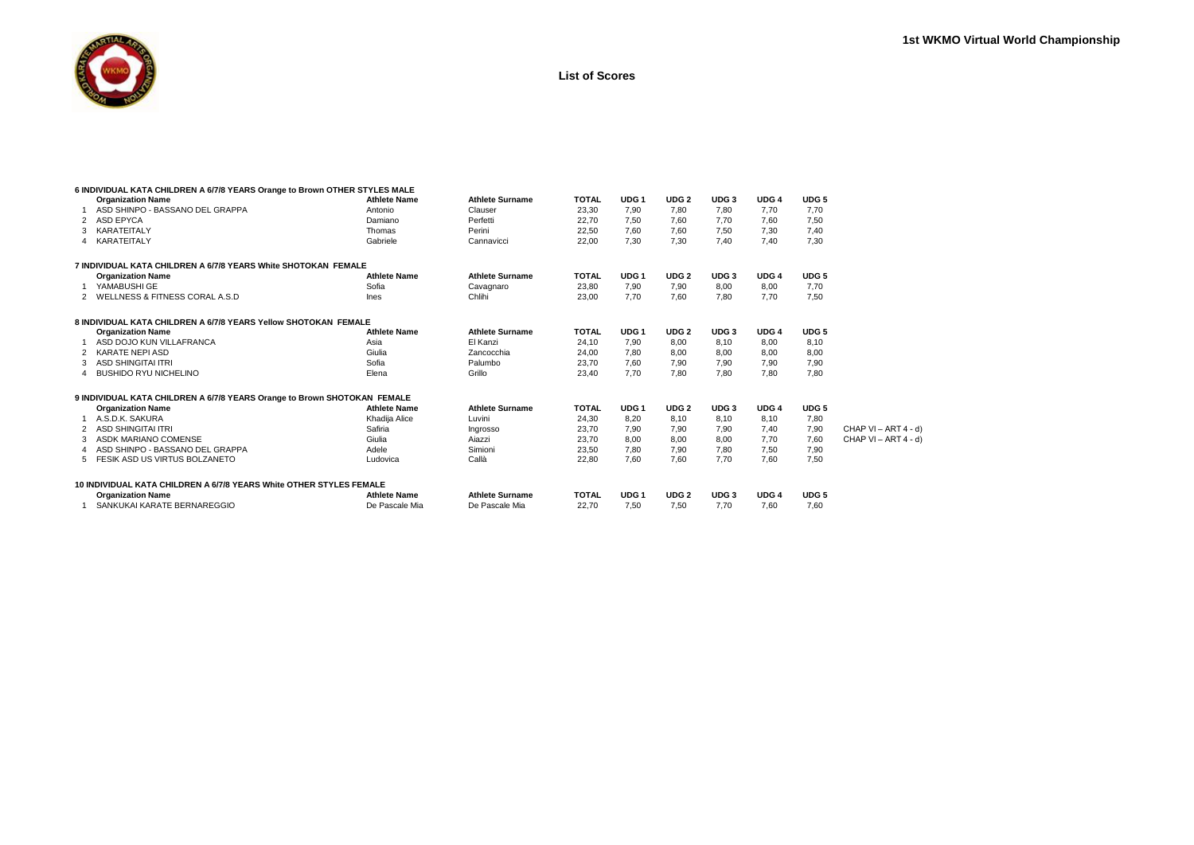

|   | 6 INDIVIDUAL KATA CHILDREN A 6/7/8 YEARS Orange to Brown OTHER STYLES MALE |                     |                        |              |                  |                  |                  |                  |                  |                       |
|---|----------------------------------------------------------------------------|---------------------|------------------------|--------------|------------------|------------------|------------------|------------------|------------------|-----------------------|
|   | <b>Organization Name</b>                                                   | <b>Athlete Name</b> | <b>Athlete Surname</b> | <b>TOTAL</b> | UDG <sub>1</sub> | UDG <sub>2</sub> | UDG <sub>3</sub> | UDG <sub>4</sub> | UDG <sub>5</sub> |                       |
|   | ASD SHINPO - BASSANO DEL GRAPPA                                            | Antonio             | Clauser                | 23,30        | 7,90             | 7.80             | 7,80             | 7,70             | 7.70             |                       |
|   | ASD EPYCA                                                                  | Damiano             | Perfetti               | 22,70        | 7.50             | 7.60             | 7.70             | 7.60             | 7,50             |                       |
| 3 | KARATEITALY                                                                | Thomas              | Perini                 | 22,50        | 7.60             | 7.60             | 7,50             | 7,30             | 7,40             |                       |
|   | KARATEITALY                                                                | Gabriele            | Cannavicci             | 22,00        | 7.30             | 7.30             | 7.40             | 7.40             | 7.30             |                       |
|   | 7 INDIVIDUAL KATA CHILDREN A 6/7/8 YEARS White SHOTOKAN FEMALE             |                     |                        |              |                  |                  |                  |                  |                  |                       |
|   | <b>Organization Name</b>                                                   | <b>Athlete Name</b> | <b>Athlete Surname</b> | <b>TOTAL</b> | UDG <sub>1</sub> | UDG <sub>2</sub> | UDG <sub>3</sub> | UDG <sub>4</sub> | UDG <sub>5</sub> |                       |
|   | YAMABUSHI GE                                                               | Sofia               | Cavagnaro              | 23,80        | 7,90             | 7,90             | 8,00             | 8,00             | 7,70             |                       |
|   | WELLNESS & FITNESS CORAL A.S.D                                             | Ines                | Chlihi                 | 23,00        | 7.70             | 7.60             | 7.80             | 7.70             | 7,50             |                       |
|   | 8 INDIVIDUAL KATA CHILDREN A 6/7/8 YEARS Yellow SHOTOKAN FEMALE            |                     |                        |              |                  |                  |                  |                  |                  |                       |
|   | <b>Organization Name</b>                                                   | <b>Athlete Name</b> | <b>Athlete Surname</b> | <b>TOTAL</b> | UDG <sub>1</sub> | UDG <sub>2</sub> | UDG <sub>3</sub> | UDG 4            | UDG <sub>5</sub> |                       |
|   | ASD DOJO KUN VILLAFRANCA                                                   | Asia                | El Kanzi               | 24,10        | 7.90             | 8.00             | 8.10             | 8.00             | 8,10             |                       |
|   | <b>KARATE NEPI ASD</b>                                                     | Giulia              | Zancocchia             | 24,00        | 7,80             | 8,00             | 8,00             | 8,00             | 8,00             |                       |
|   | <b>ASD SHINGITALITRI</b>                                                   | Sofia               | Palumbo                | 23.70        | 7.60             | 7.90             | 7.90             | 7,90             | 7,90             |                       |
| 4 | <b>BUSHIDO RYU NICHELINO</b>                                               | Elena               | Grillo                 | 23,40        | 7.70             | 7.80             | 7.80             | 7.80             | 7.80             |                       |
|   | 9 INDIVIDUAL KATA CHILDREN A 6/7/8 YEARS Orange to Brown SHOTOKAN FEMALE   |                     |                        |              |                  |                  |                  |                  |                  |                       |
|   | <b>Organization Name</b>                                                   | <b>Athlete Name</b> | <b>Athlete Surname</b> | <b>TOTAL</b> | UDG <sub>1</sub> | UDG <sub>2</sub> | UDG <sub>3</sub> | UDG 4            | UDG <sub>5</sub> |                       |
|   | A.S.D.K. SAKURA                                                            | Khadija Alice       | Luvini                 | 24,30        | 8,20             | 8,10             | 8,10             | 8,10             | 7,80             |                       |
|   | <b>ASD SHINGITAI ITRI</b>                                                  | Safiria             | Ingrosso               | 23,70        | 7,90             | 7,90             | 7,90             | 7,40             | 7,90             | CHAP $VI - ART 4 - d$ |
|   | <b>ASDK MARIANO COMENSE</b>                                                | Giulia              | Aiazzi                 | 23,70        | 8,00             | 8,00             | 8,00             | 7,70             | 7,60             | CHAP VI - ART 4 - d)  |
|   | ASD SHINPO - BASSANO DEL GRAPPA                                            | Adele               | Simioni                | 23,50        | 7.80             | 7,90             | 7.80             | 7,50             | 7,90             |                       |
| 5 | FESIK ASD US VIRTUS BOLZANETO                                              | Ludovica            | Callà                  | 22,80        | 7.60             | 7.60             | 7.70             | 7.60             | 7,50             |                       |
|   | 10 INDIVIDUAL KATA CHILDREN A 6/7/8 YEARS White OTHER STYLES FEMALE        |                     |                        |              |                  |                  |                  |                  |                  |                       |
|   | <b>Organization Name</b>                                                   | <b>Athlete Name</b> | <b>Athlete Surname</b> | <b>TOTAL</b> | UDG <sub>1</sub> | UDG <sub>2</sub> | UDG <sub>3</sub> | UDG <sub>4</sub> | UDG <sub>5</sub> |                       |
|   | SANKUKAI KARATE BERNAREGGIO                                                | De Pascale Mia      | De Pascale Mia         | 22,70        | 7,50             | 7,50             | 7,70             | 7,60             | 7,60             |                       |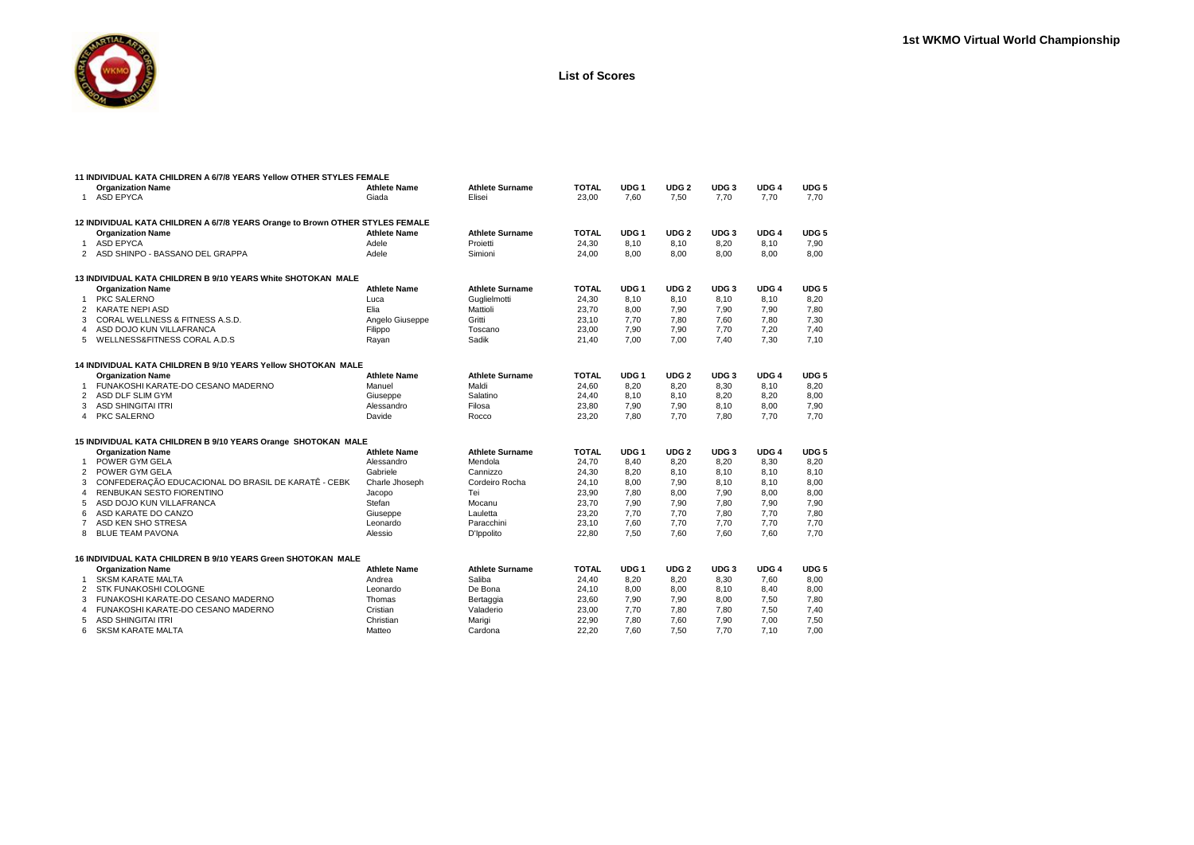

| <b>TOTAL</b><br>UDG <sub>2</sub><br>UDG <sub>3</sub><br>UDG <sub>4</sub><br>UDG <sub>5</sub><br><b>Athlete Name</b><br><b>Athlete Surname</b><br>UDG <sub>1</sub><br><b>Organization Name</b><br><b>ASD EPYCA</b><br>Giada<br>Elisei<br>23,00<br>7.60<br>7,50<br>7,70<br>7,70<br>7.70<br>1<br>12 INDIVIDUAL KATA CHILDREN A 6/7/8 YEARS Orange to Brown OTHER STYLES FEMALE<br>UDG <sub>5</sub><br><b>Athlete Surname</b><br><b>TOTAL</b><br>UDG <sub>2</sub><br>UDG <sub>3</sub><br>UDG <sub>4</sub><br><b>Organization Name</b><br><b>Athlete Name</b><br>UDG <sub>1</sub><br><b>ASD EPYCA</b><br>Adele<br>Projetti<br>24,30<br>8,10<br>8,10<br>8,20<br>8,10<br>7,90<br>-1<br>ASD SHINPO - BASSANO DEL GRAPPA<br>2<br>Adele<br>24,00<br>8,00<br>8,00<br>8,00<br>8.00<br>8,00<br>Simioni<br>13 INDIVIDUAL KATA CHILDREN B 9/10 YEARS White SHOTOKAN MALE<br><b>Athlete Name</b><br><b>Athlete Surname</b><br><b>TOTAL</b><br>UDG <sub>1</sub><br>UDG <sub>2</sub><br>UDG <sub>3</sub><br>UDG <sub>4</sub><br>UDG <sub>5</sub><br><b>Organization Name</b><br>PKC SALERNO<br>24.30<br>8.10<br>Luca<br>Guglielmotti<br>8.10<br>8.10<br>8.10<br>8.20<br><b>KARATE NEPI ASD</b><br>Elia<br>23,70<br>7,80<br>Mattioli<br>8,00<br>7,90<br>7,90<br>7,90<br>2<br>7,30<br>CORAL WELLNESS & FITNESS A.S.D.<br>Angelo Giuseppe<br>Gritti<br>23.10<br>7.70<br>7.80<br>7.60<br>7.80<br>3<br>ASD DOJO KUN VILLAFRANCA<br>23,00<br>7,20<br>7,40<br>Filippo<br>Toscano<br>7,90<br>7,90<br>7,70<br>4<br>WELLNESS&FITNESS CORAL A.D.S<br>Sadik<br>7.30<br>7,10<br>5<br>Rayan<br>21,40<br>7.00<br>7.00<br>7.40<br>14 INDIVIDUAL KATA CHILDREN B 9/10 YEARS Yellow SHOTOKAN MALE<br><b>Athlete Surname</b><br><b>TOTAL</b><br>UDG <sub>1</sub><br>UDG <sub>2</sub><br>UDG <sub>3</sub><br>UDG <sub>4</sub><br>UDG <sub>5</sub><br><b>Organization Name</b><br><b>Athlete Name</b><br>FUNAKOSHI KARATE-DO CESANO MADERNO<br>Maldi<br>24,60<br>8,20<br>8,20<br>8,30<br>8,10<br>8,20<br>Manuel<br>8,00<br>ASD DLF SLIM GYM<br>Salatino<br>24,40<br>8,10<br>8,10<br>8,20<br>8.20<br>Giuseppe<br><b>ASD SHINGITAI ITRI</b><br>Alessandro<br>Filosa<br>23.80<br>7.90<br>7.90<br>8.10<br>8.00<br>7,90<br>3<br>PKC SALERNO<br>23,20<br>7,70<br>7,80<br>7.70<br>7,70<br>Davide<br>7,80<br>$\overline{a}$<br>Rocco<br>15 INDIVIDUAL KATA CHILDREN B 9/10 YEARS Orange SHOTOKAN MALE<br><b>Athlete Surname</b><br><b>TOTAL</b><br>UDG <sub>1</sub><br>UDG <sub>2</sub><br>UDG <sub>3</sub><br>UDG <sub>4</sub><br>UDG <sub>5</sub><br><b>Organization Name</b><br><b>Athlete Name</b><br>POWER GYM GELA<br>Alessandro<br>Mendola<br>24,70<br>8,40<br>8,20<br>8,20<br>8,30<br>8,20<br>POWER GYM GELA<br>Gabriele<br>Cannizzo<br>24,30<br>8.20<br>8,10<br>8.10<br>8,10<br>2<br>8.10<br>CONFEDERAÇÃO EDUCACIONAL DO BRASIL DE KARATÊ - CEBK<br>Charle Jhoseph<br>Cordeiro Rocha<br>24,10<br>8.00<br>8.10<br>8,00<br>3<br>7.90<br>8.10<br>RENBUKAN SESTO FIORENTINO<br>Tei<br>23,90<br>7.80<br>8,00<br>7,90<br>8,00<br>8,00<br>4<br>Jacopo<br>ASD DOJO KUN VILLAFRANCA<br>Stefan<br>Mocanu<br>23.70<br>7.90<br>7.90<br>7.80<br>7.90<br>7.90<br>5<br>23,20<br>7,80<br>ASD KARATE DO CANZO<br>Lauletta<br>7,70<br>7,70<br>7,80<br>7,70<br>6<br>Giuseppe<br>ASD KEN SHO STRESA<br>23,10<br>7,60<br>7,70<br>7,70<br>7,70<br>7,70<br>$\overline{7}$<br>Leonardo<br>Paracchini<br><b>BLUE TEAM PAVONA</b><br>22,80<br>7,50<br>7,60<br>7,60<br>7.60<br>7,70<br>8<br>D'Ippolito<br>Alessio<br>16 INDIVIDUAL KATA CHILDREN B 9/10 YEARS Green SHOTOKAN MALE<br><b>Athlete Surname</b><br><b>TOTAL</b><br>UDG <sub>1</sub><br>UDG <sub>2</sub><br>UDG <sub>4</sub><br>UDG <sub>5</sub><br><b>Organization Name</b><br><b>Athlete Name</b><br>UDG <sub>3</sub><br><b>SKSM KARATE MALTA</b><br>Andrea<br>Saliba<br>24,40<br>8.20<br>8,20<br>8,30<br>7.60<br>8,00<br>-1<br><b>STK FUNAKOSHI COLOGNE</b><br>24,10<br>8.00<br>8.00<br>8.40<br>8,00<br>$\overline{c}$<br>Leonardo<br>De Bona<br>8.10<br>7.80<br>FUNAKOSHI KARATE-DO CESANO MADERNO<br>Thomas<br>23,60<br>7.90<br>7,90<br>8.00<br>7.50<br>3<br>Bertaggia<br>FUNAKOSHI KARATE-DO CESANO MADERNO<br>Cristian<br>Valaderio<br>23,00<br>7,70<br>7,80<br>7,80<br>7,50<br>7,40<br>4<br>22,90<br>7,00<br>7,50<br>5<br><b>ASD SHINGITAI ITRI</b><br>Christian<br>7,80<br>7,60<br>7,90<br>Marigi<br>22,20<br>7,50<br><b>SKSM KARATE MALTA</b><br>Matteo<br>Cardona<br>7.60<br>7,70<br>7.10<br>7,00<br>6 | 11 INDIVIDUAL KATA CHILDREN A 6/7/8 YEARS Yellow OTHER STYLES FEMALE |  |  |  |  |
|-------------------------------------------------------------------------------------------------------------------------------------------------------------------------------------------------------------------------------------------------------------------------------------------------------------------------------------------------------------------------------------------------------------------------------------------------------------------------------------------------------------------------------------------------------------------------------------------------------------------------------------------------------------------------------------------------------------------------------------------------------------------------------------------------------------------------------------------------------------------------------------------------------------------------------------------------------------------------------------------------------------------------------------------------------------------------------------------------------------------------------------------------------------------------------------------------------------------------------------------------------------------------------------------------------------------------------------------------------------------------------------------------------------------------------------------------------------------------------------------------------------------------------------------------------------------------------------------------------------------------------------------------------------------------------------------------------------------------------------------------------------------------------------------------------------------------------------------------------------------------------------------------------------------------------------------------------------------------------------------------------------------------------------------------------------------------------------------------------------------------------------------------------------------------------------------------------------------------------------------------------------------------------------------------------------------------------------------------------------------------------------------------------------------------------------------------------------------------------------------------------------------------------------------------------------------------------------------------------------------------------------------------------------------------------------------------------------------------------------------------------------------------------------------------------------------------------------------------------------------------------------------------------------------------------------------------------------------------------------------------------------------------------------------------------------------------------------------------------------------------------------------------------------------------------------------------------------------------------------------------------------------------------------------------------------------------------------------------------------------------------------------------------------------------------------------------------------------------------------------------------------------------------------------------------------------------------------------------------------------------------------------------------------------------------------------------------------------------------------------------------------------------------------------------------------------------------------------------------------------------------------------------------------------------------------------------------------------------------------------------------------------------------------------------------------------------------------------------------------------------------------------------------------------------------------------------------------------------------------------------------------------------------------------------------------------------------------------------------------------------------------------------------------|----------------------------------------------------------------------|--|--|--|--|
|                                                                                                                                                                                                                                                                                                                                                                                                                                                                                                                                                                                                                                                                                                                                                                                                                                                                                                                                                                                                                                                                                                                                                                                                                                                                                                                                                                                                                                                                                                                                                                                                                                                                                                                                                                                                                                                                                                                                                                                                                                                                                                                                                                                                                                                                                                                                                                                                                                                                                                                                                                                                                                                                                                                                                                                                                                                                                                                                                                                                                                                                                                                                                                                                                                                                                                                                                                                                                                                                                                                                                                                                                                                                                                                                                                                                                                                                                                                                                                                                                                                                                                                                                                                                                                                                                                                                                                                                             |                                                                      |  |  |  |  |
|                                                                                                                                                                                                                                                                                                                                                                                                                                                                                                                                                                                                                                                                                                                                                                                                                                                                                                                                                                                                                                                                                                                                                                                                                                                                                                                                                                                                                                                                                                                                                                                                                                                                                                                                                                                                                                                                                                                                                                                                                                                                                                                                                                                                                                                                                                                                                                                                                                                                                                                                                                                                                                                                                                                                                                                                                                                                                                                                                                                                                                                                                                                                                                                                                                                                                                                                                                                                                                                                                                                                                                                                                                                                                                                                                                                                                                                                                                                                                                                                                                                                                                                                                                                                                                                                                                                                                                                                             |                                                                      |  |  |  |  |
|                                                                                                                                                                                                                                                                                                                                                                                                                                                                                                                                                                                                                                                                                                                                                                                                                                                                                                                                                                                                                                                                                                                                                                                                                                                                                                                                                                                                                                                                                                                                                                                                                                                                                                                                                                                                                                                                                                                                                                                                                                                                                                                                                                                                                                                                                                                                                                                                                                                                                                                                                                                                                                                                                                                                                                                                                                                                                                                                                                                                                                                                                                                                                                                                                                                                                                                                                                                                                                                                                                                                                                                                                                                                                                                                                                                                                                                                                                                                                                                                                                                                                                                                                                                                                                                                                                                                                                                                             |                                                                      |  |  |  |  |
|                                                                                                                                                                                                                                                                                                                                                                                                                                                                                                                                                                                                                                                                                                                                                                                                                                                                                                                                                                                                                                                                                                                                                                                                                                                                                                                                                                                                                                                                                                                                                                                                                                                                                                                                                                                                                                                                                                                                                                                                                                                                                                                                                                                                                                                                                                                                                                                                                                                                                                                                                                                                                                                                                                                                                                                                                                                                                                                                                                                                                                                                                                                                                                                                                                                                                                                                                                                                                                                                                                                                                                                                                                                                                                                                                                                                                                                                                                                                                                                                                                                                                                                                                                                                                                                                                                                                                                                                             |                                                                      |  |  |  |  |
|                                                                                                                                                                                                                                                                                                                                                                                                                                                                                                                                                                                                                                                                                                                                                                                                                                                                                                                                                                                                                                                                                                                                                                                                                                                                                                                                                                                                                                                                                                                                                                                                                                                                                                                                                                                                                                                                                                                                                                                                                                                                                                                                                                                                                                                                                                                                                                                                                                                                                                                                                                                                                                                                                                                                                                                                                                                                                                                                                                                                                                                                                                                                                                                                                                                                                                                                                                                                                                                                                                                                                                                                                                                                                                                                                                                                                                                                                                                                                                                                                                                                                                                                                                                                                                                                                                                                                                                                             |                                                                      |  |  |  |  |
|                                                                                                                                                                                                                                                                                                                                                                                                                                                                                                                                                                                                                                                                                                                                                                                                                                                                                                                                                                                                                                                                                                                                                                                                                                                                                                                                                                                                                                                                                                                                                                                                                                                                                                                                                                                                                                                                                                                                                                                                                                                                                                                                                                                                                                                                                                                                                                                                                                                                                                                                                                                                                                                                                                                                                                                                                                                                                                                                                                                                                                                                                                                                                                                                                                                                                                                                                                                                                                                                                                                                                                                                                                                                                                                                                                                                                                                                                                                                                                                                                                                                                                                                                                                                                                                                                                                                                                                                             |                                                                      |  |  |  |  |
|                                                                                                                                                                                                                                                                                                                                                                                                                                                                                                                                                                                                                                                                                                                                                                                                                                                                                                                                                                                                                                                                                                                                                                                                                                                                                                                                                                                                                                                                                                                                                                                                                                                                                                                                                                                                                                                                                                                                                                                                                                                                                                                                                                                                                                                                                                                                                                                                                                                                                                                                                                                                                                                                                                                                                                                                                                                                                                                                                                                                                                                                                                                                                                                                                                                                                                                                                                                                                                                                                                                                                                                                                                                                                                                                                                                                                                                                                                                                                                                                                                                                                                                                                                                                                                                                                                                                                                                                             |                                                                      |  |  |  |  |
|                                                                                                                                                                                                                                                                                                                                                                                                                                                                                                                                                                                                                                                                                                                                                                                                                                                                                                                                                                                                                                                                                                                                                                                                                                                                                                                                                                                                                                                                                                                                                                                                                                                                                                                                                                                                                                                                                                                                                                                                                                                                                                                                                                                                                                                                                                                                                                                                                                                                                                                                                                                                                                                                                                                                                                                                                                                                                                                                                                                                                                                                                                                                                                                                                                                                                                                                                                                                                                                                                                                                                                                                                                                                                                                                                                                                                                                                                                                                                                                                                                                                                                                                                                                                                                                                                                                                                                                                             |                                                                      |  |  |  |  |
|                                                                                                                                                                                                                                                                                                                                                                                                                                                                                                                                                                                                                                                                                                                                                                                                                                                                                                                                                                                                                                                                                                                                                                                                                                                                                                                                                                                                                                                                                                                                                                                                                                                                                                                                                                                                                                                                                                                                                                                                                                                                                                                                                                                                                                                                                                                                                                                                                                                                                                                                                                                                                                                                                                                                                                                                                                                                                                                                                                                                                                                                                                                                                                                                                                                                                                                                                                                                                                                                                                                                                                                                                                                                                                                                                                                                                                                                                                                                                                                                                                                                                                                                                                                                                                                                                                                                                                                                             |                                                                      |  |  |  |  |
|                                                                                                                                                                                                                                                                                                                                                                                                                                                                                                                                                                                                                                                                                                                                                                                                                                                                                                                                                                                                                                                                                                                                                                                                                                                                                                                                                                                                                                                                                                                                                                                                                                                                                                                                                                                                                                                                                                                                                                                                                                                                                                                                                                                                                                                                                                                                                                                                                                                                                                                                                                                                                                                                                                                                                                                                                                                                                                                                                                                                                                                                                                                                                                                                                                                                                                                                                                                                                                                                                                                                                                                                                                                                                                                                                                                                                                                                                                                                                                                                                                                                                                                                                                                                                                                                                                                                                                                                             |                                                                      |  |  |  |  |
|                                                                                                                                                                                                                                                                                                                                                                                                                                                                                                                                                                                                                                                                                                                                                                                                                                                                                                                                                                                                                                                                                                                                                                                                                                                                                                                                                                                                                                                                                                                                                                                                                                                                                                                                                                                                                                                                                                                                                                                                                                                                                                                                                                                                                                                                                                                                                                                                                                                                                                                                                                                                                                                                                                                                                                                                                                                                                                                                                                                                                                                                                                                                                                                                                                                                                                                                                                                                                                                                                                                                                                                                                                                                                                                                                                                                                                                                                                                                                                                                                                                                                                                                                                                                                                                                                                                                                                                                             |                                                                      |  |  |  |  |
|                                                                                                                                                                                                                                                                                                                                                                                                                                                                                                                                                                                                                                                                                                                                                                                                                                                                                                                                                                                                                                                                                                                                                                                                                                                                                                                                                                                                                                                                                                                                                                                                                                                                                                                                                                                                                                                                                                                                                                                                                                                                                                                                                                                                                                                                                                                                                                                                                                                                                                                                                                                                                                                                                                                                                                                                                                                                                                                                                                                                                                                                                                                                                                                                                                                                                                                                                                                                                                                                                                                                                                                                                                                                                                                                                                                                                                                                                                                                                                                                                                                                                                                                                                                                                                                                                                                                                                                                             |                                                                      |  |  |  |  |
|                                                                                                                                                                                                                                                                                                                                                                                                                                                                                                                                                                                                                                                                                                                                                                                                                                                                                                                                                                                                                                                                                                                                                                                                                                                                                                                                                                                                                                                                                                                                                                                                                                                                                                                                                                                                                                                                                                                                                                                                                                                                                                                                                                                                                                                                                                                                                                                                                                                                                                                                                                                                                                                                                                                                                                                                                                                                                                                                                                                                                                                                                                                                                                                                                                                                                                                                                                                                                                                                                                                                                                                                                                                                                                                                                                                                                                                                                                                                                                                                                                                                                                                                                                                                                                                                                                                                                                                                             |                                                                      |  |  |  |  |
|                                                                                                                                                                                                                                                                                                                                                                                                                                                                                                                                                                                                                                                                                                                                                                                                                                                                                                                                                                                                                                                                                                                                                                                                                                                                                                                                                                                                                                                                                                                                                                                                                                                                                                                                                                                                                                                                                                                                                                                                                                                                                                                                                                                                                                                                                                                                                                                                                                                                                                                                                                                                                                                                                                                                                                                                                                                                                                                                                                                                                                                                                                                                                                                                                                                                                                                                                                                                                                                                                                                                                                                                                                                                                                                                                                                                                                                                                                                                                                                                                                                                                                                                                                                                                                                                                                                                                                                                             |                                                                      |  |  |  |  |
|                                                                                                                                                                                                                                                                                                                                                                                                                                                                                                                                                                                                                                                                                                                                                                                                                                                                                                                                                                                                                                                                                                                                                                                                                                                                                                                                                                                                                                                                                                                                                                                                                                                                                                                                                                                                                                                                                                                                                                                                                                                                                                                                                                                                                                                                                                                                                                                                                                                                                                                                                                                                                                                                                                                                                                                                                                                                                                                                                                                                                                                                                                                                                                                                                                                                                                                                                                                                                                                                                                                                                                                                                                                                                                                                                                                                                                                                                                                                                                                                                                                                                                                                                                                                                                                                                                                                                                                                             |                                                                      |  |  |  |  |
|                                                                                                                                                                                                                                                                                                                                                                                                                                                                                                                                                                                                                                                                                                                                                                                                                                                                                                                                                                                                                                                                                                                                                                                                                                                                                                                                                                                                                                                                                                                                                                                                                                                                                                                                                                                                                                                                                                                                                                                                                                                                                                                                                                                                                                                                                                                                                                                                                                                                                                                                                                                                                                                                                                                                                                                                                                                                                                                                                                                                                                                                                                                                                                                                                                                                                                                                                                                                                                                                                                                                                                                                                                                                                                                                                                                                                                                                                                                                                                                                                                                                                                                                                                                                                                                                                                                                                                                                             |                                                                      |  |  |  |  |
|                                                                                                                                                                                                                                                                                                                                                                                                                                                                                                                                                                                                                                                                                                                                                                                                                                                                                                                                                                                                                                                                                                                                                                                                                                                                                                                                                                                                                                                                                                                                                                                                                                                                                                                                                                                                                                                                                                                                                                                                                                                                                                                                                                                                                                                                                                                                                                                                                                                                                                                                                                                                                                                                                                                                                                                                                                                                                                                                                                                                                                                                                                                                                                                                                                                                                                                                                                                                                                                                                                                                                                                                                                                                                                                                                                                                                                                                                                                                                                                                                                                                                                                                                                                                                                                                                                                                                                                                             |                                                                      |  |  |  |  |
|                                                                                                                                                                                                                                                                                                                                                                                                                                                                                                                                                                                                                                                                                                                                                                                                                                                                                                                                                                                                                                                                                                                                                                                                                                                                                                                                                                                                                                                                                                                                                                                                                                                                                                                                                                                                                                                                                                                                                                                                                                                                                                                                                                                                                                                                                                                                                                                                                                                                                                                                                                                                                                                                                                                                                                                                                                                                                                                                                                                                                                                                                                                                                                                                                                                                                                                                                                                                                                                                                                                                                                                                                                                                                                                                                                                                                                                                                                                                                                                                                                                                                                                                                                                                                                                                                                                                                                                                             |                                                                      |  |  |  |  |
|                                                                                                                                                                                                                                                                                                                                                                                                                                                                                                                                                                                                                                                                                                                                                                                                                                                                                                                                                                                                                                                                                                                                                                                                                                                                                                                                                                                                                                                                                                                                                                                                                                                                                                                                                                                                                                                                                                                                                                                                                                                                                                                                                                                                                                                                                                                                                                                                                                                                                                                                                                                                                                                                                                                                                                                                                                                                                                                                                                                                                                                                                                                                                                                                                                                                                                                                                                                                                                                                                                                                                                                                                                                                                                                                                                                                                                                                                                                                                                                                                                                                                                                                                                                                                                                                                                                                                                                                             |                                                                      |  |  |  |  |
|                                                                                                                                                                                                                                                                                                                                                                                                                                                                                                                                                                                                                                                                                                                                                                                                                                                                                                                                                                                                                                                                                                                                                                                                                                                                                                                                                                                                                                                                                                                                                                                                                                                                                                                                                                                                                                                                                                                                                                                                                                                                                                                                                                                                                                                                                                                                                                                                                                                                                                                                                                                                                                                                                                                                                                                                                                                                                                                                                                                                                                                                                                                                                                                                                                                                                                                                                                                                                                                                                                                                                                                                                                                                                                                                                                                                                                                                                                                                                                                                                                                                                                                                                                                                                                                                                                                                                                                                             |                                                                      |  |  |  |  |
|                                                                                                                                                                                                                                                                                                                                                                                                                                                                                                                                                                                                                                                                                                                                                                                                                                                                                                                                                                                                                                                                                                                                                                                                                                                                                                                                                                                                                                                                                                                                                                                                                                                                                                                                                                                                                                                                                                                                                                                                                                                                                                                                                                                                                                                                                                                                                                                                                                                                                                                                                                                                                                                                                                                                                                                                                                                                                                                                                                                                                                                                                                                                                                                                                                                                                                                                                                                                                                                                                                                                                                                                                                                                                                                                                                                                                                                                                                                                                                                                                                                                                                                                                                                                                                                                                                                                                                                                             |                                                                      |  |  |  |  |
|                                                                                                                                                                                                                                                                                                                                                                                                                                                                                                                                                                                                                                                                                                                                                                                                                                                                                                                                                                                                                                                                                                                                                                                                                                                                                                                                                                                                                                                                                                                                                                                                                                                                                                                                                                                                                                                                                                                                                                                                                                                                                                                                                                                                                                                                                                                                                                                                                                                                                                                                                                                                                                                                                                                                                                                                                                                                                                                                                                                                                                                                                                                                                                                                                                                                                                                                                                                                                                                                                                                                                                                                                                                                                                                                                                                                                                                                                                                                                                                                                                                                                                                                                                                                                                                                                                                                                                                                             |                                                                      |  |  |  |  |
|                                                                                                                                                                                                                                                                                                                                                                                                                                                                                                                                                                                                                                                                                                                                                                                                                                                                                                                                                                                                                                                                                                                                                                                                                                                                                                                                                                                                                                                                                                                                                                                                                                                                                                                                                                                                                                                                                                                                                                                                                                                                                                                                                                                                                                                                                                                                                                                                                                                                                                                                                                                                                                                                                                                                                                                                                                                                                                                                                                                                                                                                                                                                                                                                                                                                                                                                                                                                                                                                                                                                                                                                                                                                                                                                                                                                                                                                                                                                                                                                                                                                                                                                                                                                                                                                                                                                                                                                             |                                                                      |  |  |  |  |
|                                                                                                                                                                                                                                                                                                                                                                                                                                                                                                                                                                                                                                                                                                                                                                                                                                                                                                                                                                                                                                                                                                                                                                                                                                                                                                                                                                                                                                                                                                                                                                                                                                                                                                                                                                                                                                                                                                                                                                                                                                                                                                                                                                                                                                                                                                                                                                                                                                                                                                                                                                                                                                                                                                                                                                                                                                                                                                                                                                                                                                                                                                                                                                                                                                                                                                                                                                                                                                                                                                                                                                                                                                                                                                                                                                                                                                                                                                                                                                                                                                                                                                                                                                                                                                                                                                                                                                                                             |                                                                      |  |  |  |  |
|                                                                                                                                                                                                                                                                                                                                                                                                                                                                                                                                                                                                                                                                                                                                                                                                                                                                                                                                                                                                                                                                                                                                                                                                                                                                                                                                                                                                                                                                                                                                                                                                                                                                                                                                                                                                                                                                                                                                                                                                                                                                                                                                                                                                                                                                                                                                                                                                                                                                                                                                                                                                                                                                                                                                                                                                                                                                                                                                                                                                                                                                                                                                                                                                                                                                                                                                                                                                                                                                                                                                                                                                                                                                                                                                                                                                                                                                                                                                                                                                                                                                                                                                                                                                                                                                                                                                                                                                             |                                                                      |  |  |  |  |
|                                                                                                                                                                                                                                                                                                                                                                                                                                                                                                                                                                                                                                                                                                                                                                                                                                                                                                                                                                                                                                                                                                                                                                                                                                                                                                                                                                                                                                                                                                                                                                                                                                                                                                                                                                                                                                                                                                                                                                                                                                                                                                                                                                                                                                                                                                                                                                                                                                                                                                                                                                                                                                                                                                                                                                                                                                                                                                                                                                                                                                                                                                                                                                                                                                                                                                                                                                                                                                                                                                                                                                                                                                                                                                                                                                                                                                                                                                                                                                                                                                                                                                                                                                                                                                                                                                                                                                                                             |                                                                      |  |  |  |  |
|                                                                                                                                                                                                                                                                                                                                                                                                                                                                                                                                                                                                                                                                                                                                                                                                                                                                                                                                                                                                                                                                                                                                                                                                                                                                                                                                                                                                                                                                                                                                                                                                                                                                                                                                                                                                                                                                                                                                                                                                                                                                                                                                                                                                                                                                                                                                                                                                                                                                                                                                                                                                                                                                                                                                                                                                                                                                                                                                                                                                                                                                                                                                                                                                                                                                                                                                                                                                                                                                                                                                                                                                                                                                                                                                                                                                                                                                                                                                                                                                                                                                                                                                                                                                                                                                                                                                                                                                             |                                                                      |  |  |  |  |
|                                                                                                                                                                                                                                                                                                                                                                                                                                                                                                                                                                                                                                                                                                                                                                                                                                                                                                                                                                                                                                                                                                                                                                                                                                                                                                                                                                                                                                                                                                                                                                                                                                                                                                                                                                                                                                                                                                                                                                                                                                                                                                                                                                                                                                                                                                                                                                                                                                                                                                                                                                                                                                                                                                                                                                                                                                                                                                                                                                                                                                                                                                                                                                                                                                                                                                                                                                                                                                                                                                                                                                                                                                                                                                                                                                                                                                                                                                                                                                                                                                                                                                                                                                                                                                                                                                                                                                                                             |                                                                      |  |  |  |  |
|                                                                                                                                                                                                                                                                                                                                                                                                                                                                                                                                                                                                                                                                                                                                                                                                                                                                                                                                                                                                                                                                                                                                                                                                                                                                                                                                                                                                                                                                                                                                                                                                                                                                                                                                                                                                                                                                                                                                                                                                                                                                                                                                                                                                                                                                                                                                                                                                                                                                                                                                                                                                                                                                                                                                                                                                                                                                                                                                                                                                                                                                                                                                                                                                                                                                                                                                                                                                                                                                                                                                                                                                                                                                                                                                                                                                                                                                                                                                                                                                                                                                                                                                                                                                                                                                                                                                                                                                             |                                                                      |  |  |  |  |
|                                                                                                                                                                                                                                                                                                                                                                                                                                                                                                                                                                                                                                                                                                                                                                                                                                                                                                                                                                                                                                                                                                                                                                                                                                                                                                                                                                                                                                                                                                                                                                                                                                                                                                                                                                                                                                                                                                                                                                                                                                                                                                                                                                                                                                                                                                                                                                                                                                                                                                                                                                                                                                                                                                                                                                                                                                                                                                                                                                                                                                                                                                                                                                                                                                                                                                                                                                                                                                                                                                                                                                                                                                                                                                                                                                                                                                                                                                                                                                                                                                                                                                                                                                                                                                                                                                                                                                                                             |                                                                      |  |  |  |  |
|                                                                                                                                                                                                                                                                                                                                                                                                                                                                                                                                                                                                                                                                                                                                                                                                                                                                                                                                                                                                                                                                                                                                                                                                                                                                                                                                                                                                                                                                                                                                                                                                                                                                                                                                                                                                                                                                                                                                                                                                                                                                                                                                                                                                                                                                                                                                                                                                                                                                                                                                                                                                                                                                                                                                                                                                                                                                                                                                                                                                                                                                                                                                                                                                                                                                                                                                                                                                                                                                                                                                                                                                                                                                                                                                                                                                                                                                                                                                                                                                                                                                                                                                                                                                                                                                                                                                                                                                             |                                                                      |  |  |  |  |
|                                                                                                                                                                                                                                                                                                                                                                                                                                                                                                                                                                                                                                                                                                                                                                                                                                                                                                                                                                                                                                                                                                                                                                                                                                                                                                                                                                                                                                                                                                                                                                                                                                                                                                                                                                                                                                                                                                                                                                                                                                                                                                                                                                                                                                                                                                                                                                                                                                                                                                                                                                                                                                                                                                                                                                                                                                                                                                                                                                                                                                                                                                                                                                                                                                                                                                                                                                                                                                                                                                                                                                                                                                                                                                                                                                                                                                                                                                                                                                                                                                                                                                                                                                                                                                                                                                                                                                                                             |                                                                      |  |  |  |  |
|                                                                                                                                                                                                                                                                                                                                                                                                                                                                                                                                                                                                                                                                                                                                                                                                                                                                                                                                                                                                                                                                                                                                                                                                                                                                                                                                                                                                                                                                                                                                                                                                                                                                                                                                                                                                                                                                                                                                                                                                                                                                                                                                                                                                                                                                                                                                                                                                                                                                                                                                                                                                                                                                                                                                                                                                                                                                                                                                                                                                                                                                                                                                                                                                                                                                                                                                                                                                                                                                                                                                                                                                                                                                                                                                                                                                                                                                                                                                                                                                                                                                                                                                                                                                                                                                                                                                                                                                             |                                                                      |  |  |  |  |
|                                                                                                                                                                                                                                                                                                                                                                                                                                                                                                                                                                                                                                                                                                                                                                                                                                                                                                                                                                                                                                                                                                                                                                                                                                                                                                                                                                                                                                                                                                                                                                                                                                                                                                                                                                                                                                                                                                                                                                                                                                                                                                                                                                                                                                                                                                                                                                                                                                                                                                                                                                                                                                                                                                                                                                                                                                                                                                                                                                                                                                                                                                                                                                                                                                                                                                                                                                                                                                                                                                                                                                                                                                                                                                                                                                                                                                                                                                                                                                                                                                                                                                                                                                                                                                                                                                                                                                                                             |                                                                      |  |  |  |  |
|                                                                                                                                                                                                                                                                                                                                                                                                                                                                                                                                                                                                                                                                                                                                                                                                                                                                                                                                                                                                                                                                                                                                                                                                                                                                                                                                                                                                                                                                                                                                                                                                                                                                                                                                                                                                                                                                                                                                                                                                                                                                                                                                                                                                                                                                                                                                                                                                                                                                                                                                                                                                                                                                                                                                                                                                                                                                                                                                                                                                                                                                                                                                                                                                                                                                                                                                                                                                                                                                                                                                                                                                                                                                                                                                                                                                                                                                                                                                                                                                                                                                                                                                                                                                                                                                                                                                                                                                             |                                                                      |  |  |  |  |
|                                                                                                                                                                                                                                                                                                                                                                                                                                                                                                                                                                                                                                                                                                                                                                                                                                                                                                                                                                                                                                                                                                                                                                                                                                                                                                                                                                                                                                                                                                                                                                                                                                                                                                                                                                                                                                                                                                                                                                                                                                                                                                                                                                                                                                                                                                                                                                                                                                                                                                                                                                                                                                                                                                                                                                                                                                                                                                                                                                                                                                                                                                                                                                                                                                                                                                                                                                                                                                                                                                                                                                                                                                                                                                                                                                                                                                                                                                                                                                                                                                                                                                                                                                                                                                                                                                                                                                                                             |                                                                      |  |  |  |  |
|                                                                                                                                                                                                                                                                                                                                                                                                                                                                                                                                                                                                                                                                                                                                                                                                                                                                                                                                                                                                                                                                                                                                                                                                                                                                                                                                                                                                                                                                                                                                                                                                                                                                                                                                                                                                                                                                                                                                                                                                                                                                                                                                                                                                                                                                                                                                                                                                                                                                                                                                                                                                                                                                                                                                                                                                                                                                                                                                                                                                                                                                                                                                                                                                                                                                                                                                                                                                                                                                                                                                                                                                                                                                                                                                                                                                                                                                                                                                                                                                                                                                                                                                                                                                                                                                                                                                                                                                             |                                                                      |  |  |  |  |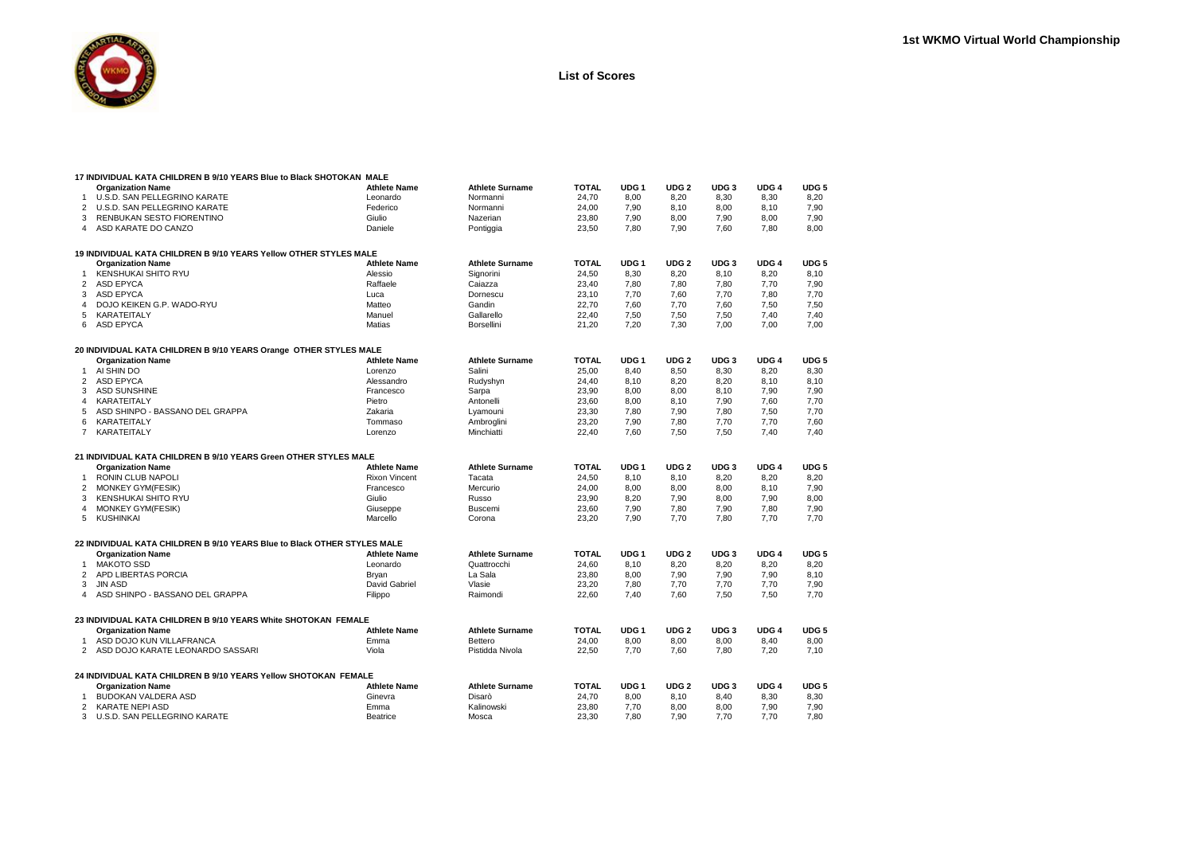

|                | 17 INDIVIDUAL KATA CHILDREN B 9/10 YEARS Blue to Black SHOTOKAN  MALE    |                      |                        |              |                  |                  |                  |                  |                  |
|----------------|--------------------------------------------------------------------------|----------------------|------------------------|--------------|------------------|------------------|------------------|------------------|------------------|
|                | <b>Organization Name</b>                                                 | <b>Athlete Name</b>  | <b>Athlete Surname</b> | <b>TOTAL</b> | UDG <sub>1</sub> | UDG <sub>2</sub> | UDG <sub>3</sub> | UDG <sub>4</sub> | UDG <sub>5</sub> |
| $\mathbf{1}$   | U.S.D. SAN PELLEGRINO KARATE                                             | Leonardo             | Normanni               | 24,70        | 8,00             | 8,20             | 8,30             | 8,30             | 8,20             |
| $\overline{2}$ | U.S.D. SAN PELLEGRINO KARATE                                             | Federico             | Normanni               | 24,00        | 7,90             | 8,10             | 8,00             | 8,10             | 7,90             |
| 3              | RENBUKAN SESTO FIORENTINO                                                | Giulio               | Nazerian               | 23,80        | 7,90             | 8,00             | 7,90             | 8,00             | 7,90             |
|                | 4 ASD KARATE DO CANZO                                                    | Daniele              | Pontiggia              | 23,50        | 7,80             | 7,90             | 7,60             | 7,80             | 8,00             |
|                | 19 INDIVIDUAL KATA CHILDREN B 9/10 YEARS Yellow OTHER STYLES MALE        |                      |                        |              |                  |                  |                  |                  |                  |
|                | <b>Organization Name</b>                                                 | <b>Athlete Name</b>  | <b>Athlete Surname</b> | <b>TOTAL</b> | UDG <sub>1</sub> | UDG 2            | UDG 3            | UDG <sub>4</sub> | UDG <sub>5</sub> |
| $\overline{1}$ | <b>KENSHUKAI SHITO RYU</b>                                               | Alessio              | Signorini              | 24,50        | 8,30             | 8,20             | 8,10             | 8,20             | 8,10             |
| $\overline{2}$ | ASD EPYCA                                                                | Raffaele             | Caiazza                | 23,40        | 7,80             | 7,80             | 7,80             | 7,70             | 7,90             |
| 3              | <b>ASD EPYCA</b>                                                         | Luca                 | Dornescu               | 23,10        | 7,70             | 7,60             | 7,70             | 7.80             | 7,70             |
| 4              | DOJO KEIKEN G.P. WADO-RYU                                                | Matteo               | Gandin                 | 22,70        | 7.60             | 7,70             | 7.60             | 7.50             | 7,50             |
| 5              | KARATEITALY                                                              | Manuel               | Gallarello             | 22,40        | 7,50             | 7,50             | 7,50             | 7,40             | 7,40             |
| 6              | ASD EPYCA                                                                | Matias               | <b>Borsellini</b>      | 21,20        | 7.20             | 7,30             | 7,00             | 7.00             | 7.00             |
|                | 20 INDIVIDUAL KATA CHILDREN B 9/10 YEARS Orange OTHER STYLES MALE        |                      |                        |              |                  |                  |                  |                  |                  |
|                | <b>Organization Name</b>                                                 | <b>Athlete Name</b>  | <b>Athlete Surname</b> | <b>TOTAL</b> | UDG <sub>1</sub> | UDG <sub>2</sub> | UDG <sub>3</sub> | UDG <sub>4</sub> | UDG <sub>5</sub> |
| $\mathbf{1}$   | AI SHIN DO                                                               | Lorenzo              | Salini                 | 25,00        | 8,40             | 8,50             | 8,30             | 8,20             | 8,30             |
| $\overline{2}$ | <b>ASD EPYCA</b>                                                         | Alessandro           | Rudyshyn               | 24,40        | 8,10             | 8,20             | 8,20             | 8,10             | 8,10             |
| 3              | <b>ASD SUNSHINE</b>                                                      | Francesco            | Sarpa                  | 23,90        | 8,00             | 8,00             | 8,10             | 7,90             | 7,90             |
| 4              | <b>KARATEITALY</b>                                                       | Pietro               | Antonelli              | 23,60        | 8,00             | 8,10             | 7,90             | 7,60             | 7,70             |
| 5              | ASD SHINPO - BASSANO DEL GRAPPA                                          | Zakaria              | Lyamouni               | 23,30        | 7,80             | 7,90             | 7,80             | 7,50             | 7,70             |
| 6              | <b>KARATEITALY</b>                                                       | Tommaso              | Ambroglini             | 23,20        | 7,90             | 7,80             | 7.70             | 7.70             | 7,60             |
|                | 7 KARATEITALY                                                            | Lorenzo              | Minchiatti             | 22,40        | 7,60             | 7,50             | 7,50             | 7.40             | 7,40             |
|                |                                                                          |                      |                        |              |                  |                  |                  |                  |                  |
|                | 21 INDIVIDUAL KATA CHILDREN B 9/10 YEARS Green OTHER STYLES MALE         |                      |                        |              |                  |                  |                  |                  |                  |
|                | <b>Organization Name</b>                                                 | <b>Athlete Name</b>  | <b>Athlete Surname</b> | <b>TOTAL</b> | UDG <sub>1</sub> | UDG <sub>2</sub> | UDG 3            | UDG <sub>4</sub> | UDG <sub>5</sub> |
| $\mathbf{1}$   | RONIN CLUB NAPOLI                                                        | <b>Rixon Vincent</b> | Tacata                 | 24.50        | 8,10             | 8.10             | 8,20             | 8,20             | 8,20             |
| $\overline{2}$ | MONKEY GYM(FESIK)                                                        | Francesco            | Mercurio               | 24,00        | 8,00             | 8,00             | 8,00             | 8,10             | 7,90             |
| 3              | <b>KENSHUKAI SHITO RYU</b>                                               | Giulio               | Russo                  | 23,90        | 8,20             | 7,90             | 8,00             | 7,90             | 8,00             |
| 4              | MONKEY GYM(FESIK)                                                        | Giuseppe             | <b>Buscemi</b>         | 23,60        | 7,90             | 7,80             | 7,90             | 7,80             | 7,90             |
| 5              | KUSHINKAI                                                                | Marcello             | Corona                 | 23,20        | 7.90             | 7,70             | 7,80             | 7.70             | 7,70             |
|                | 22 INDIVIDUAL KATA CHILDREN B 9/10 YEARS Blue to Black OTHER STYLES MALE |                      |                        |              |                  |                  |                  |                  |                  |
|                | <b>Organization Name</b>                                                 | <b>Athlete Name</b>  | <b>Athlete Surname</b> | <b>TOTAL</b> | UDG <sub>1</sub> | UDG <sub>2</sub> | UDG <sub>3</sub> | UDG <sub>4</sub> | UDG <sub>5</sub> |
| $\mathbf{1}$   | <b>MAKOTO SSD</b>                                                        | Leonardo             | Quattrocchi            | 24,60        | 8,10             | 8,20             | 8,20             | 8,20             | 8,20             |
| 2              | APD LIBERTAS PORCIA                                                      | Bryan                | La Sala                | 23,80        | 8,00             | 7,90             | 7,90             | 7,90             | 8,10             |
| 3              | <b>JIN ASD</b>                                                           | David Gabriel        | Vlasie                 | 23,20        | 7,80             | 7,70             | 7,70             | 7,70             | 7,90             |
|                | 4 ASD SHINPO - BASSANO DEL GRAPPA                                        | Filippo              | Raimondi               | 22.60        | 7.40             | 7.60             | 7,50             | 7.50             | 7,70             |
|                | 23 INDIVIDUAL KATA CHILDREN B 9/10 YEARS White SHOTOKAN  FEMALE          |                      |                        |              |                  |                  |                  |                  |                  |
|                | <b>Organization Name</b>                                                 | <b>Athlete Name</b>  | <b>Athlete Surname</b> | <b>TOTAL</b> | UDG <sub>1</sub> | UDG <sub>2</sub> | UDG <sub>3</sub> | UDG <sub>4</sub> | UDG <sub>5</sub> |
| $\mathbf{1}$   | ASD DOJO KUN VILLAFRANCA                                                 | Emma                 | Bettero                | 24,00        | 8,00             | 8,00             | 8,00             | 8,40             | 8,00             |
|                | 2 ASD DOJO KARATE LEONARDO SASSARI                                       | Viola                | Pistidda Nivola        | 22.50        | 7.70             | 7.60             | 7,80             | 7.20             | 7,10             |
|                | 24 INDIVIDUAL KATA CHILDREN B 9/10 YEARS Yellow SHOTOKAN FEMALE          |                      |                        |              |                  |                  |                  |                  |                  |
|                | <b>Organization Name</b>                                                 | <b>Athlete Name</b>  | <b>Athlete Surname</b> | <b>TOTAL</b> | UDG <sub>1</sub> | UDG <sub>2</sub> | UDG 3            | UDG <sub>4</sub> | UDG <sub>5</sub> |
| $\mathbf{1}$   | <b>BUDOKAN VALDERA ASD</b>                                               | Ginevra              | Disarò                 | 24,70        | 8,00             | 8.10             | 8,40             | 8,30             | 8,30             |
| 2              | <b>KARATE NEPI ASD</b>                                                   | Emma                 | Kalinowski             | 23,80        | 7,70             | 8,00             | 8.00             | 7,90             | 7,90             |
| 3              | U.S.D. SAN PELLEGRINO KARATE                                             | <b>Beatrice</b>      | Mosca                  | 23.30        | 7.80             | 7.90             | 7.70             | 7.70             | 7,80             |
|                |                                                                          |                      |                        |              |                  |                  |                  |                  |                  |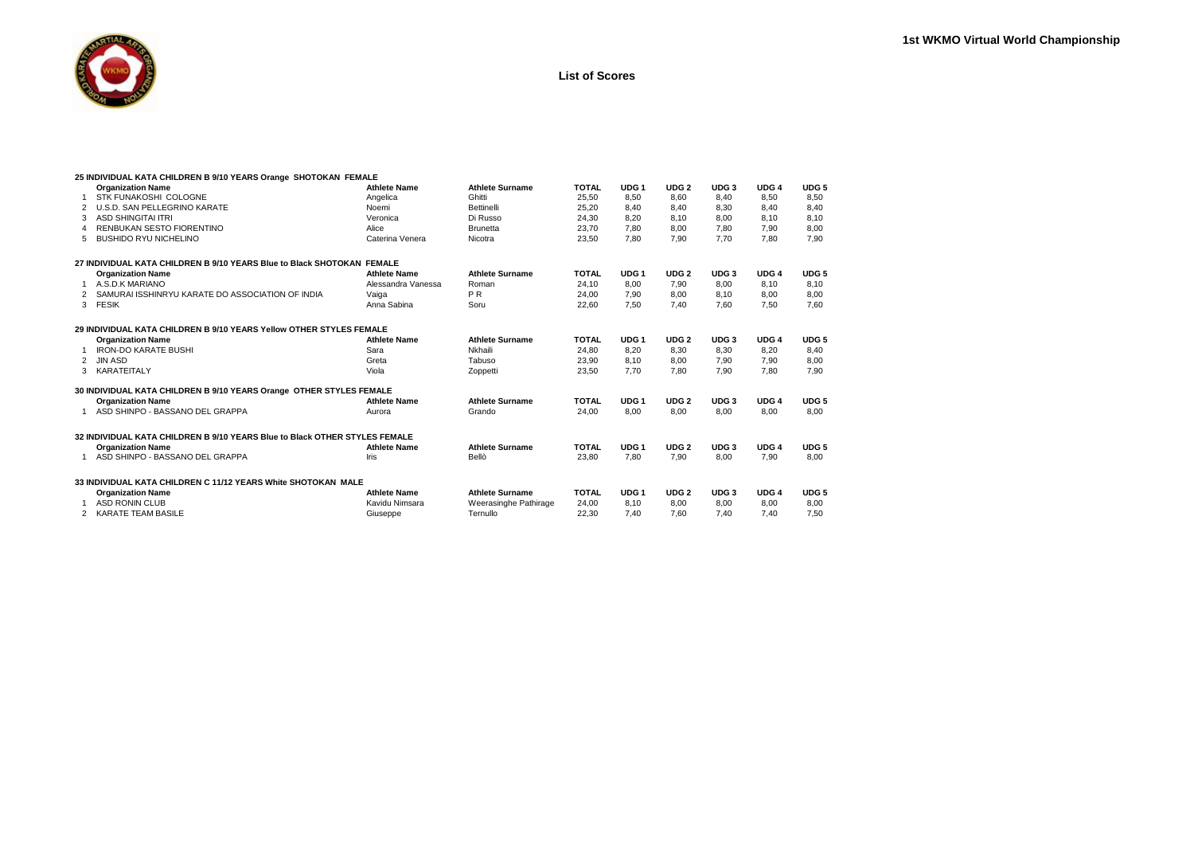

|                | 25 INDIVIDUAL KATA CHILDREN B 9/10 YEARS Orange SHOTOKAN FEMALE            |                     |                        |              |                  |                  |                  |                  |                  |
|----------------|----------------------------------------------------------------------------|---------------------|------------------------|--------------|------------------|------------------|------------------|------------------|------------------|
|                | <b>Organization Name</b>                                                   | <b>Athlete Name</b> | <b>Athlete Surname</b> | <b>TOTAL</b> | UDG <sub>1</sub> | UDG <sub>2</sub> | UDG <sub>3</sub> | UDG <sub>4</sub> | UDG <sub>5</sub> |
|                | STK FUNAKOSHI COLOGNE                                                      | Angelica            | Ghitti                 | 25,50        | 8.50             | 8,60             | 8.40             | 8,50             | 8,50             |
|                | U.S.D. SAN PELLEGRINO KARATE                                               | Noemi               | Bettinelli             | 25,20        | 8.40             | 8,40             | 8,30             | 8.40             | 8,40             |
| 3              | <b>ASD SHINGITAI ITRI</b>                                                  | Veronica            | Di Russo               | 24,30        | 8.20             | 8.10             | 8.00             | 8.10             | 8,10             |
| 4              | RENBUKAN SESTO FIORENTINO                                                  | Alice               | <b>Brunetta</b>        | 23,70        | 7.80             | 8.00             | 7.80             | 7.90             | 8,00             |
| 5              | <b>BUSHIDO RYU NICHELINO</b>                                               | Caterina Venera     | Nicotra                | 23,50        | 7.80             | 7.90             | 7.70             | 7.80             | 7,90             |
|                | 27 INDIVIDUAL KATA CHILDREN B 9/10 YEARS Blue to Black SHOTOKAN FEMALE     |                     |                        |              |                  |                  |                  |                  |                  |
|                | <b>Organization Name</b>                                                   | <b>Athlete Name</b> | <b>Athlete Surname</b> | <b>TOTAL</b> | UDG <sub>1</sub> | UDG <sub>2</sub> | UDG <sub>3</sub> | UDG <sub>4</sub> | UDG <sub>5</sub> |
| 1              | A.S.D.K MARIANO                                                            | Alessandra Vanessa  | Roman                  | 24,10        | 8.00             | 7.90             | 8.00             | 8.10             | 8.10             |
|                | SAMURAI ISSHINRYU KARATE DO ASSOCIATION OF INDIA                           | Vaiga               | P <sub>R</sub>         | 24,00        | 7,90             | 8,00             | 8,10             | 8,00             | 8,00             |
| 3              | <b>FESIK</b>                                                               | Anna Sabina         | Soru                   | 22,60        | 7.50             | 7.40             | 7.60             | 7.50             | 7.60             |
|                | 29 INDIVIDUAL KATA CHILDREN B 9/10 YEARS Yellow OTHER STYLES FEMALE        |                     |                        |              |                  |                  |                  |                  |                  |
|                | <b>Organization Name</b>                                                   | <b>Athlete Name</b> | <b>Athlete Surname</b> | <b>TOTAL</b> | UDG <sub>1</sub> | UDG <sub>2</sub> | UDG <sub>3</sub> | UDG <sub>4</sub> | UDG <sub>5</sub> |
|                | <b>IRON-DO KARATE BUSHI</b>                                                | Sara                | Nkhaili                | 24,80        | 8.20             | 8,30             | 8.30             | 8,20             | 8,40             |
| $\overline{2}$ | JIN ASD                                                                    | Greta               | Tabuso                 | 23,90        | 8.10             | 8.00             | 7.90             | 7.90             | 8.00             |
| 3              | KARATEITALY                                                                | Viola               | Zoppetti               | 23,50        | 7.70             | 7.80             | 7.90             | 7.80             | 7.90             |
|                | 30 INDIVIDUAL KATA CHILDREN B 9/10 YEARS Orange OTHER STYLES FEMALE        |                     |                        |              |                  |                  |                  |                  |                  |
|                | <b>Organization Name</b>                                                   | <b>Athlete Name</b> | <b>Athlete Surname</b> | <b>TOTAL</b> | UDG <sub>1</sub> | UDG <sub>2</sub> | UDG <sub>3</sub> | UDG <sub>4</sub> | UDG <sub>5</sub> |
| 1              | ASD SHINPO - BASSANO DEL GRAPPA                                            | Aurora              | Grando                 | 24,00        | 8.00             | 8,00             | 8,00             | 8,00             | 8,00             |
|                | 32 INDIVIDUAL KATA CHILDREN B 9/10 YEARS Blue to Black OTHER STYLES FEMALE |                     |                        |              |                  |                  |                  |                  |                  |
|                | <b>Organization Name</b>                                                   | <b>Athlete Name</b> | <b>Athlete Surname</b> | <b>TOTAL</b> | UDG <sub>1</sub> | UDG <sub>2</sub> | UDG <sub>3</sub> | UDG <sub>4</sub> | UDG <sub>5</sub> |
| 1              | ASD SHINPO - BASSANO DEL GRAPPA                                            | Iris                | Bellò                  | 23,80        | 7.80             | 7,90             | 8.00             | 7.90             | 8.00             |
|                | 33 INDIVIDUAL KATA CHILDREN C 11/12 YEARS White SHOTOKAN MALE              |                     |                        |              |                  |                  |                  |                  |                  |
|                | <b>Organization Name</b>                                                   | <b>Athlete Name</b> | <b>Athlete Surname</b> | <b>TOTAL</b> | UDG <sub>1</sub> | UDG <sub>2</sub> | UDG <sub>3</sub> | UDG <sub>4</sub> | UDG <sub>5</sub> |
|                | <b>ASD RONIN CLUB</b>                                                      | Kavidu Nimsara      | Weerasinghe Pathirage  | 24,00        | 8.10             | 8,00             | 8.00             | 8,00             | 8,00             |
|                | <b>KARATE TEAM BASILE</b>                                                  | Giuseppe            | Ternullo               | 22,30        | 7.40             | 7.60             | 7.40             | 7.40             | 7,50             |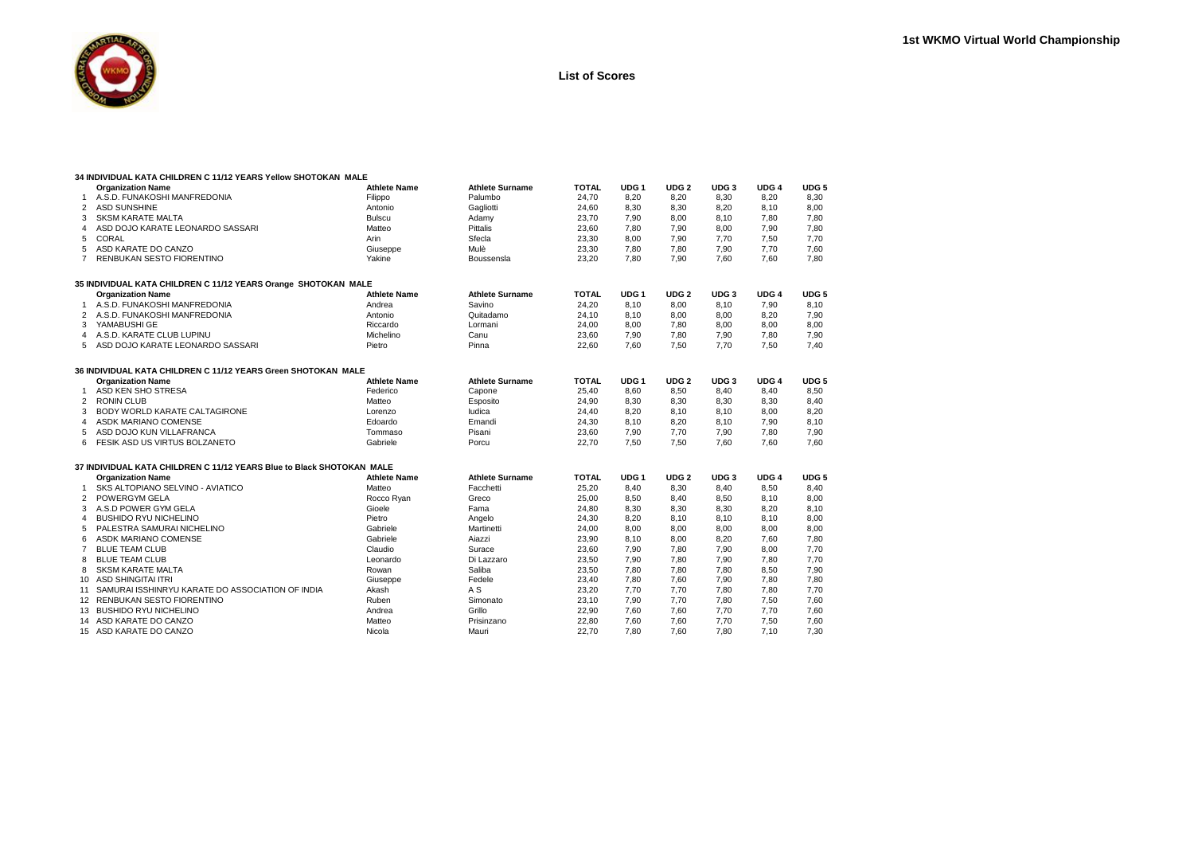

|                | 34 INDIVIDUAL KATA CHILDREN C 11/12 YEARS Yellow SHOTOKAN MALE        |                     |                        |              |                  |                  |                  |                  |                  |
|----------------|-----------------------------------------------------------------------|---------------------|------------------------|--------------|------------------|------------------|------------------|------------------|------------------|
|                | <b>Organization Name</b>                                              | <b>Athlete Name</b> | <b>Athlete Surname</b> | <b>TOTAL</b> | UDG <sub>1</sub> | UDG <sub>2</sub> | UDG <sub>3</sub> | UDG <sub>4</sub> | UDG <sub>5</sub> |
|                | A.S.D. FUNAKOSHI MANFREDONIA                                          | Filippo             | Palumbo                | 24,70        | 8,20             | 8,20             | 8,30             | 8,20             | 8,30             |
| 2              | <b>ASD SUNSHINE</b>                                                   | Antonio             | Gagliotti              | 24,60        | 8,30             | 8,30             | 8,20             | 8,10             | 8,00             |
| 3              | <b>SKSM KARATE MALTA</b>                                              | <b>Bulscu</b>       | Adamy                  | 23,70        | 7,90             | 8,00             | 8,10             | 7,80             | 7,80             |
| 4              | ASD DOJO KARATE LEONARDO SASSARI                                      | Matteo              | <b>Pittalis</b>        | 23,60        | 7,80             | 7,90             | 8,00             | 7,90             | 7,80             |
| 5              | CORAL                                                                 | Arin                | Sfecla                 | 23,30        | 8,00             | 7,90             | 7,70             | 7,50             | 7,70             |
| 5              | ASD KARATE DO CANZO                                                   | Giuseppe            | Mulè                   | 23,30        | 7,80             | 7,80             | 7,90             | 7,70             | 7,60             |
| $\overline{7}$ | RENBUKAN SESTO FIORENTINO                                             | Yakine              | Boussensla             | 23,20        | 7,80             | 7,90             | 7,60             | 7,60             | 7,80             |
|                | 35 INDIVIDUAL KATA CHILDREN C 11/12 YEARS Orange SHOTOKAN MALE        |                     |                        |              |                  |                  |                  |                  |                  |
|                | <b>Organization Name</b>                                              | <b>Athlete Name</b> | <b>Athlete Surname</b> | <b>TOTAL</b> | UDG <sub>1</sub> | UDG <sub>2</sub> | UDG <sub>3</sub> | UDG <sub>4</sub> | UDG <sub>5</sub> |
|                | A.S.D. FUNAKOSHI MANFREDONIA                                          | Andrea              | Savino                 | 24,20        | 8.10             | 8,00             | 8,10             | 7,90             | 8.10             |
| 2              | A.S.D. FUNAKOSHI MANFREDONIA                                          | Antonio             | Quitadamo              | 24.10        | 8.10             | 8,00             | 8.00             | 8.20             | 7,90             |
| 3              | YAMABUSHI GE                                                          | Riccardo            | Lormani                | 24,00        | 8,00             | 7,80             | 8,00             | 8.00             | 8,00             |
| 4              | A.S.D. KARATE CLUB LUPINU                                             | Michelino           | Canu                   | 23,60        | 7,90             | 7.80             | 7.90             | 7.80             | 7,90             |
| 5              | ASD DOJO KARATE LEONARDO SASSARI                                      | Pietro              | Pinna                  | 22,60        | 7.60             | 7,50             | 7.70             | 7.50             | 7.40             |
|                | 36 INDIVIDUAL KATA CHILDREN C 11/12 YEARS Green SHOTOKAN  MALE        |                     |                        |              |                  |                  |                  |                  |                  |
|                | <b>Organization Name</b>                                              | <b>Athlete Name</b> | <b>Athlete Surname</b> | <b>TOTAL</b> | UDG <sub>1</sub> | UDG <sub>2</sub> | UDG <sub>3</sub> | UDG <sub>4</sub> | UDG <sub>5</sub> |
| 1              | ASD KEN SHO STRESA                                                    | Federico            | Capone                 | 25,40        | 8,60             | 8,50             | 8,40             | 8,40             | 8,50             |
| $\overline{2}$ | <b>RONIN CLUB</b>                                                     | Matteo              | Esposito               | 24,90        | 8,30             | 8,30             | 8,30             | 8,30             | 8,40             |
| 3              | BODY WORLD KARATE CALTAGIRONE                                         | Lorenzo             | ludica                 | 24,40        | 8,20             | 8,10             | 8,10             | 8,00             | 8,20             |
| 4              | ASDK MARIANO COMENSE                                                  | Edoardo             | Emandi                 | 24,30        | 8,10             | 8,20             | 8,10             | 7,90             | 8,10             |
| 5              | ASD DOJO KUN VILLAFRANCA                                              | Tommaso             | Pisani                 | 23,60        | 7,90             | 7,70             | 7,90             | 7,80             | 7,90             |
| 6              | FESIK ASD US VIRTUS BOLZANETO                                         | Gabriele            | Porcu                  | 22,70        | 7,50             | 7,50             | 7,60             | 7.60             | 7,60             |
|                | 37 INDIVIDUAL KATA CHILDREN C 11/12 YEARS Blue to Black SHOTOKAN MALE |                     |                        |              |                  |                  |                  |                  |                  |
|                | <b>Organization Name</b>                                              | <b>Athlete Name</b> | <b>Athlete Surname</b> | <b>TOTAL</b> | UDG <sub>1</sub> | UDG <sub>2</sub> | UDG <sub>3</sub> | UDG <sub>4</sub> | UDG <sub>5</sub> |
| -1             | SKS ALTOPIANO SELVINO - AVIATICO                                      | Matteo              | Facchetti              | 25,20        | 8.40             | 8.30             | 8.40             | 8.50             | 8.40             |
| 2              | POWERGYM GELA                                                         | Rocco Ryan          | Greco                  | 25,00        | 8,50             | 8,40             | 8,50             | 8,10             | 8,00             |
| 3              | A.S.D POWER GYM GELA                                                  | Gioele              | Fama                   | 24,80        | 8,30             | 8,30             | 8,30             | 8,20             | 8,10             |
| 4              | <b>BUSHIDO RYU NICHELINO</b>                                          | Pietro              | Angelo                 | 24,30        | 8.20             | 8,10             | 8,10             | 8.10             | 8,00             |
| 5              | PALESTRA SAMURAI NICHELINO                                            | Gabriele            | Martinetti             | 24,00        | 8.00             | 8,00             | 8.00             | 8.00             | 8,00             |
| 6              | ASDK MARIANO COMENSE                                                  | Gabriele            | Aiazzi                 | 23,90        | 8,10             | 8,00             | 8,20             | 7.60             | 7,80             |
| $\overline{7}$ | <b>BLUE TEAM CLUB</b>                                                 | Claudio             | Surace                 | 23,60        | 7.90             | 7.80             | 7.90             | 8.00             | 7,70             |
| 8              | <b>BLUE TEAM CLUB</b>                                                 | Leonardo            | Di Lazzaro             | 23,50        | 7,90             | 7,80             | 7,90             | 7,80             | 7,70             |
| 8              | <b>SKSM KARATE MALTA</b>                                              | Rowan               | Saliba                 | 23,50        | 7,80             | 7,80             | 7,80             | 8,50             | 7,90             |
| 10             | ASD SHINGITAI ITRI                                                    | Giuseppe            | Fedele                 | 23,40        | 7.80             | 7.60             | 7.90             | 7.80             | 7,80             |
| 11             | SAMURAI ISSHINRYU KARATE DO ASSOCIATION OF INDIA                      | Akash               | A <sub>S</sub>         | 23,20        | 7.70             | 7,70             | 7.80             | 7.80             | 7,70             |
|                | 12 RENBUKAN SESTO FIORENTINO                                          | Ruben               | Simonato               | 23,10        | 7,90             | 7,70             | 7,80             | 7,50             | 7,60             |
| 13             | <b>BUSHIDO RYU NICHELINO</b>                                          | Andrea              | Grillo                 | 22,90        | 7,60             | 7,60             | 7,70             | 7,70             | 7,60             |
|                | 14 ASD KARATE DO CANZO                                                | Matteo              | Prisinzano             | 22,80        | 7.60             | 7.60             | 7.70             | 7.50             | 7,60             |
|                | 15 ASD KARATE DO CANZO                                                | Nicola              | Mauri                  | 22.70        | 7.80             | 7.60             | 7.80             | 7.10             | 7.30             |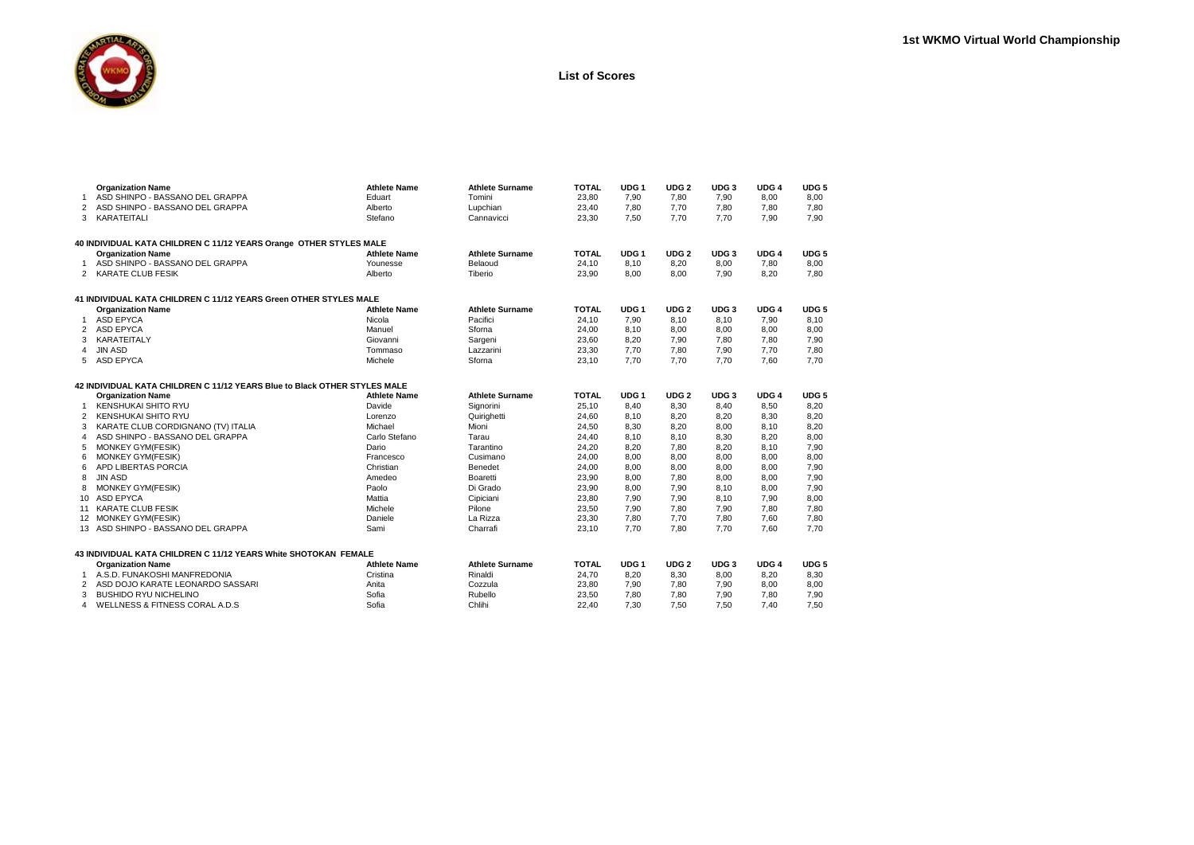

|                | <b>Organization Name</b>                                                  | <b>Athlete Name</b> | <b>Athlete Surname</b> | <b>TOTAL</b> | UDG <sub>1</sub> | UDG <sub>2</sub> | UDG 3            | UDG <sub>4</sub> | UDG <sub>5</sub> |
|----------------|---------------------------------------------------------------------------|---------------------|------------------------|--------------|------------------|------------------|------------------|------------------|------------------|
| -1             | ASD SHINPO - BASSANO DEL GRAPPA                                           | Eduart              | Tomini                 | 23,80        | 7,90             | 7,80             | 7,90             | 8,00             | 8,00             |
| $\overline{2}$ | ASD SHINPO - BASSANO DEL GRAPPA                                           | Alberto             | Lupchian               | 23,40        | 7,80             | 7,70             | 7,80             | 7,80             | 7,80             |
|                | 3 KARATEITALI                                                             | Stefano             | Cannavicci             | 23,30        | 7,50             | 7,70             | 7,70             | 7,90             | 7,90             |
|                | 40 INDIVIDUAL KATA CHILDREN C 11/12 YEARS Orange OTHER STYLES MALE        |                     |                        |              |                  |                  |                  |                  |                  |
|                | <b>Organization Name</b>                                                  | <b>Athlete Name</b> | <b>Athlete Surname</b> | <b>TOTAL</b> | UDG <sub>1</sub> | UDG <sub>2</sub> | UDG <sub>3</sub> | UDG 4            | UDG <sub>5</sub> |
| $\mathbf{1}$   | ASD SHINPO - BASSANO DEL GRAPPA                                           | Younesse            | Belaoud                | 24,10        | 8,10             | 8,20             | 8,00             | 7,80             | 8,00             |
|                | 2 KARATE CLUB FESIK                                                       | Alberto             | Tiberio                | 23,90        | 8,00             | 8,00             | 7,90             | 8,20             | 7,80             |
|                | 41 INDIVIDUAL KATA CHILDREN C 11/12 YEARS Green OTHER STYLES MALE         |                     |                        |              |                  |                  |                  |                  |                  |
|                | <b>Organization Name</b>                                                  | <b>Athlete Name</b> | <b>Athlete Surname</b> | <b>TOTAL</b> | UDG <sub>1</sub> | UDG <sub>2</sub> | UDG <sub>3</sub> | UDG <sub>4</sub> | UDG <sub>5</sub> |
| $\mathbf{1}$   | <b>ASD EPYCA</b>                                                          | Nicola              | Pacifici               | 24,10        | 7,90             | 8.10             | 8.10             | 7,90             | 8,10             |
| 2              | <b>ASD EPYCA</b>                                                          | Manuel              | Sforna                 | 24.00        | 8.10             | 8,00             | 8.00             | 8.00             | 8,00             |
| 3              | KARATEITALY                                                               | Giovanni            | Sargeni                | 23,60        | 8,20             | 7,90             | 7,80             | 7,80             | 7,90             |
| 4              | <b>JIN ASD</b>                                                            | Tommaso             | Lazzarini              | 23,30        | 7,70             | 7,80             | 7,90             | 7,70             | 7,80             |
| 5              | ASD EPYCA                                                                 | Michele             | Sforna                 | 23,10        | 7.70             | 7.70             | 7.70             | 7.60             | 7.70             |
|                | 42 INDIVIDUAL KATA CHILDREN C 11/12 YEARS Blue to Black OTHER STYLES MALE |                     |                        |              |                  |                  |                  |                  |                  |
|                | <b>Organization Name</b>                                                  | <b>Athlete Name</b> | <b>Athlete Surname</b> | <b>TOTAL</b> | UDG <sub>1</sub> | UDG <sub>2</sub> | UDG <sub>3</sub> | UDG <sub>4</sub> | UDG <sub>5</sub> |
| $\overline{1}$ | <b>KENSHUKAI SHITO RYU</b>                                                | Davide              | Signorini              | 25.10        | 8.40             | 8,30             | 8,40             | 8,50             | 8,20             |
| $\overline{2}$ | <b>KENSHUKAI SHITO RYU</b>                                                | Lorenzo             | Quirighetti            | 24,60        | 8,10             | 8,20             | 8,20             | 8,30             | 8,20             |
| 3              | KARATE CLUB CORDIGNANO (TV) ITALIA                                        | Michael             | Mioni                  | 24,50        | 8,30             | 8,20             | 8,00             | 8,10             | 8,20             |
| $\overline{4}$ | ASD SHINPO - BASSANO DEL GRAPPA                                           | Carlo Stefano       | Tarau                  | 24,40        | 8,10             | 8.10             | 8,30             | 8,20             | 8,00             |
| 5              | <b>MONKEY GYM(FESIK)</b>                                                  | Dario               | Tarantino              | 24,20        | 8.20             | 7,80             | 8,20             | 8.10             | 7,90             |
| 6              | <b>MONKEY GYM(FESIK)</b>                                                  | Francesco           | Cusimano               | 24,00        | 8,00             | 8,00             | 8,00             | 8,00             | 8,00             |
| 6              | APD LIBERTAS PORCIA                                                       | Christian           | Benedet                | 24,00        | 8,00             | 8,00             | 8,00             | 8,00             | 7,90             |
| 8              | <b>JIN ASD</b>                                                            | Amedeo              | Boaretti               | 23,90        | 8,00             | 7,80             | 8,00             | 8,00             | 7,90             |
| 8              | <b>MONKEY GYM(FESIK)</b>                                                  | Paolo               | Di Grado               | 23.90        | 8.00             | 7,90             | 8,10             | 8.00             | 7,90             |
|                | 10 ASD EPYCA                                                              | Mattia              | Cipiciani              | 23,80        | 7,90             | 7,90             | 8,10             | 7,90             | 8,00             |
|                | 11 KARATE CLUB FESIK                                                      | Michele             | Pilone                 | 23,50        | 7,90             | 7,80             | 7,90             | 7,80             | 7,80             |
|                | 12 MONKEY GYM(FESIK)                                                      | Daniele             | La Rizza               | 23,30        | 7,80             | 7,70             | 7,80             | 7,60             | 7,80             |
|                | 13 ASD SHINPO - BASSANO DEL GRAPPA                                        | Sami                | Charrafi               | 23.10        | 7.70             | 7.80             | 7.70             | 7.60             | 7.70             |
|                | 43 INDIVIDUAL KATA CHILDREN C 11/12 YEARS White SHOTOKAN  FEMALE          |                     |                        |              |                  |                  |                  |                  |                  |
|                | <b>Organization Name</b>                                                  | <b>Athlete Name</b> | <b>Athlete Surname</b> | <b>TOTAL</b> | UDG <sub>1</sub> | UDG <sub>2</sub> | UDG <sub>3</sub> | UDG <sub>4</sub> | UDG <sub>5</sub> |
| $\mathbf{1}$   | A.S.D. FUNAKOSHI MANFREDONIA                                              | Cristina            | Rinaldi                | 24,70        | 8,20             | 8,30             | 8,00             | 8,20             | 8,30             |
| 2              | ASD DOJO KARATE LEONARDO SASSARI                                          | Anita               | Cozzula                | 23,80        | 7,90             | 7,80             | 7,90             | 8,00             | 8,00             |
| 3              | BUSHIDO RYU NICHELINO                                                     | Sofia               | Rubello                | 23,50        | 7,80             | 7,80             | 7,90             | 7,80             | 7,90             |
| 4              | WELLNESS & FITNESS CORAL A.D.S                                            | Sofia               | Chlihi                 | 22.40        | 7.30             | 7.50             | 7.50             | 7.40             | 7.50             |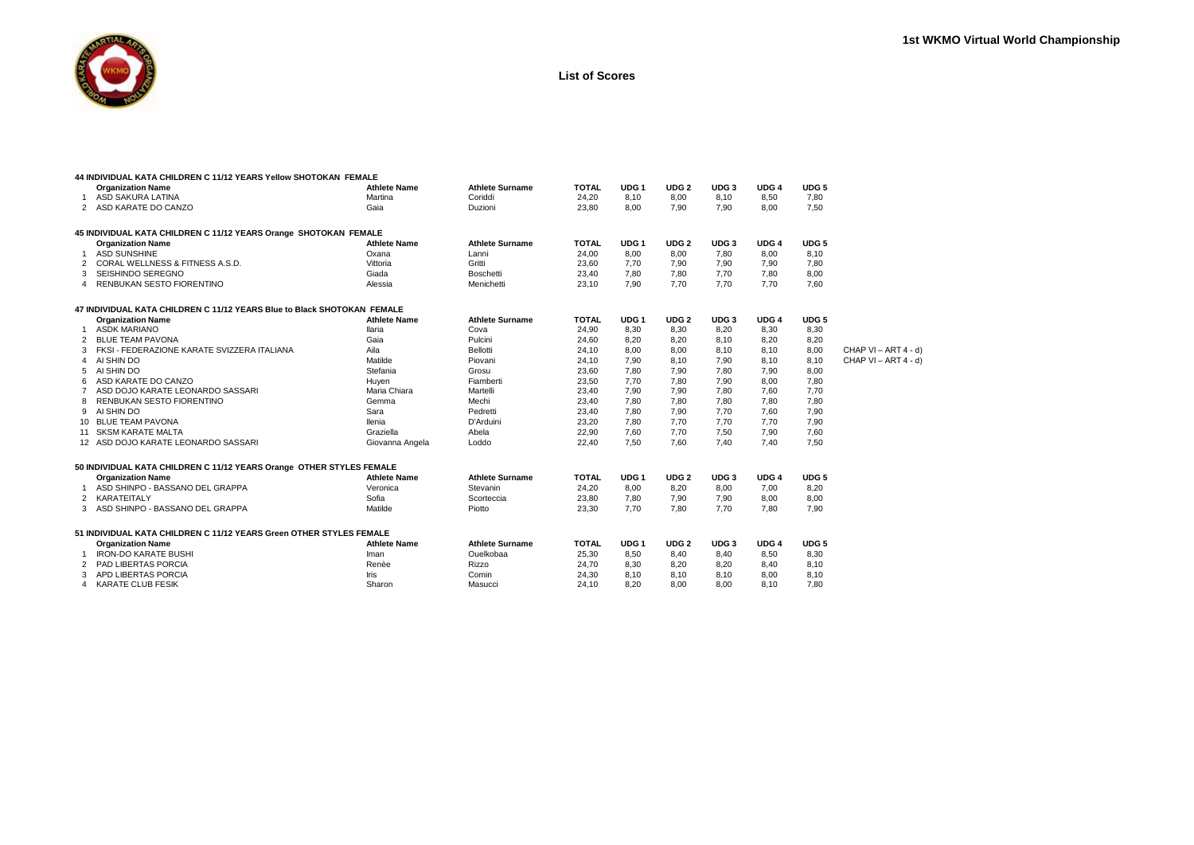

|                | 44 INDIVIDUAL KATA CHILDREN C 11/12 YEARS Yellow SHOTOKAN  FEMALE        |                     |                        |              |                  |                  |                  |                  |                  |                      |
|----------------|--------------------------------------------------------------------------|---------------------|------------------------|--------------|------------------|------------------|------------------|------------------|------------------|----------------------|
|                | <b>Organization Name</b>                                                 | <b>Athlete Name</b> | <b>Athlete Surname</b> | <b>TOTAL</b> | UDG <sub>1</sub> | UDG <sub>2</sub> | UDG <sub>3</sub> | UDG <sub>4</sub> | UDG <sub>5</sub> |                      |
|                | ASD SAKURA LATINA                                                        | Martina             | Coriddi                | 24,20        | 8,10             | 8,00             | 8,10             | 8,50             | 7,80             |                      |
|                | 2 ASD KARATE DO CANZO                                                    | Gaia                | Duzioni                | 23,80        | 8,00             | 7,90             | 7,90             | 8,00             | 7,50             |                      |
|                | 45 INDIVIDUAL KATA CHILDREN C 11/12 YEARS Orange SHOTOKAN FEMALE         |                     |                        |              |                  |                  |                  |                  |                  |                      |
|                | <b>Organization Name</b>                                                 | <b>Athlete Name</b> | <b>Athlete Surname</b> | <b>TOTAL</b> | UDG <sub>1</sub> | UDG <sub>2</sub> | UDG <sub>3</sub> | UDG <sub>4</sub> | UDG <sub>5</sub> |                      |
|                | <b>ASD SUNSHINE</b>                                                      | Oxana               | Lanni                  | 24,00        | 8,00             | 8,00             | 7,80             | 8,00             | 8,10             |                      |
| 2              | CORAL WELLNESS & FITNESS A.S.D.                                          | Vittoria            | Gritti                 | 23,60        | 7.70             | 7.90             | 7.90             | 7.90             | 7.80             |                      |
| 3              | SEISHINDO SEREGNO                                                        | Giada               | Boschetti              | 23,40        | 7,80             | 7,80             | 7,70             | 7,80             | 8,00             |                      |
| $\overline{4}$ | RENBUKAN SESTO FIORENTINO                                                | Alessia             | Menichetti             | 23,10        | 7,90             | 7,70             | 7,70             | 7,70             | 7,60             |                      |
|                | 47 INDIVIDUAL KATA CHILDREN C 11/12 YEARS Blue to Black SHOTOKAN  FEMALE |                     |                        |              |                  |                  |                  |                  |                  |                      |
|                | <b>Organization Name</b>                                                 | <b>Athlete Name</b> | <b>Athlete Surname</b> | <b>TOTAL</b> | UDG <sub>1</sub> | UDG <sub>2</sub> | UDG <sub>3</sub> | UDG <sub>4</sub> | UDG <sub>5</sub> |                      |
|                | 1 ASDK MARIANO                                                           | Ilaria              | Cova                   | 24,90        | 8,30             | 8,30             | 8,20             | 8,30             | 8,30             |                      |
| $\overline{2}$ | <b>BLUE TEAM PAVONA</b>                                                  | Gaia                | Pulcini                | 24,60        | 8,20             | 8,20             | 8,10             | 8.20             | 8,20             |                      |
| 3              | FKSI - FEDERAZIONE KARATE SVIZZERA ITALIANA                              | Aila                | Bellotti               | 24,10        | 8,00             | 8,00             | 8,10             | 8,10             | 8,00             | CHAP VI - ART 4 - d) |
| 4              | AI SHIN DO                                                               | Matilde             | Piovani                | 24,10        | 7,90             | 8,10             | 7.90             | 8,10             | 8,10             | CHAP VI - ART 4 - d) |
| 5              | AI SHIN DO                                                               | Stefania            | Grosu                  | 23,60        | 7.80             | 7.90             | 7.80             | 7.90             | 8,00             |                      |
| 6              | ASD KARATE DO CANZO                                                      | Huyen               | Fiamberti              | 23,50        | 7,70             | 7,80             | 7,90             | 8,00             | 7,80             |                      |
|                | ASD DOJO KARATE LEONARDO SASSARI                                         | Maria Chiara        | Martelli               | 23,40        | 7,90             | 7,90             | 7.80             | 7,60             | 7,70             |                      |
| 8              | RENBUKAN SESTO FIORENTINO                                                | Gemma               | Mechi                  | 23,40        | 7,80             | 7,80             | 7,80             | 7,80             | 7,80             |                      |
| 9              | AI SHIN DO                                                               | Sara                | Pedretti               | 23,40        | 7,80             | 7,90             | 7,70             | 7,60             | 7,90             |                      |
|                | 10 BLUE TEAM PAVONA                                                      | Ilenia              | D'Arduini              | 23,20        | 7,80             | 7.70             | 7,70             | 7,70             | 7,90             |                      |
|                | 11 SKSM KARATE MALTA                                                     | Graziella           | Abela                  | 22,90        | 7,60             | 7,70             | 7,50             | 7,90             | 7,60             |                      |
|                | 12 ASD DOJO KARATE LEONARDO SASSARI                                      | Giovanna Angela     | Loddo                  | 22,40        | 7,50             | 7.60             | 7.40             | 7.40             | 7,50             |                      |
|                | 50 INDIVIDUAL KATA CHILDREN C 11/12 YEARS Orange OTHER STYLES FEMALE     |                     |                        |              |                  |                  |                  |                  |                  |                      |
|                | <b>Organization Name</b>                                                 | <b>Athlete Name</b> | <b>Athlete Surname</b> | <b>TOTAL</b> | UDG <sub>1</sub> | UDG <sub>2</sub> | UDG <sub>3</sub> | UDG <sub>4</sub> | UDG <sub>5</sub> |                      |
|                | ASD SHINPO - BASSANO DEL GRAPPA                                          | Veronica            | Stevanin               | 24,20        | 8,00             | 8,20             | 8,00             | 7,00             | 8,20             |                      |
|                | 2 KARATEITALY                                                            | Sofia               | Scorteccia             | 23,80        | 7,80             | 7,90             | 7,90             | 8,00             | 8,00             |                      |
|                | 3 ASD SHINPO - BASSANO DEL GRAPPA                                        | Matilde             | Piotto                 | 23,30        | 7.70             | 7,80             | 7.70             | 7,80             | 7,90             |                      |
|                | 51 INDIVIDUAL KATA CHILDREN C 11/12 YEARS Green OTHER STYLES FEMALE      |                     |                        |              |                  |                  |                  |                  |                  |                      |
|                | <b>Organization Name</b>                                                 | <b>Athlete Name</b> | <b>Athlete Surname</b> | <b>TOTAL</b> | UDG <sub>1</sub> | UDG <sub>2</sub> | UDG <sub>3</sub> | UDG <sub>4</sub> | UDG <sub>5</sub> |                      |
| $\mathbf{1}$   | <b>IRON-DO KARATE BUSHI</b>                                              | Iman                | Ouelkobaa              | 25,30        | 8,50             | 8,40             | 8,40             | 8,50             | 8,30             |                      |
|                | PAD LIBERTAS PORCIA                                                      | Renèe               | Rizzo                  | 24,70        | 8,30             | 8,20             | 8,20             | 8,40             | 8,10             |                      |
| 3              | APD LIBERTAS PORCIA                                                      | Iris                | Comin                  | 24,30        | 8,10             | 8,10             | 8,10             | 8,00             | 8,10             |                      |
| 4              | KARATE CLUB FESIK                                                        | Sharon              | Masucci                | 24.10        | 8,20             | 8.00             | 8.00             | 8.10             | 7.80             |                      |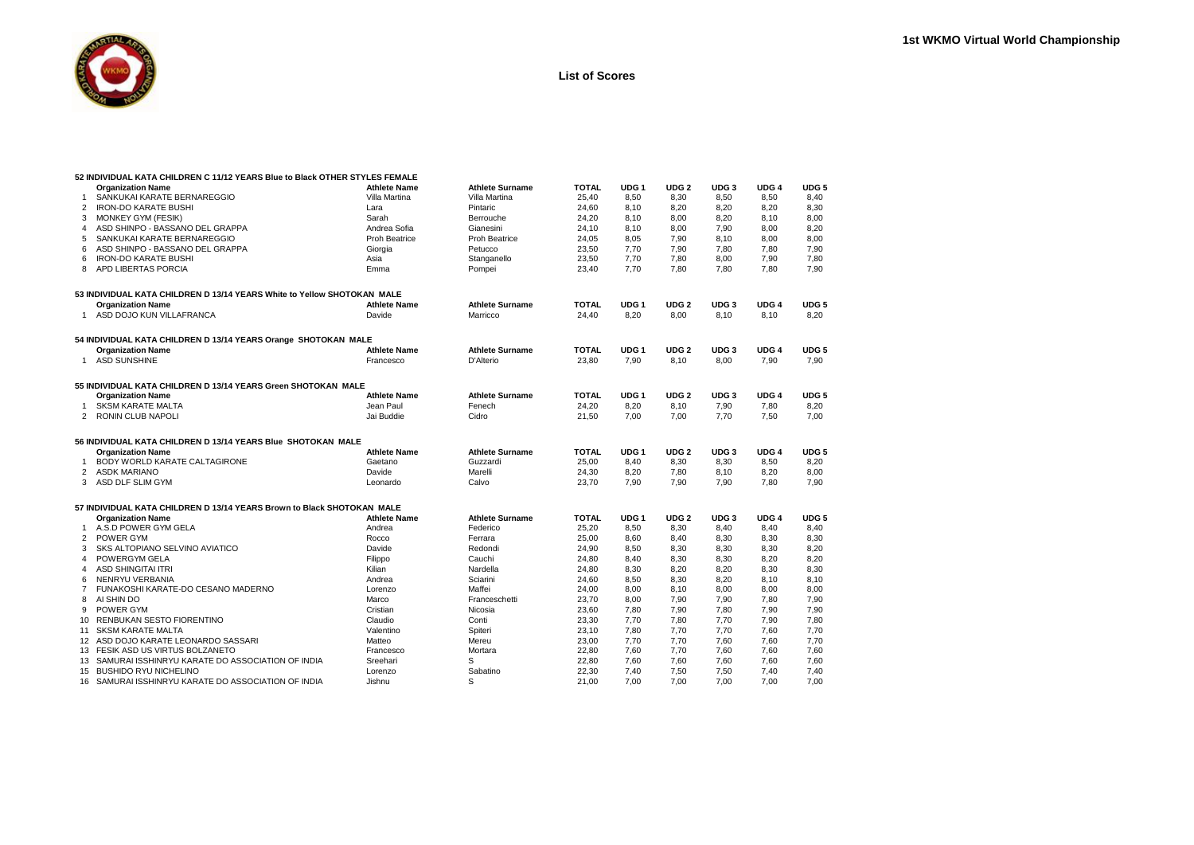

|                | 52 INDIVIDUAL KATA CHILDREN C 11/12 YEARS Blue to Black OTHER STYLES FEMALE |                      |                        |              |                  |                  |                  |                  |                  |
|----------------|-----------------------------------------------------------------------------|----------------------|------------------------|--------------|------------------|------------------|------------------|------------------|------------------|
|                | <b>Organization Name</b>                                                    | <b>Athlete Name</b>  | <b>Athlete Surname</b> | <b>TOTAL</b> | UDG <sub>1</sub> | UDG <sub>2</sub> | UDG <sub>3</sub> | UDG <sub>4</sub> | UDG <sub>5</sub> |
| 1              | SANKUKAI KARATE BERNAREGGIO                                                 | Villa Martina        | Villa Martina          | 25,40        | 8,50             | 8,30             | 8,50             | 8,50             | 8,40             |
| $\overline{2}$ | <b>IRON-DO KARATE BUSHI</b>                                                 | Lara                 | Pintaric               | 24,60        | 8.10             | 8.20             | 8.20             | 8.20             | 8,30             |
| 3              | MONKEY GYM (FESIK)                                                          | Sarah                | Berrouche              | 24,20        | 8.10             | 8.00             | 8,20             | 8.10             | 8,00             |
| 4              | ASD SHINPO - BASSANO DEL GRAPPA                                             | Andrea Sofia         | Gianesini              | 24,10        | 8,10             | 8,00             | 7,90             | 8,00             | 8,20             |
| 5              | SANKUKAI KARATE BERNAREGGIO                                                 | <b>Proh Beatrice</b> | Proh Beatrice          | 24,05        | 8,05             | 7,90             | 8,10             | 8.00             | 8,00             |
| 6              | ASD SHINPO - BASSANO DEL GRAPPA                                             | Giorgia              | Petucco                | 23,50        | 7,70             | 7,90             | 7,80             | 7,80             | 7,90             |
| 6              | <b>IRON-DO KARATE BUSHI</b>                                                 | Asia                 | Stanganello            | 23,50        | 7,70             | 7,80             | 8.00             | 7,90             | 7,80             |
| 8              | APD LIBERTAS PORCIA                                                         | Emma                 | Pompei                 | 23,40        | 7,70             | 7,80             | 7,80             | 7.80             | 7,90             |
|                | 53 INDIVIDUAL KATA CHILDREN D 13/14 YEARS White to Yellow SHOTOKAN MALE     |                      |                        |              |                  |                  |                  |                  |                  |
|                | <b>Organization Name</b>                                                    | <b>Athlete Name</b>  | <b>Athlete Surname</b> | <b>TOTAL</b> | UDG <sub>1</sub> | UDG <sub>2</sub> | UDG <sub>3</sub> | UDG <sub>4</sub> | UDG <sub>5</sub> |
|                | 1 ASD DOJO KUN VILLAFRANCA                                                  | Davide               | Marricco               | 24,40        | 8,20             | 8,00             | 8,10             | 8.10             | 8,20             |
|                | 54 INDIVIDUAL KATA CHILDREN D 13/14 YEARS Orange SHOTOKAN MALE              |                      |                        |              |                  |                  |                  |                  |                  |
|                | <b>Organization Name</b>                                                    | <b>Athlete Name</b>  | <b>Athlete Surname</b> | <b>TOTAL</b> | UDG <sub>1</sub> | UDG <sub>2</sub> | UDG <sub>3</sub> | UDG <sub>4</sub> | UDG <sub>5</sub> |
| 1              | <b>ASD SUNSHINE</b>                                                         | Francesco            | D'Alterio              | 23,80        | 7,90             | 8,10             | 8,00             | 7,90             | 7,90             |
|                | 55 INDIVIDUAL KATA CHILDREN D 13/14 YEARS Green SHOTOKAN MALE               |                      |                        |              |                  |                  |                  |                  |                  |
|                | <b>Organization Name</b>                                                    | <b>Athlete Name</b>  | <b>Athlete Surname</b> | <b>TOTAL</b> | UDG <sub>1</sub> | UDG <sub>2</sub> | UDG <sub>3</sub> | UDG <sub>4</sub> | UDG <sub>5</sub> |
| 1              | <b>SKSM KARATE MALTA</b>                                                    | Jean Paul            | Fenech                 | 24,20        | 8,20             | 8,10             | 7,90             | 7,80             | 8,20             |
| $\overline{2}$ | <b>RONIN CLUB NAPOLI</b>                                                    | Jai Buddie           | Cidro                  | 21,50        | 7.00             | 7.00             | 7.70             | 7.50             | 7.00             |
|                | 56 INDIVIDUAL KATA CHILDREN D 13/14 YEARS Blue SHOTOKAN MALE                |                      |                        |              |                  |                  |                  |                  |                  |
|                | <b>Organization Name</b>                                                    | <b>Athlete Name</b>  | <b>Athlete Surname</b> | <b>TOTAL</b> | UDG <sub>1</sub> | UDG <sub>2</sub> | UDG <sub>3</sub> | UDG <sub>4</sub> | UDG <sub>5</sub> |
| 1              | BODY WORLD KARATE CALTAGIRONE                                               | Gaetano              | Guzzardi               | 25,00        | 8,40             | 8,30             | 8,30             | 8,50             | 8,20             |
| $\overline{2}$ | <b>ASDK MARIANO</b>                                                         | Davide               | Marelli                | 24,30        | 8,20             | 7,80             | 8,10             | 8,20             | 8,00             |
| 3              | ASD DLF SLIM GYM                                                            | Leonardo             | Calvo                  | 23,70        | 7,90             | 7,90             | 7,90             | 7,80             | 7,90             |
|                | 57 INDIVIDUAL KATA CHILDREN D 13/14 YEARS Brown to Black SHOTOKAN MALE      |                      |                        |              |                  |                  |                  |                  |                  |
|                | <b>Organization Name</b>                                                    | <b>Athlete Name</b>  | <b>Athlete Surname</b> | <b>TOTAL</b> | UDG <sub>1</sub> | UDG <sub>2</sub> | UDG <sub>3</sub> | UDG <sub>4</sub> | UDG <sub>5</sub> |
| 1              | A.S.D POWER GYM GELA                                                        | Andrea               | Federico               | 25,20        | 8.50             | 8,30             | 8.40             | 8.40             | 8.40             |
| 2              | POWER GYM                                                                   | Rocco                | Ferrara                | 25,00        | 8.60             | 8,40             | 8.30             | 8.30             | 8,30             |
| 3              | SKS ALTOPIANO SELVINO AVIATICO                                              | Davide               | Redondi                | 24,90        | 8.50             | 8.30             | 8.30             | 8.30             | 8,20             |
| 4              | POWERGYM GELA                                                               | Filippo              | Cauchi                 | 24,80        | 8,40             | 8,30             | 8,30             | 8,20             | 8,20             |
| 4              | <b>ASD SHINGITAI ITRI</b>                                                   | Kilian               | Nardella               | 24,80        | 8,30             | 8,20             | 8,20             | 8,30             | 8,30             |
| 6              | NENRYU VERBANIA                                                             | Andrea               | Sciarini               | 24,60        | 8,50             | 8,30             | 8,20             | 8.10             | 8,10             |
| $\overline{7}$ | FUNAKOSHI KARATE-DO CESANO MADERNO                                          | Lorenzo              | Maffei                 | 24,00        | 8,00             | 8,10             | 8,00             | 8,00             | 8,00             |
| 8              | AI SHIN DO                                                                  | Marco                | Franceschetti          | 23,70        | 8.00             | 7,90             | 7,90             | 7.80             | 7,90             |
| 9              | POWER GYM                                                                   | Cristian             | Nicosia                | 23,60        | 7.80             | 7,90             | 7,80             | 7,90             | 7,90             |
|                | 10 RENBUKAN SESTO FIORENTINO                                                | Claudio              | Conti                  | 23,30        | 7,70             | 7,80             | 7,70             | 7,90             | 7,80             |
| 11             | <b>SKSM KARATE MALTA</b>                                                    | Valentino            | Spiteri                | 23,10        | 7.80             | 7,70             | 7.70             | 7.60             | 7,70             |
|                | 12 ASD DOJO KARATE LEONARDO SASSARI                                         | Matteo               | Mereu                  | 23,00        | 7,70             | 7,70             | 7,60             | 7,60             | 7,70             |
|                | 13 FESIK ASD US VIRTUS BOLZANETO                                            | Francesco            | Mortara                | 22,80        | 7.60             | 7,70             | 7.60             | 7.60             | 7.60             |
|                | 13 SAMURAI ISSHINRYU KARATE DO ASSOCIATION OF INDIA                         | Sreehari             | S                      | 22,80        | 7,60             | 7,60             | 7,60             | 7,60             | 7,60             |
|                | 15 BUSHIDO RYU NICHELINO                                                    | Lorenzo              | Sabatino               | 22,30        | 7,40             | 7,50             | 7,50             | 7,40             | 7,40             |
|                | 16 SAMURAI ISSHINRYU KARATE DO ASSOCIATION OF INDIA                         | Jishnu               | S                      | 21.00        | 7.00             | 7.00             | 7.00             | 7.00             | 7.00             |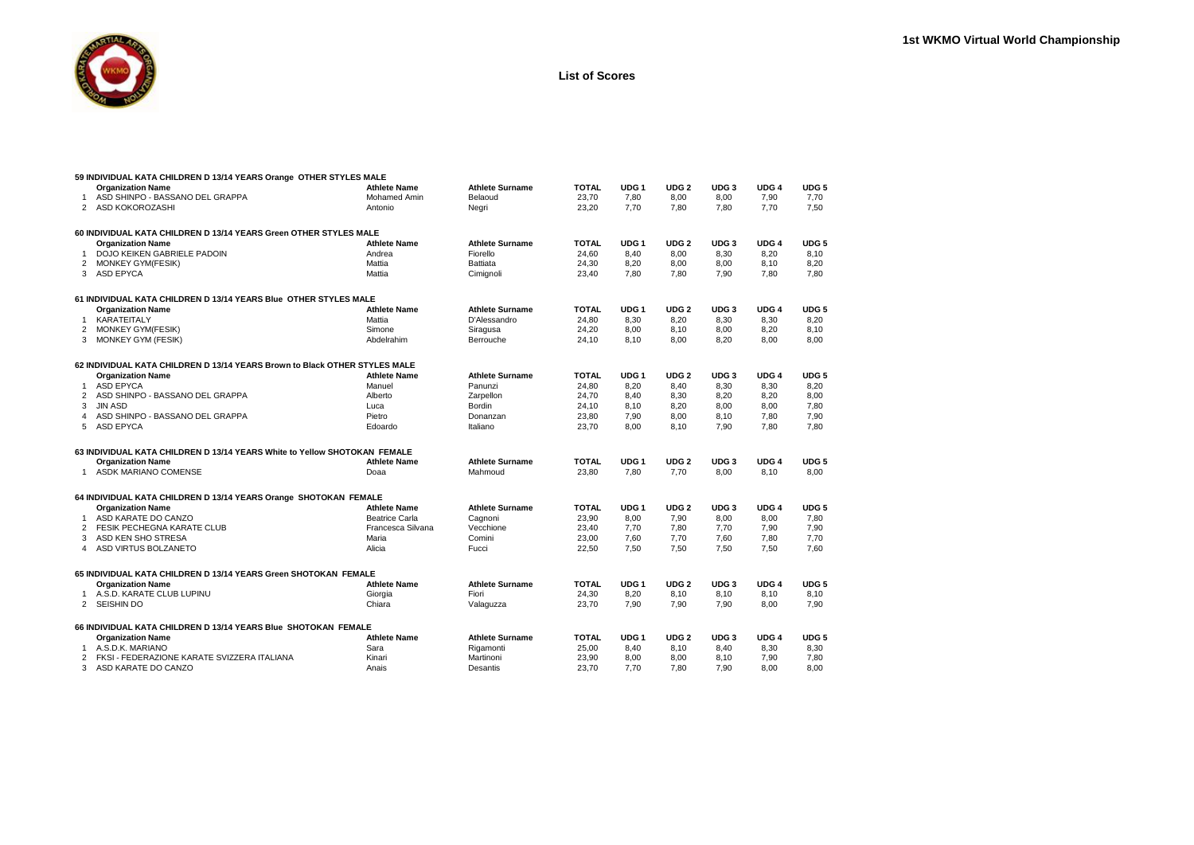

|                | 59 INDIVIDUAL KATA CHILDREN D 13/14 YEARS Orange OTHER STYLES MALE         |                       |                        |              |                  |                  |                  |                  |                  |
|----------------|----------------------------------------------------------------------------|-----------------------|------------------------|--------------|------------------|------------------|------------------|------------------|------------------|
|                | <b>Organization Name</b>                                                   | <b>Athlete Name</b>   | <b>Athlete Surname</b> | TOTAL        | UDG <sub>1</sub> | UDG <sub>2</sub> | UDG <sub>3</sub> | UDG <sub>4</sub> | UDG <sub>5</sub> |
|                | ASD SHINPO - BASSANO DEL GRAPPA                                            | <b>Mohamed Amin</b>   | Belaoud                | 23,70        | 7,80             | 8,00             | 8,00             | 7,90             | 7,70             |
| $\overline{2}$ | ASD KOKOROZASHI                                                            | Antonio               | Negri                  | 23,20        | 7,70             | 7,80             | 7,80             | 7,70             | 7,50             |
|                |                                                                            |                       |                        |              |                  |                  |                  |                  |                  |
|                | 60 INDIVIDUAL KATA CHILDREN D 13/14 YEARS Green OTHER STYLES MALE          |                       |                        |              |                  |                  |                  |                  |                  |
|                | <b>Organization Name</b>                                                   | <b>Athlete Name</b>   | <b>Athlete Surname</b> | <b>TOTAL</b> | UDG <sub>1</sub> | UDG <sub>2</sub> | UDG <sub>3</sub> | UDG <sub>4</sub> | UDG <sub>5</sub> |
| 1              | DOJO KEIKEN GABRIELE PADOIN                                                | Andrea                | Fiorello               | 24,60        | 8.40             | 8.00             | 8.30             | 8.20             | 8.10             |
| 2              | <b>MONKEY GYM(FESIK)</b>                                                   | Mattia                | <b>Battiata</b>        | 24,30        | 8,20             | 8,00             | 8,00             | 8,10             | 8,20             |
|                | 3 ASD EPYCA                                                                | Mattia                | Cimignoli              | 23,40        | 7.80             | 7.80             | 7.90             | 7.80             | 7.80             |
|                | 61 INDIVIDUAL KATA CHILDREN D 13/14 YEARS Blue OTHER STYLES MALE           |                       |                        |              |                  |                  |                  |                  |                  |
|                | <b>Organization Name</b>                                                   | <b>Athlete Name</b>   | <b>Athlete Surname</b> | <b>TOTAL</b> | UDG <sub>1</sub> | UDG <sub>2</sub> | UDG <sub>3</sub> | UDG <sub>4</sub> | UDG <sub>5</sub> |
|                | KARATEITALY                                                                |                       |                        |              | 8.30             |                  | 8.30             |                  |                  |
| 1              |                                                                            | Mattia                | D'Alessandro           | 24,80        |                  | 8,20             |                  | 8,30             | 8,20             |
| 2              | <b>MONKEY GYM(FESIK)</b>                                                   | Simone                | Siragusa               | 24,20        | 8,00             | 8,10             | 8,00             | 8,20             | 8,10             |
| 3              | MONKEY GYM (FESIK)                                                         | Abdelrahim            | Berrouche              | 24.10        | 8.10             | 8,00             | 8,20             | 8.00             | 8,00             |
|                | 62 INDIVIDUAL KATA CHILDREN D 13/14 YEARS Brown to Black OTHER STYLES MALE |                       |                        |              |                  |                  |                  |                  |                  |
|                | <b>Organization Name</b>                                                   | <b>Athlete Name</b>   | <b>Athlete Surname</b> | <b>TOTAL</b> | UDG <sub>1</sub> | UDG <sub>2</sub> | UDG <sub>3</sub> | UDG <sub>4</sub> | UDG <sub>5</sub> |
|                | <b>ASD EPYCA</b>                                                           | Manuel                | Panunzi                | 24,80        | 8,20             | 8,40             | 8,30             | 8,30             | 8,20             |
| 2              | ASD SHINPO - BASSANO DEL GRAPPA                                            | Alberto               | Zarpellon              | 24,70        | 8,40             | 8,30             | 8,20             | 8,20             | 8,00             |
| 3              | <b>JIN ASD</b>                                                             | Luca                  | Bordin                 | 24,10        | 8,10             | 8,20             | 8,00             | 8,00             | 7,80             |
| $\overline{a}$ | ASD SHINPO - BASSANO DEL GRAPPA                                            | Pietro                | Donanzan               | 23,80        | 7,90             | 8,00             | 8,10             | 7,80             | 7,90             |
| 5              | ASD EPYCA                                                                  | Edoardo               | Italiano               | 23,70        | 8,00             | 8,10             | 7,90             | 7,80             | 7,80             |
|                |                                                                            |                       |                        |              |                  |                  |                  |                  |                  |
|                | 63 INDIVIDUAL KATA CHILDREN D 13/14 YEARS White to Yellow SHOTOKAN FEMALE  | <b>Athlete Name</b>   | <b>Athlete Surname</b> | <b>TOTAL</b> | UDG <sub>1</sub> | UDG <sub>2</sub> | UDG <sub>3</sub> | UDG <sub>4</sub> | UDG <sub>5</sub> |
|                | <b>Organization Name</b>                                                   |                       |                        |              |                  |                  |                  |                  |                  |
| -1             | ASDK MARIANO COMENSE                                                       | Doaa                  | Mahmoud                | 23,80        | 7.80             | 7.70             | 8.00             | 8.10             | 8.00             |
|                | 64 INDIVIDUAL KATA CHILDREN D 13/14 YEARS Orange SHOTOKAN FEMALE           |                       |                        |              |                  |                  |                  |                  |                  |
|                | <b>Organization Name</b>                                                   | <b>Athlete Name</b>   | <b>Athlete Surname</b> | <b>TOTAL</b> | UDG <sub>1</sub> | UDG <sub>2</sub> | UDG <sub>3</sub> | UDG <sub>4</sub> | UDG <sub>5</sub> |
|                | ASD KARATE DO CANZO                                                        | <b>Beatrice Carla</b> | Cagnoni                | 23,90        | 8,00             | 7,90             | 8,00             | 8,00             | 7,80             |
| 2              | <b>FESIK PECHEGNA KARATE CLUB</b>                                          | Francesca Silvana     | Vecchione              | 23,40        | 7.70             | 7.80             | 7.70             | 7.90             | 7,90             |
| 3              | ASD KEN SHO STRESA                                                         | Maria                 | Comini                 | 23,00        | 7,60             | 7,70             | 7,60             | 7,80             | 7,70             |
| $\overline{4}$ | ASD VIRTUS BOLZANETO                                                       | Alicia                | Fucci                  | 22,50        | 7,50             | 7,50             | 7,50             | 7,50             | 7,60             |
|                | 65 INDIVIDUAL KATA CHILDREN D 13/14 YEARS Green SHOTOKAN FEMALE            |                       |                        |              |                  |                  |                  |                  |                  |
|                | <b>Organization Name</b>                                                   | <b>Athlete Name</b>   | <b>Athlete Surname</b> | <b>TOTAL</b> | UDG <sub>1</sub> | UDG <sub>2</sub> | UDG <sub>3</sub> | UDG <sub>4</sub> | UDG <sub>5</sub> |
|                | A.S.D. KARATE CLUB LUPINU                                                  | Giorgia               | Fiori                  | 24,30        | 8,20             | 8,10             | 8.10             | 8.10             | 8.10             |
| 1<br>2         | <b>SEISHIN DO</b>                                                          | Chiara                |                        | 23,70        | 7,90             | 7,90             | 7,90             | 8,00             | 7,90             |
|                |                                                                            |                       | Valaguzza              |              |                  |                  |                  |                  |                  |
|                | 66 INDIVIDUAL KATA CHILDREN D 13/14 YEARS Blue SHOTOKAN FEMALE             |                       |                        |              |                  |                  |                  |                  |                  |
|                | <b>Organization Name</b>                                                   | <b>Athlete Name</b>   | <b>Athlete Surname</b> | <b>TOTAL</b> | UDG <sub>1</sub> | UDG <sub>2</sub> | UDG <sub>3</sub> | UDG <sub>4</sub> | UDG <sub>5</sub> |
|                | A.S.D.K. MARIANO                                                           | Sara                  | Rigamonti              | 25,00        | 8.40             | 8.10             | 8.40             | 8.30             | 8.30             |
| 2              | FKSI - FEDERAZIONE KARATE SVIZZERA ITALIANA                                | Kinari                | Martinoni              | 23.90        | 8.00             | 8.00             | 8.10             | 7.90             | 7,80             |
| 3              | ASD KARATE DO CANZO                                                        | Anais                 | Desantis               | 23.70        | 7.70             | 7.80             | 7.90             | 8.00             | 8.00             |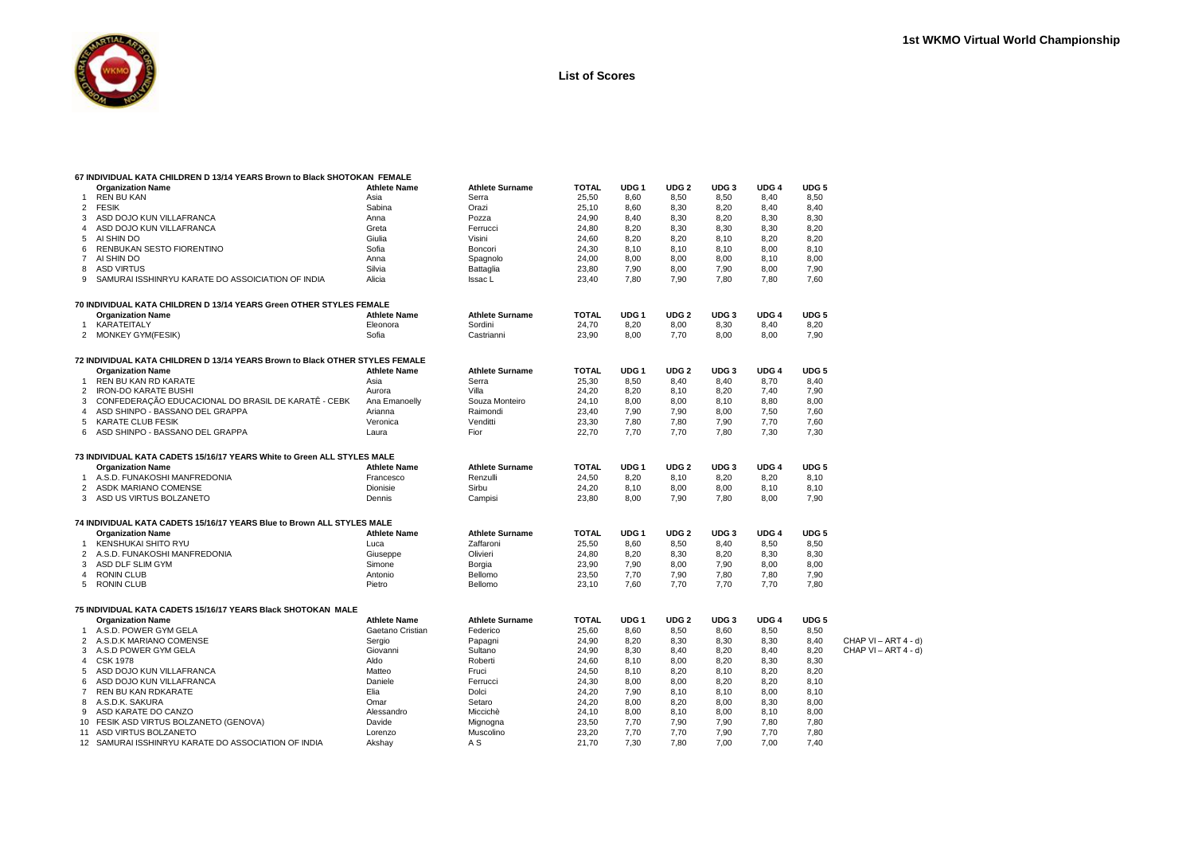

|                | 67 INDIVIDUAL KATA CHILDREN D 13/14 YEARS Brown to Black SHOTOKAN  FEMALE                                                           |                                  |                                    |                       |                          |                          |                          |                          |                          |                      |
|----------------|-------------------------------------------------------------------------------------------------------------------------------------|----------------------------------|------------------------------------|-----------------------|--------------------------|--------------------------|--------------------------|--------------------------|--------------------------|----------------------|
|                | <b>Organization Name</b>                                                                                                            | <b>Athlete Name</b>              | <b>Athlete Surname</b>             | <b>TOTAL</b>          | UDG <sub>1</sub>         | UDG <sub>2</sub>         | UDG <sub>3</sub>         | UDG <sub>4</sub>         | UDG 5                    |                      |
| -1             | <b>REN BU KAN</b>                                                                                                                   | Asia                             | Serra                              | 25,50                 | 8,60                     | 8,50                     | 8,50                     | 8,40                     | 8,50                     |                      |
| $\overline{2}$ | <b>FESIK</b>                                                                                                                        | Sabina                           | Orazi                              | 25,10                 | 8,60                     | 8,30                     | 8,20                     | 8,40                     | 8,40                     |                      |
| 3              | ASD DOJO KUN VILLAFRANCA                                                                                                            | Anna                             | Pozza                              | 24,90                 | 8.40                     | 8,30                     | 8,20                     | 8,30                     | 8,30                     |                      |
| 4              | ASD DOJO KUN VILLAFRANCA                                                                                                            | Greta                            | Ferrucci                           | 24,80                 | 8,20                     | 8,30                     | 8,30                     | 8,30                     | 8,20                     |                      |
| 5              | AI SHIN DO                                                                                                                          | Giulia                           | Visini                             | 24,60                 | 8,20                     | 8,20                     | 8.10                     | 8,20                     | 8,20                     |                      |
| 6              | RENBUKAN SESTO FIORENTINO                                                                                                           | Sofia                            | Boncori                            | 24,30                 | 8,10                     | 8.10                     | 8.10                     | 8,00                     | 8,10                     |                      |
| 7              | AI SHIN DO                                                                                                                          | Anna                             | Spagnolo                           | 24,00                 | 8,00                     | 8,00                     | 8,00                     | 8,10                     | 8,00                     |                      |
| 8              | <b>ASD VIRTUS</b>                                                                                                                   | Silvia                           | Battaglia                          | 23,80                 | 7,90                     | 8,00                     | 7,90                     | 8,00                     | 7,90                     |                      |
| 9              | SAMURAI ISSHINRYU KARATE DO ASSOICIATION OF INDIA                                                                                   | Alicia                           | Issac L                            | 23,40                 | 7,80                     | 7,90                     | 7,80                     | 7,80                     | 7,60                     |                      |
|                | 70 INDIVIDUAL KATA CHILDREN D 13/14 YEARS Green OTHER STYLES FEMALE                                                                 |                                  |                                    |                       |                          |                          |                          |                          |                          |                      |
|                | <b>Organization Name</b>                                                                                                            | <b>Athlete Name</b>              | <b>Athlete Surname</b>             | <b>TOTAL</b>          | UDG <sub>1</sub>         | UDG <sub>2</sub>         | UDG <sub>3</sub>         | UDG <sub>4</sub>         | UDG <sub>5</sub>         |                      |
| $\mathbf{1}$   | KARATEITALY                                                                                                                         | Eleonora                         | Sordini                            | 24,70                 | 8,20                     | 8,00                     | 8,30                     | 8,40                     | 8,20                     |                      |
|                | 2 MONKEY GYM(FESIK)                                                                                                                 | Sofia                            | Castrianni                         | 23,90                 | 8,00                     | 7,70                     | 8,00                     | 8,00                     | 7,90                     |                      |
|                | 72 INDIVIDUAL KATA CHILDREN D 13/14 YEARS Brown to Black OTHER STYLES FEMALE                                                        |                                  |                                    |                       |                          |                          |                          |                          |                          |                      |
|                | <b>Organization Name</b>                                                                                                            | <b>Athlete Name</b>              | <b>Athlete Surname</b>             | <b>TOTAL</b>          | UDG <sub>1</sub>         | UDG <sub>2</sub>         | UDG 3                    | UDG 4                    | UDG <sub>5</sub>         |                      |
| -1             | REN BU KAN RD KARATE                                                                                                                | Asia                             | Serra                              | 25,30                 | 8,50                     | 8,40                     | 8,40                     | 8,70                     | 8,40                     |                      |
| 2              | <b>IRON-DO KARATE BUSHI</b>                                                                                                         | Aurora                           | Villa                              | 24,20                 | 8,20                     | 8,10                     | 8,20                     | 7,40                     | 7,90                     |                      |
| 3              | CONFEDERAÇÃO EDUCACIONAL DO BRASIL DE KARATÊ - CEBK                                                                                 | Ana Emanoelly                    | Souza Monteiro                     | 24,10                 | 8,00                     | 8,00                     | 8.10                     | 8,80                     | 8,00                     |                      |
| 4              | ASD SHINPO - BASSANO DEL GRAPPA                                                                                                     | Arianna                          | Raimondi                           | 23,40                 | 7,90                     | 7,90                     | 8,00                     | 7,50                     | 7,60                     |                      |
| 5              | <b>KARATE CLUB FESIK</b>                                                                                                            | Veronica                         | Venditti                           | 23,30                 | 7.80                     | 7.80                     | 7,90                     | 7,70                     | 7,60                     |                      |
| 6.             | ASD SHINPO - BASSANO DEL GRAPPA                                                                                                     | Laura                            | Fior                               | 22,70                 | 7.70                     | 7.70                     | 7.80                     | 7.30                     | 7.30                     |                      |
| 1              | 73 INDIVIDUAL KATA CADETS 15/16/17 YEARS White to Green ALL STYLES MALE<br><b>Organization Name</b><br>A.S.D. FUNAKOSHI MANFREDONIA | <b>Athlete Name</b><br>Francesco | <b>Athlete Surname</b><br>Renzulli | <b>TOTAL</b><br>24,50 | UDG <sub>1</sub><br>8,20 | UDG <sub>2</sub><br>8,10 | UDG <sub>3</sub><br>8,20 | UDG <sub>4</sub><br>8,20 | UDG <sub>5</sub><br>8,10 |                      |
| 2              | ASDK MARIANO COMENSE                                                                                                                | Dionisie                         | Sirbu                              | 24,20                 | 8,10                     | 8,00                     | 8,00                     | 8,10                     | 8,10                     |                      |
|                | 3 ASD US VIRTUS BOLZANETO                                                                                                           | Dennis                           | Campisi                            | 23,80                 | 8,00                     | 7,90                     | 7.80                     | 8,00                     | 7,90                     |                      |
|                | 74 INDIVIDUAL KATA CADETS 15/16/17 YEARS Blue to Brown ALL STYLES MALE                                                              |                                  |                                    |                       |                          |                          |                          |                          |                          |                      |
|                | <b>Organization Name</b>                                                                                                            | <b>Athlete Name</b>              | <b>Athlete Surname</b>             | <b>TOTAL</b>          | UDG <sub>1</sub>         | UDG <sub>2</sub>         | UDG <sub>3</sub>         | UDG <sub>4</sub>         | UDG <sub>5</sub>         |                      |
| -1             | KENSHUKAI SHITO RYU                                                                                                                 | Luca                             | Zaffaroni                          | 25,50                 | 8,60                     | 8,50                     | 8,40                     | 8,50                     | 8,50                     |                      |
| 2              | A.S.D. FUNAKOSHI MANFREDONIA                                                                                                        | Giuseppe                         | Olivieri                           | 24,80                 | 8,20                     | 8,30                     | 8,20                     | 8,30                     | 8,30                     |                      |
| 3              | ASD DLF SLIM GYM                                                                                                                    | Simone                           | Borgia                             | 23,90                 | 7,90                     | 8,00                     | 7,90                     | 8,00                     | 8,00                     |                      |
| $\overline{4}$ | <b>RONIN CLUB</b>                                                                                                                   | Antonio                          | Bellomo                            | 23,50                 | 7,70                     | 7,90                     | 7,80                     | 7,80                     | 7,90                     |                      |
|                | 5 RONIN CLUB                                                                                                                        | Pietro                           | Bellomo                            | 23,10                 | 7.60                     | 7.70                     | 7.70                     | 7.70                     | 7.80                     |                      |
|                |                                                                                                                                     |                                  |                                    |                       |                          |                          |                          |                          |                          |                      |
|                | 75 INDIVIDUAL KATA CADETS 15/16/17 YEARS Black SHOTOKAN  MALE<br><b>Organization Name</b>                                           | <b>Athlete Name</b>              | <b>Athlete Surname</b>             | TOTAL                 | UDG <sub>1</sub>         | UDG <sub>2</sub>         | UDG <sub>3</sub>         | UDG <sub>4</sub>         | UDG <sub>5</sub>         |                      |
| -1             | A.S.D. POWER GYM GELA                                                                                                               | Gaetano Cristian                 | Federico                           | 25.60                 | 8.60                     | 8.50                     | 8.60                     | 8.50                     | 8.50                     |                      |
| 2              | A.S.D.K MARIANO COMENSE                                                                                                             | Sergio                           | Papagni                            | 24,90                 | 8,20                     | 8,30                     | 8,30                     | 8,30                     | 8,40                     | CHAP VI - ART 4 - d) |
|                | 3 A.S.D POWER GYM GELA                                                                                                              | Giovanni                         | Sultano                            | 24,90                 | 8,30                     | 8,40                     | 8,20                     | 8,40                     | 8,20                     | CHAP VI - ART 4 - d) |
| $\overline{4}$ | <b>CSK 1978</b>                                                                                                                     | Aldo                             | Roberti                            | 24,60                 | 8,10                     | 8,00                     | 8,20                     | 8,30                     | 8,30                     |                      |
| 5              | ASD DOJO KUN VILLAFRANCA                                                                                                            | Matteo                           | Fruci                              | 24,50                 | 8,10                     | 8,20                     | 8,10                     | 8,20                     | 8,20                     |                      |
| 6              | ASD DOJO KUN VILLAFRANCA                                                                                                            | Daniele                          | Ferrucci                           | 24,30                 | 8,00                     | 8,00                     | 8,20                     | 8,20                     | 8,10                     |                      |
| 7              | REN BU KAN RDKARATE                                                                                                                 | Elia                             | Dolci                              | 24,20                 | 7,90                     | 8,10                     | 8,10                     | 8,00                     | 8,10                     |                      |
| 8              | A.S.D.K. SAKURA                                                                                                                     | Omar                             | Setaro                             | 24,20                 | 8,00                     | 8,20                     | 8,00                     | 8,30                     | 8,00                     |                      |
| 9              | ASD KARATE DO CANZO                                                                                                                 | Alessandro                       | Miccichè                           | 24,10                 | 8,00                     | 8,10                     | 8,00                     | 8,10                     | 8,00                     |                      |
| 10             | FESIK ASD VIRTUS BOLZANETO (GENOVA)                                                                                                 | Davide                           | Mignogna                           | 23,50                 | 7.70                     | 7.90                     | 7.90                     | 7.80                     | 7,80                     |                      |
|                | 11 ASD VIRTUS BOLZANETO                                                                                                             | Lorenzo                          | Muscolino                          | 23,20                 | 7,70                     | 7,70                     | 7,90                     | 7,70                     | 7,80                     |                      |
|                | 12 SAMURAI ISSHINRYU KARATE DO ASSOCIATION OF INDIA                                                                                 | Akshay                           | A S                                | 21,70                 | 7,30                     | 7.80                     | 7.00                     | 7,00                     | 7.40                     |                      |
|                |                                                                                                                                     |                                  |                                    |                       |                          |                          |                          |                          |                          |                      |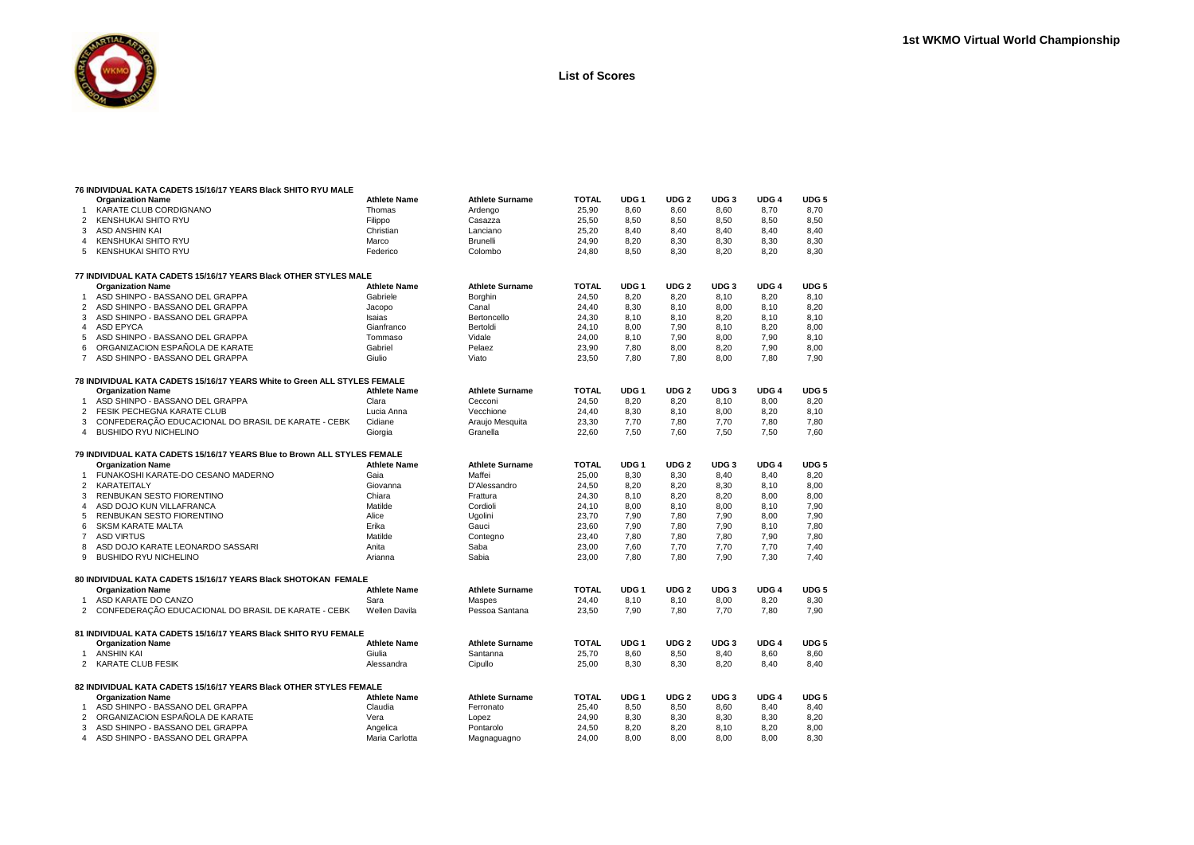|                | 76 INDIVIDUAL KATA CADETS 15/16/17 YEARS Black SHITO RYU MALE             |                     |                        |              |                  |                  |                  |                  |                  |
|----------------|---------------------------------------------------------------------------|---------------------|------------------------|--------------|------------------|------------------|------------------|------------------|------------------|
|                | <b>Organization Name</b>                                                  | <b>Athlete Name</b> | <b>Athlete Surname</b> | <b>TOTAL</b> | UDG <sub>1</sub> | UDG <sub>2</sub> | UDG <sub>3</sub> | UDG <sub>4</sub> | UDG <sub>5</sub> |
| $\mathbf{1}$   | KARATE CLUB CORDIGNANO                                                    | Thomas              | Ardengo                | 25,90        | 8,60             | 8,60             | 8,60             | 8,70             | 8,70             |
| $\overline{2}$ | <b>KENSHUKAI SHITO RYU</b>                                                | Filippo             | Casazza                | 25.50        | 8.50             | 8.50             | 8.50             | 8.50             | 8,50             |
| 3              | ASD ANSHIN KAI                                                            | Christian           | Lanciano               | 25,20        | 8,40             | 8,40             | 8,40             | 8,40             | 8,40             |
| 4              | <b>KENSHUKAI SHITO RYU</b>                                                | Marco               | <b>Brunelli</b>        | 24,90        | 8,20             | 8,30             | 8,30             | 8,30             | 8,30             |
| 5              | <b>KENSHUKAI SHITO RYU</b>                                                | Federico            | Colombo                | 24,80        | 8,50             | 8,30             | 8,20             | 8,20             | 8,30             |
|                | 77 INDIVIDUAL KATA CADETS 15/16/17 YEARS Black OTHER STYLES MALE          |                     |                        |              |                  |                  |                  |                  |                  |
|                | <b>Organization Name</b>                                                  | <b>Athlete Name</b> | <b>Athlete Surname</b> | TOTAL        | UDG <sub>1</sub> | UDG <sub>2</sub> | UDG <sub>3</sub> | UDG <sub>4</sub> | UDG <sub>5</sub> |
| $\mathbf{1}$   | ASD SHINPO - BASSANO DEL GRAPPA                                           | Gabriele            | Borghin                | 24,50        | 8,20             | 8,20             | 8.10             | 8,20             | 8.10             |
| 2              | ASD SHINPO - BASSANO DEL GRAPPA                                           | Jacopo              | Canal                  | 24,40        | 8,30             | 8,10             | 8,00             | 8,10             | 8,20             |
| 3              | ASD SHINPO - BASSANO DEL GRAPPA                                           | Isaias              | Bertoncello            | 24.30        | 8.10             | 8.10             | 8.20             | 8.10             | 8.10             |
| $\overline{4}$ | <b>ASD EPYCA</b>                                                          | Gianfranco          | Bertoldi               | 24,10        | 8,00             | 7,90             | 8,10             | 8,20             | 8,00             |
| 5              | ASD SHINPO - BASSANO DEL GRAPPA                                           | Tommaso             | Vidale                 | 24,00        | 8,10             | 7,90             | 8,00             | 7,90             | 8,10             |
| 6              | ORGANIZACION ESPAÑOLA DE KARATE                                           | Gabriel             | Pelaez                 | 23,90        | 7,80             | 8,00             | 8,20             | 7.90             | 8,00             |
| $\overline{7}$ | ASD SHINPO - BASSANO DEL GRAPPA                                           | Giulio              | Viato                  | 23,50        | 7,80             | 7,80             | 8,00             | 7,80             | 7,90             |
|                | 78 INDIVIDUAL KATA CADETS 15/16/17 YEARS White to Green ALL STYLES FEMALE |                     |                        |              |                  |                  |                  |                  |                  |
|                | <b>Organization Name</b>                                                  | <b>Athlete Name</b> | <b>Athlete Surname</b> | <b>TOTAL</b> | UDG <sub>1</sub> | UDG <sub>2</sub> | UDG <sub>3</sub> | UDG <sub>4</sub> | UDG <sub>5</sub> |
|                | ASD SHINPO - BASSANO DEL GRAPPA                                           | Clara               | Cecconi                | 24,50        | 8,20             | 8,20             | 8.10             | 8,00             | 8,20             |
| 2              | <b>FESIK PECHEGNA KARATE CLUB</b>                                         | Lucia Anna          | Vecchione              | 24,40        | 8,30             | 8,10             | 8,00             | 8,20             | 8,10             |
| 3              | CONFEDERAÇÃO EDUCACIONAL DO BRASIL DE KARATE - CEBK                       | Cidiane             | Araujo Mesquita        | 23,30        | 7,70             | 7,80             | 7,70             | 7,80             | 7,80             |
| 4              | BUSHIDO RYU NICHELINO                                                     | Giorgia             | Granella               | 22,60        | 7,50             | 7,60             | 7,50             | 7,50             | 7,60             |
|                | 79 INDIVIDUAL KATA CADETS 15/16/17 YEARS Blue to Brown ALL STYLES FEMALE  |                     |                        |              |                  |                  |                  |                  |                  |
|                | <b>Organization Name</b>                                                  | <b>Athlete Name</b> | <b>Athlete Surname</b> | <b>TOTAL</b> | UDG <sub>1</sub> | UDG <sub>2</sub> | UDG <sub>3</sub> | UDG <sub>4</sub> | UDG <sub>5</sub> |
| 1              | FUNAKOSHI KARATE-DO CESANO MADERNO                                        | Gaia                | Maffei                 | 25,00        | 8,30             | 8,30             | 8.40             | 8,40             | 8.20             |
| 2              | KARATEITALY                                                               | Giovanna            | D'Alessandro           | 24,50        | 8,20             | 8,20             | 8,30             | 8,10             | 8,00             |
| 3              | RENBUKAN SESTO FIORENTINO                                                 | Chiara              | Frattura               | 24,30        | 8,10             | 8,20             | 8,20             | 8,00             | 8,00             |
| 4              | ASD DOJO KUN VILLAFRANCA                                                  | Matilde             | Cordioli               | 24,10        | 8.00             | 8,10             | 8.00             | 8.10             | 7,90             |
| 5              | RENBUKAN SESTO FIORENTINO                                                 | Alice               | Ugolini                | 23.70        | 7,90             | 7.80             | 7,90             | 8.00             | 7,90             |
| 6              | <b>SKSM KARATE MALTA</b>                                                  | Erika               | Gauci                  | 23.60        | 7,90             | 7,80             | 7.90             | 8.10             | 7,80             |
| $\overline{7}$ | <b>ASD VIRTUS</b>                                                         | Matilde             | Contegno               | 23,40        | 7,80             | 7,80             | 7,80             | 7,90             | 7,80             |
| 8              | ASD DOJO KARATE LEONARDO SASSARI                                          | Anita               | Saba                   | 23,00        | 7,60             | 7,70             | 7,70             | 7.70             | 7,40             |
| 9              | BUSHIDO RYU NICHELINO                                                     | Arianna             | Sabia                  | 23,00        | 7,80             | 7,80             | 7,90             | 7,30             | 7,40             |
|                | 80 INDIVIDUAL KATA CADETS 15/16/17 YEARS Black SHOTOKAN FEMALE            |                     |                        |              |                  |                  |                  |                  |                  |
|                | <b>Organization Name</b>                                                  | <b>Athlete Name</b> | <b>Athlete Surname</b> | <b>TOTAL</b> | UDG <sub>1</sub> | UDG <sub>2</sub> | UDG <sub>3</sub> | UDG <sub>4</sub> | UDG <sub>5</sub> |
| 1              | ASD KARATE DO CANZO                                                       | Sara                | Maspes                 | 24,40        | 8,10             | 8,10             | 8,00             | 8,20             | 8,30             |
| $\overline{2}$ | CONFEDERAÇÃO EDUCACIONAL DO BRASIL DE KARATE - CEBK                       | Wellen Davila       | Pessoa Santana         | 23.50        | 7.90             | 7.80             | 7,70             | 7.80             | 7.90             |
|                | 81 INDIVIDUAL KATA CADETS 15/16/17 YEARS Black SHITO RYU FEMALE           |                     |                        |              |                  |                  |                  |                  |                  |
|                | <b>Organization Name</b>                                                  | <b>Athlete Name</b> | <b>Athlete Surname</b> | <b>TOTAL</b> | UDG <sub>1</sub> | UDG <sub>2</sub> | UDG <sub>3</sub> | UDG <sub>4</sub> | UDG <sub>5</sub> |
| $\mathbf{1}$   | <b>ANSHIN KAI</b>                                                         | Giulia              | Santanna               | 25,70        | 8,60             | 8,50             | 8,40             | 8,60             | 8,60             |
| $\overline{2}$ | <b>KARATE CLUB FESIK</b>                                                  | Alessandra          | Cipullo                | 25,00        | 8,30             | 8,30             | 8,20             | 8.40             | 8,40             |
|                | 82 INDIVIDUAL KATA CADETS 15/16/17 YEARS Black OTHER STYLES FEMALE        |                     |                        |              |                  |                  |                  |                  |                  |
|                | <b>Organization Name</b>                                                  | <b>Athlete Name</b> | <b>Athlete Surname</b> | <b>TOTAL</b> | UDG <sub>1</sub> | UDG <sub>2</sub> | UDG <sub>3</sub> | UDG <sub>4</sub> | UDG <sub>5</sub> |
|                | ASD SHINPO - BASSANO DEL GRAPPA                                           | Claudia             | Ferronato              | 25,40        | 8,50             | 8,50             | 8,60             | 8,40             | 8,40             |
| $\overline{2}$ | ORGANIZACION ESPAÑOLA DE KARATE                                           | Vera                | Lopez                  | 24,90        | 8,30             | 8,30             | 8,30             | 8,30             | 8,20             |
| 3              | ASD SHINPO - BASSANO DEL GRAPPA                                           | Angelica            | Pontarolo              | 24,50        | 8.20             | 8,20             | 8.10             | 8.20             | 8,00             |
| $\overline{4}$ | ASD SHINPO - BASSANO DEL GRAPPA                                           | Maria Carlotta      | Magnaguagno            | 24.00        | 8.00             | 8.00             | 8.00             | 8.00             | 8,30             |
|                |                                                                           |                     |                        |              |                  |                  |                  |                  |                  |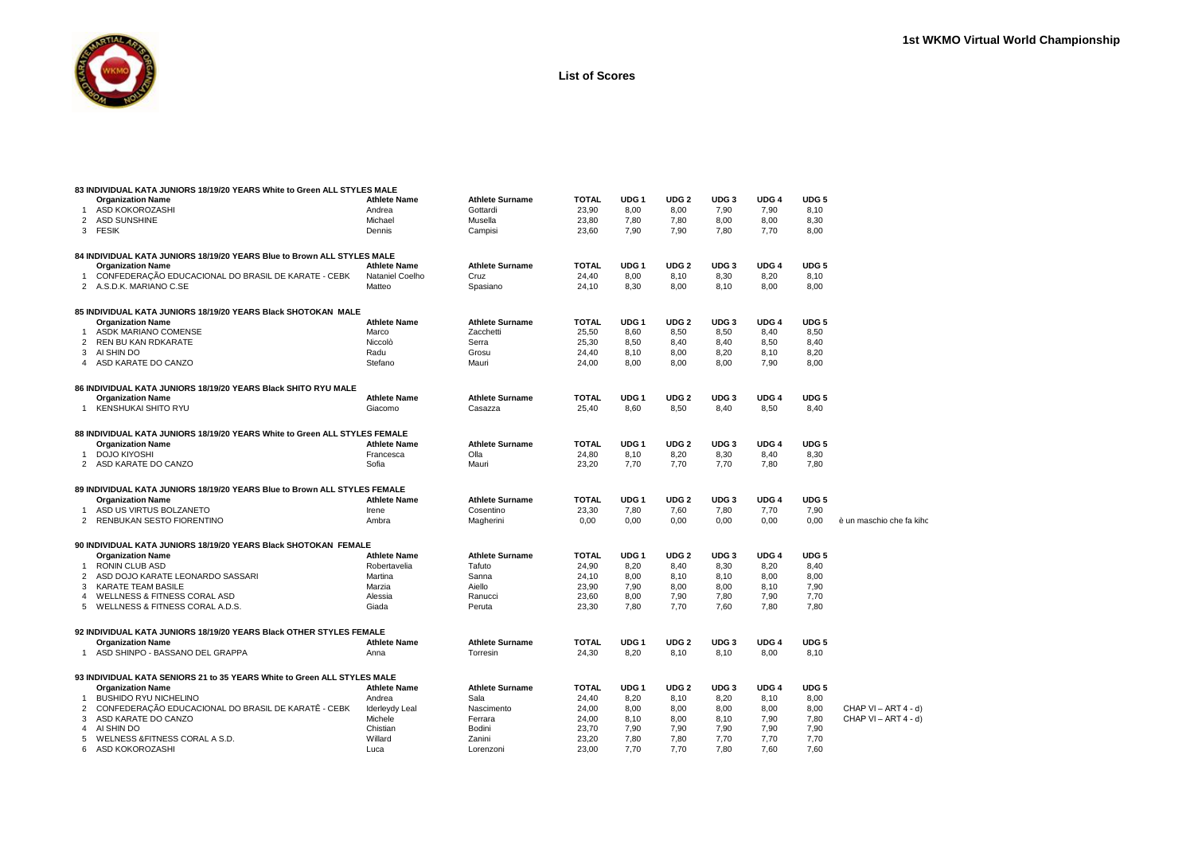

|                | 83 INDIVIDUAL KATA JUNIORS 18/19/20 YEARS White to Green ALL STYLES MALE                             |                       |                        |              |                  |                  |                  |                  |                  |                          |
|----------------|------------------------------------------------------------------------------------------------------|-----------------------|------------------------|--------------|------------------|------------------|------------------|------------------|------------------|--------------------------|
|                | <b>Organization Name</b>                                                                             | <b>Athlete Name</b>   | <b>Athlete Surname</b> | <b>TOTAL</b> | UDG <sub>1</sub> | UDG <sub>2</sub> | UDG <sub>3</sub> | UDG <sub>4</sub> | UDG <sub>5</sub> |                          |
| 1              | ASD KOKOROZASHI                                                                                      | Andrea                | Gottardi               | 23,90        | 8,00             | 8,00             | 7,90             | 7,90             | 8,10             |                          |
| $\overline{2}$ | <b>ASD SUNSHINE</b>                                                                                  | Michael               | Musella                | 23,80        | 7.80             | 7.80             | 8,00             | 8,00             | 8,30             |                          |
|                | 3 FESIK                                                                                              | Dennis                | Campisi                | 23,60        | 7,90             | 7,90             | 7,80             | 7,70             | 8,00             |                          |
|                |                                                                                                      |                       |                        |              |                  |                  |                  |                  |                  |                          |
|                | 84 INDIVIDUAL KATA JUNIORS 18/19/20 YEARS Blue to Brown ALL STYLES MALE                              |                       |                        |              |                  |                  |                  |                  |                  |                          |
|                | <b>Organization Name</b>                                                                             | <b>Athlete Name</b>   | <b>Athlete Surname</b> | <b>TOTAL</b> | UDG <sub>1</sub> | UDG <sub>2</sub> | UDG <sub>3</sub> | UDG <sub>4</sub> | UDG <sub>5</sub> |                          |
| $\mathbf{1}$   | CONFEDERAÇÃO EDUCACIONAL DO BRASIL DE KARATE - CEBK                                                  | Nataniel Coelho       | Cruz                   | 24,40        | 8,00             | 8,10             | 8,30             | 8,20             | 8,10             |                          |
|                | 2 A.S.D.K. MARIANO C.SE                                                                              | Matteo                | Spasiano               | 24,10        | 8,30             | 8,00             | 8,10             | 8,00             | 8,00             |                          |
|                | 85 INDIVIDUAL KATA JUNIORS 18/19/20 YEARS Black SHOTOKAN  MALE                                       |                       |                        |              |                  |                  |                  |                  |                  |                          |
|                |                                                                                                      | <b>Athlete Name</b>   | <b>Athlete Surname</b> | <b>TOTAL</b> | UDG <sub>1</sub> | UDG <sub>2</sub> | UDG <sub>3</sub> | UDG <sub>4</sub> | UDG <sub>5</sub> |                          |
|                | <b>Organization Name</b>                                                                             |                       |                        |              |                  |                  |                  |                  |                  |                          |
| 1              | ASDK MARIANO COMENSE                                                                                 | Marco                 | Zacchetti              | 25,50        | 8,60             | 8,50             | 8,50             | 8,40             | 8,50             |                          |
| $\overline{2}$ | <b>REN BU KAN RDKARATE</b>                                                                           | Niccolò               | Serra                  | 25,30        | 8.50             | 8.40             | 8.40             | 8,50             | 8.40             |                          |
|                | 3 AI SHIN DO                                                                                         | Radu                  | Grosu                  | 24,40        | 8,10             | 8,00             | 8,20             | 8,10             | 8,20             |                          |
|                | 4 ASD KARATE DO CANZO                                                                                | Stefano               | Mauri                  | 24,00        | 8,00             | 8,00             | 8,00             | 7,90             | 8,00             |                          |
|                | 86 INDIVIDUAL KATA JUNIORS 18/19/20 YEARS Black SHITO RYU MALE                                       |                       |                        |              |                  |                  |                  |                  |                  |                          |
|                | <b>Organization Name</b>                                                                             | <b>Athlete Name</b>   | <b>Athlete Surname</b> | <b>TOTAL</b> | UDG <sub>1</sub> | UDG <sub>2</sub> | UDG <sub>3</sub> | UDG <sub>4</sub> | UDG <sub>5</sub> |                          |
|                | 1 KENSHUKAI SHITO RYU                                                                                | Giacomo               | Casazza                | 25.40        | 8.60             | 8.50             | 8.40             | 8.50             | 8.40             |                          |
|                |                                                                                                      |                       |                        |              |                  |                  |                  |                  |                  |                          |
|                | 88 INDIVIDUAL KATA JUNIORS 18/19/20 YEARS White to Green ALL STYLES FEMALE                           |                       |                        |              |                  |                  |                  |                  |                  |                          |
|                | <b>Organization Name</b>                                                                             | <b>Athlete Name</b>   | <b>Athlete Surname</b> | <b>TOTAL</b> | UDG <sub>1</sub> | UDG <sub>2</sub> | UDG <sub>3</sub> | UDG <sub>4</sub> | UDG <sub>5</sub> |                          |
| $\mathbf{1}$   | <b>DOJO KIYOSHI</b>                                                                                  | Francesca             | Olla                   | 24,80        | 8,10             | 8,20             | 8,30             | 8,40             | 8,30             |                          |
|                | 2 ASD KARATE DO CANZO                                                                                | Sofia                 | Mauri                  | 23,20        | 7,70             | 7,70             | 7,70             | 7,80             | 7,80             |                          |
|                | 89 INDIVIDUAL KATA JUNIORS 18/19/20 YEARS Blue to Brown ALL STYLES FEMALE                            |                       |                        |              |                  |                  |                  |                  |                  |                          |
|                |                                                                                                      |                       |                        | <b>TOTAL</b> | UDG <sub>1</sub> | UDG <sub>2</sub> | UDG <sub>3</sub> | UDG <sub>4</sub> | UDG <sub>5</sub> |                          |
|                | <b>Organization Name</b>                                                                             | <b>Athlete Name</b>   | <b>Athlete Surname</b> |              |                  |                  |                  |                  |                  |                          |
| $\mathbf{1}$   | ASD US VIRTUS BOLZANETO                                                                              | Irene                 | Cosentino              | 23,30        | 7,80             | 7,60             | 7,80             | 7,70             | 7,90             |                          |
|                | 2 RENBUKAN SESTO FIORENTINO                                                                          | Ambra                 | Magherini              | 0,00         | 0,00             | 0,00             | 0,00             | 0,00             | 0,00             | è un maschio che fa kiho |
|                | 90 INDIVIDUAL KATA JUNIORS 18/19/20 YEARS Black SHOTOKAN  FEMALE                                     |                       |                        |              |                  |                  |                  |                  |                  |                          |
|                | <b>Organization Name</b>                                                                             | <b>Athlete Name</b>   | <b>Athlete Surname</b> | <b>TOTAL</b> | UDG <sub>1</sub> | UDG <sub>2</sub> | UDG <sub>3</sub> | UDG <sub>4</sub> | UDG <sub>5</sub> |                          |
| 1              | <b>RONIN CLUB ASD</b>                                                                                | Robertavelia          | Tafuto                 | 24,90        | 8,20             | 8,40             | 8,30             | 8,20             | 8,40             |                          |
|                | 2 ASD DOJO KARATE LEONARDO SASSARI                                                                   | Martina               | Sanna                  | 24,10        | 8.00             | 8.10             | 8,10             | 8.00             | 8.00             |                          |
| 3              | <b>KARATE TEAM BASILE</b>                                                                            | Marzia                | Aiello                 | 23,90        | 7,90             | 8,00             | 8,00             | 8,10             | 7,90             |                          |
|                | 4 WELLNESS & FITNESS CORAL ASD                                                                       | Alessia               | Ranucci                | 23,60        | 8,00             | 7,90             | 7,80             | 7,90             | 7,70             |                          |
|                |                                                                                                      |                       |                        |              | 7.80             | 7.70             | 7.60             | 7.80             | 7.80             |                          |
|                | 5 WELLNESS & FITNESS CORAL A.D.S.                                                                    | Giada                 | Peruta                 | 23,30        |                  |                  |                  |                  |                  |                          |
|                | 92 INDIVIDUAL KATA JUNIORS 18/19/20 YEARS Black OTHER STYLES FEMALE                                  |                       |                        |              |                  |                  |                  |                  |                  |                          |
|                | <b>Organization Name</b>                                                                             | <b>Athlete Name</b>   | <b>Athlete Surname</b> | <b>TOTAL</b> | UDG <sub>1</sub> | UDG <sub>2</sub> | UDG <sub>3</sub> | UDG <sub>4</sub> | UDG <sub>5</sub> |                          |
|                | 1 ASD SHINPO - BASSANO DEL GRAPPA                                                                    | Anna                  | Torresin               | 24,30        | 8,20             | 8.10             | 8,10             | 8,00             | 8,10             |                          |
|                |                                                                                                      |                       |                        |              |                  |                  |                  |                  |                  |                          |
|                | 93 INDIVIDUAL KATA SENIORS 21 to 35 YEARS White to Green ALL STYLES MALE<br><b>Organization Name</b> | <b>Athlete Name</b>   | <b>Athlete Surname</b> | <b>TOTAL</b> | UDG <sub>1</sub> | UDG <sub>2</sub> | UDG <sub>3</sub> | UDG <sub>4</sub> | UDG <sub>5</sub> |                          |
| $\mathbf{1}$   | <b>BUSHIDO RYU NICHELINO</b>                                                                         | Andrea                | Sala                   | 24,40        | 8,20             | 8.10             | 8,20             | 8.10             | 8,00             |                          |
| 2              | CONFEDERAÇÃO EDUCACIONAL DO BRASIL DE KARATÊ - CEBK                                                  | <b>Iderleydy Leal</b> | Nascimento             | 24,00        | 8,00             | 8,00             | 8,00             | 8,00             | 8,00             | CHAP VI - ART 4 - d)     |
|                | 3 ASD KARATE DO CANZO                                                                                | Michele               | Ferrara                | 24,00        | 8,10             | 8,00             | 8,10             | 7,90             | 7,80             | CHAP VI - ART 4 - d)     |
| $\overline{4}$ | AI SHIN DO                                                                                           | Chistian              | Bodini                 | 23.70        | 7.90             | 7.90             | 7.90             | 7.90             | 7.90             |                          |
| 5              | WELNESS & FITNESS CORAL A S.D.                                                                       | Willard               | Zanini                 | 23,20        | 7,80             | 7,80             | 7,70             | 7,70             | 7,70             |                          |
| 6              | ASD KOKOROZASHI                                                                                      | Luca                  |                        | 23,00        | 7,70             | 7,70             | 7,80             | 7,60             | 7,60             |                          |
|                |                                                                                                      |                       | Lorenzoni              |              |                  |                  |                  |                  |                  |                          |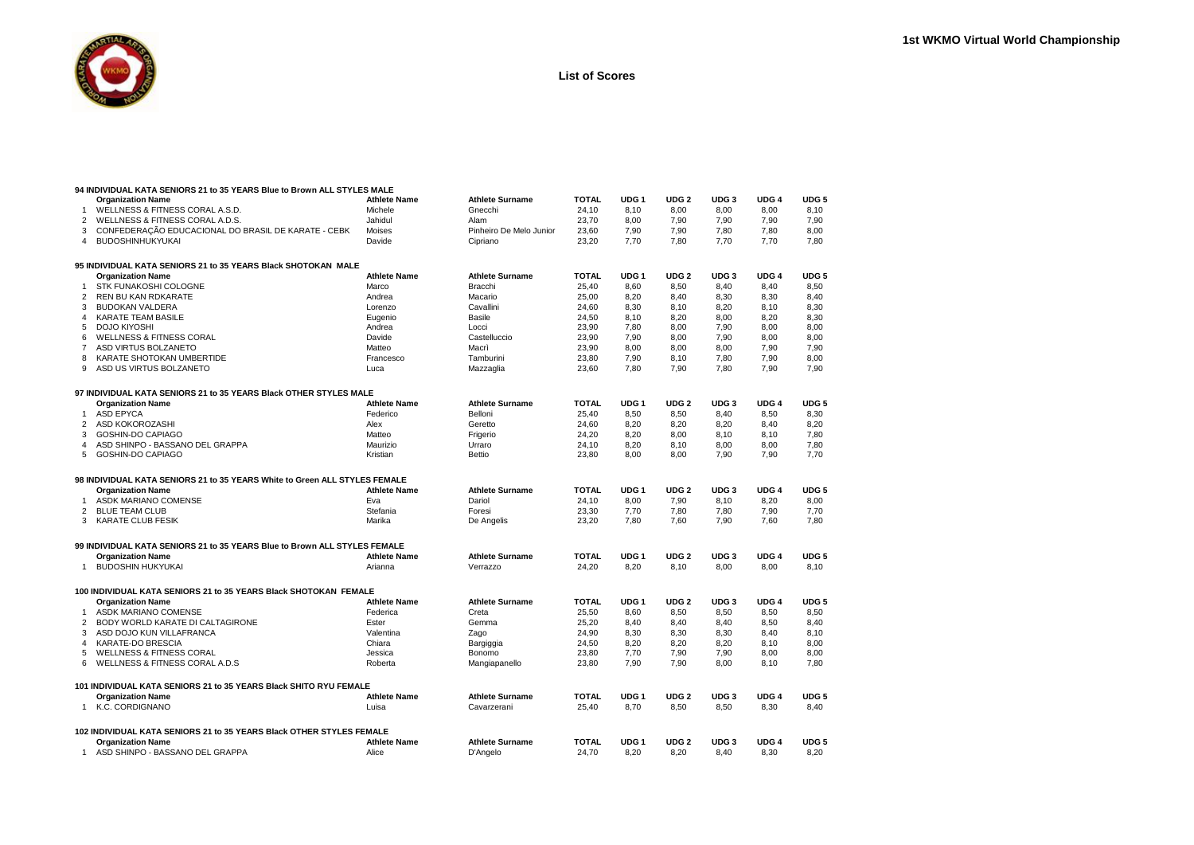|                | 94 INDIVIDUAL KATA SENIORS 21 to 35 YEARS Blue to Brown ALL STYLES MALE                      |                     |                         |              |                  |                  |                  |                  |                  |
|----------------|----------------------------------------------------------------------------------------------|---------------------|-------------------------|--------------|------------------|------------------|------------------|------------------|------------------|
|                | <b>Organization Name</b>                                                                     | <b>Athlete Name</b> | <b>Athlete Surname</b>  | <b>TOTAL</b> | UDG <sub>1</sub> | UDG <sub>2</sub> | UDG <sub>3</sub> | UDG <sub>4</sub> | UDG <sub>5</sub> |
| $\mathbf{1}$   | WELLNESS & FITNESS CORAL A.S.D.                                                              | Michele             | Gnecchi                 | 24,10        | 8,10             | 8,00             | 8,00             | 8,00             | 8,10             |
| 2              | WELLNESS & FITNESS CORAL A.D.S.                                                              | Jahidul             | Alam                    | 23,70        | 8,00             | 7,90             | 7,90             | 7,90             | 7,90             |
| 3              | CONFEDERAÇÃO EDUCACIONAL DO BRASIL DE KARATE - CEBK                                          | Moises              | Pinheiro De Melo Junior | 23,60        | 7,90             | 7,90             | 7,80             | 7,80             | 8,00             |
| 4              | <b>BUDOSHINHUKYUKAI</b>                                                                      | Davide              | Cipriano                | 23,20        | 7,70             | 7,80             | 7,70             | 7.70             | 7,80             |
|                | 95 INDIVIDUAL KATA SENIORS 21 to 35 YEARS Black SHOTOKAN MALE                                |                     |                         |              |                  |                  |                  |                  |                  |
|                | <b>Organization Name</b>                                                                     | <b>Athlete Name</b> | <b>Athlete Surname</b>  | <b>TOTAL</b> | UDG 1            | UDG <sub>2</sub> | UDG <sub>3</sub> | UDG <sub>4</sub> | UDG <sub>5</sub> |
| $\mathbf{1}$   | STK FUNAKOSHI COLOGNE                                                                        | Marco               | Bracchi                 | 25,40        | 8,60             | 8,50             | 8,40             | 8,40             | 8,50             |
| $\overline{2}$ | <b>REN BU KAN RDKARATE</b>                                                                   | Andrea              | Macario                 | 25.00        | 8,20             | 8.40             | 8.30             | 8.30             | 8,40             |
| 3              | <b>BUDOKAN VALDERA</b>                                                                       | Lorenzo             | Cavallini               | 24,60        | 8,30             | 8,10             | 8,20             | 8,10             | 8,30             |
| 4              | KARATE TEAM BASILE                                                                           | Eugenio             | <b>Basile</b>           | 24,50        | 8.10             | 8,20             | 8,00             | 8.20             | 8,30             |
| 5              | <b>DOJO KIYOSHI</b>                                                                          | Andrea              | Locci                   | 23,90        | 7,80             | 8,00             | 7,90             | 8,00             | 8,00             |
| 6              | <b>WELLNESS &amp; FITNESS CORAL</b>                                                          | Davide              | Castelluccio            | 23,90        | 7,90             | 8,00             | 7,90             | 8.00             | 8,00             |
| $\overline{7}$ | ASD VIRTUS BOLZANETO                                                                         | Matteo              | Macrì                   | 23,90        | 8,00             | 8,00             | 8,00             | 7,90             | 7,90             |
| 8              | KARATE SHOTOKAN UMBERTIDE                                                                    | Francesco           | Tamburini               | 23,80        | 7,90             | 8,10             | 7,80             | 7,90             | 8,00             |
| 9              | ASD US VIRTUS BOLZANETO                                                                      | Luca                | Mazzaglia               | 23,60        | 7.80             | 7.90             | 7.80             | 7.90             | 7,90             |
|                | 97 INDIVIDUAL KATA SENIORS 21 to 35 YEARS Black OTHER STYLES MALE                            |                     |                         |              |                  |                  |                  |                  |                  |
|                | <b>Organization Name</b>                                                                     | <b>Athlete Name</b> | <b>Athlete Surname</b>  | <b>TOTAL</b> | UDG <sub>1</sub> | UDG <sub>2</sub> | UDG <sub>3</sub> | UDG <sub>4</sub> | UDG <sub>5</sub> |
| 1              | ASD EPYCA                                                                                    | Federico            | Belloni                 | 25,40        | 8,50             | 8,50             | 8,40             | 8,50             | 8,30             |
| $\overline{2}$ | ASD KOKOROZASHI                                                                              | Alex                | Geretto                 | 24,60        | 8,20             | 8,20             | 8,20             | 8,40             | 8,20             |
| 3              | GOSHIN-DO CAPIAGO                                                                            | Matteo              | Frigerio                | 24,20        | 8,20             | 8,00             | 8,10             | 8,10             | 7,80             |
| 4              | ASD SHINPO - BASSANO DEL GRAPPA                                                              | Maurizio            | Urraro                  | 24,10        | 8,20             | 8,10             | 8,00             | 8,00             | 7,80             |
| 5              | GOSHIN-DO CAPIAGO                                                                            | Kristian            | <b>Bettio</b>           | 23,80        | 8,00             | 8,00             | 7,90             | 7,90             | 7,70             |
|                | 98 INDIVIDUAL KATA SENIORS 21 to 35 YEARS White to Green ALL STYLES FEMALE                   |                     |                         |              |                  |                  |                  |                  |                  |
|                | <b>Organization Name</b>                                                                     | <b>Athlete Name</b> | <b>Athlete Surname</b>  | <b>TOTAL</b> | UDG <sub>1</sub> | UDG <sub>2</sub> | UDG <sub>3</sub> | UDG <sub>4</sub> | UDG <sub>5</sub> |
| $\mathbf{1}$   | ASDK MARIANO COMENSE                                                                         | Eva                 | Dariol                  | 24,10        | 8,00             | 7,90             | 8,10             | 8,20             | 8,00             |
| $\overline{2}$ | <b>BLUE TEAM CLUB</b>                                                                        | Stefania            | Foresi                  | 23,30        | 7,70             | 7,80             | 7,80             | 7,90             | 7,70             |
| 3              | <b>KARATE CLUB FESIK</b>                                                                     | Marika              | De Angelis              | 23,20        | 7,80             | 7,60             | 7,90             | 7,60             | 7,80             |
|                | 99 INDIVIDUAL KATA SENIORS 21 to 35 YEARS Blue to Brown ALL STYLES FEMALE                    |                     |                         |              |                  |                  |                  |                  |                  |
|                | <b>Organization Name</b>                                                                     | <b>Athlete Name</b> | <b>Athlete Surname</b>  | <b>TOTAL</b> | UDG <sub>1</sub> | UDG <sub>2</sub> | UDG <sub>3</sub> | UDG <sub>4</sub> | UDG <sub>5</sub> |
| $\mathbf{1}$   | <b>BUDOSHIN HUKYUKAI</b>                                                                     | Arianna             | Verrazzo                | 24,20        | 8,20             | 8,10             | 8,00             | 8,00             | 8,10             |
|                |                                                                                              |                     |                         |              |                  |                  |                  |                  |                  |
|                | 100 INDIVIDUAL KATA SENIORS 21 to 35 YEARS Black SHOTOKAN FEMALE<br><b>Organization Name</b> | <b>Athlete Name</b> | <b>Athlete Surname</b>  | <b>TOTAL</b> | UDG <sub>1</sub> | UDG <sub>2</sub> | UDG <sub>3</sub> | UDG <sub>4</sub> | UDG <sub>5</sub> |
| $\mathbf{1}$   | ASDK MARIANO COMENSE                                                                         | Federica            | Creta                   | 25,50        | 8,60             | 8,50             | 8,50             | 8,50             | 8,50             |
| 2              | BODY WORLD KARATE DI CALTAGIRONE                                                             | Ester               | Gemma                   | 25,20        | 8,40             | 8,40             | 8,40             | 8,50             | 8,40             |
| 3              | ASD DOJO KUN VILLAFRANCA                                                                     | Valentina           | Zago                    | 24.90        | 8,30             | 8,30             | 8.30             | 8.40             | 8,10             |
| 4              | KARATE-DO BRESCIA                                                                            | Chiara              | Bargiggia               | 24,50        | 8,20             | 8,20             | 8,20             | 8,10             | 8,00             |
| 5              | <b>WELLNESS &amp; FITNESS CORAL</b>                                                          | Jessica             | Bonomo                  | 23,80        | 7,70             | 7,90             | 7,90             | 8,00             | 8,00             |
| 6              | WELLNESS & FITNESS CORAL A.D.S                                                               | Roberta             | Mangiapanello           | 23.80        | 7.90             | 7.90             | 8,00             | 8.10             | 7.80             |
|                | 101 INDIVIDUAL KATA SENIORS 21 to 35 YEARS Black SHITO RYU FEMALE                            |                     |                         |              |                  |                  |                  |                  |                  |
|                | <b>Organization Name</b>                                                                     | <b>Athlete Name</b> | <b>Athlete Surname</b>  | <b>TOTAL</b> | UDG <sub>1</sub> | UDG <sub>2</sub> | UDG <sub>3</sub> | UDG <sub>4</sub> | UDG <sub>5</sub> |
|                | 1 K.C. CORDIGNANO                                                                            | Luisa               | Cavarzerani             | 25,40        | 8,70             | 8,50             | 8,50             | 8,30             | 8,40             |
|                | 102 INDIVIDUAL KATA SENIORS 21 to 35 YEARS Black OTHER STYLES FEMALE                         |                     |                         |              |                  |                  |                  |                  |                  |
|                | <b>Organization Name</b>                                                                     | <b>Athlete Name</b> | <b>Athlete Surname</b>  | <b>TOTAL</b> | UDG <sub>1</sub> | UDG <sub>2</sub> | UDG <sub>3</sub> | UDG <sub>4</sub> | UDG <sub>5</sub> |
| $\mathbf{1}$   | ASD SHINPO - BASSANO DEL GRAPPA                                                              | Alice               | D'Angelo                | 24.70        | 8.20             | 8.20             | 8.40             | 8.30             | 8.20             |
|                |                                                                                              |                     |                         |              |                  |                  |                  |                  |                  |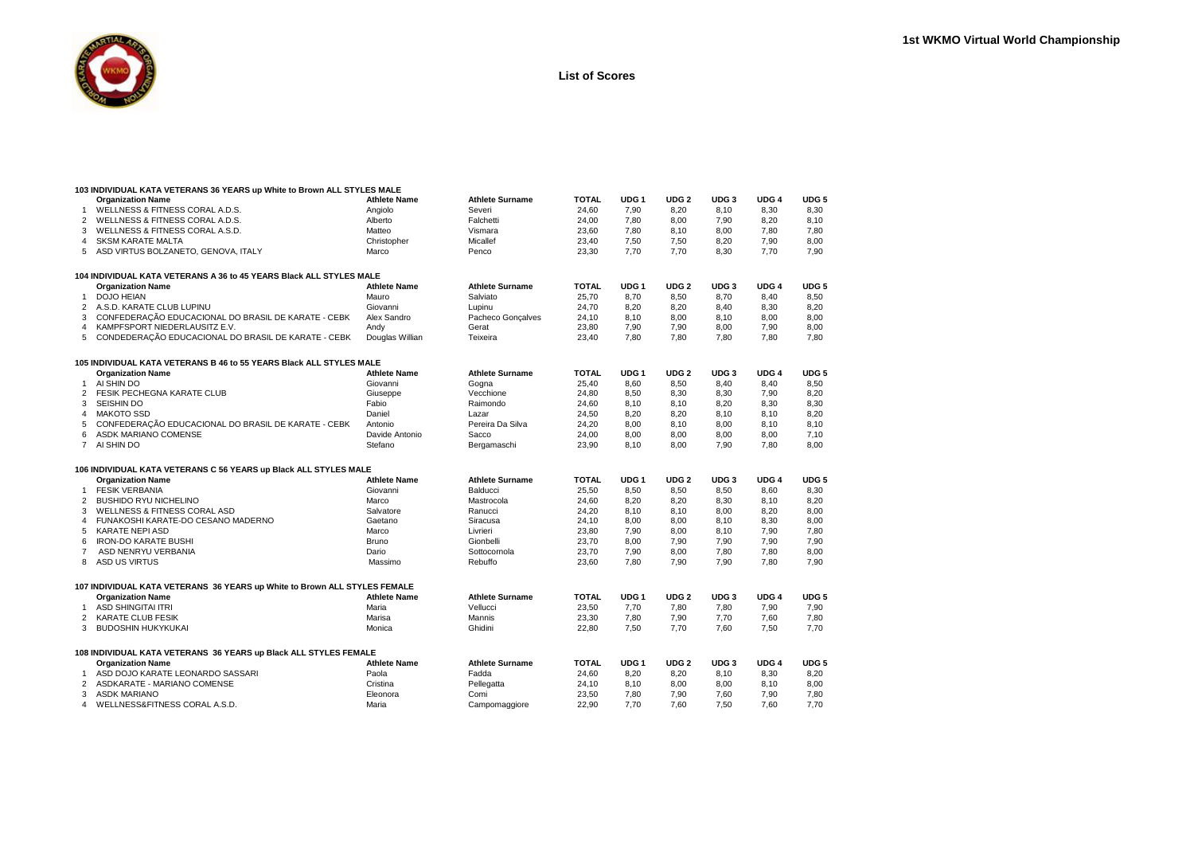|                | 103 INDIVIDUAL KATA VETERANS 36 YEARS up White to Brown ALL STYLES MALE    |                     |                        |              |                  |                  |                  |                  |                  |
|----------------|----------------------------------------------------------------------------|---------------------|------------------------|--------------|------------------|------------------|------------------|------------------|------------------|
|                | <b>Organization Name</b>                                                   | <b>Athlete Name</b> | <b>Athlete Surname</b> | <b>TOTAL</b> | UDG <sub>1</sub> | UDG <sub>2</sub> | UDG 3            | UDG <sub>4</sub> | UDG <sub>5</sub> |
| $\mathbf{1}$   | WELLNESS & FITNESS CORAL A.D.S.                                            | Angiolo             | Severi                 | 24,60        | 7,90             | 8,20             | 8,10             | 8,30             | 8,30             |
| 2              | WELLNESS & FITNESS CORAL A.D.S.                                            | Alberto             | Falchetti              | 24,00        | 7,80             | 8,00             | 7,90             | 8,20             | 8,10             |
| 3              | WELLNESS & FITNESS CORAL A.S.D.                                            | Matteo              | Vismara                | 23,60        | 7,80             | 8,10             | 8,00             | 7.80             | 7,80             |
| 4              | <b>SKSM KARATE MALTA</b>                                                   | Christopher         | Micallef               | 23,40        | 7,50             | 7,50             | 8,20             | 7,90             | 8,00             |
|                | 5 ASD VIRTUS BOLZANETO, GENOVA, ITALY                                      | Marco               | Penco                  | 23,30        | 7,70             | 7,70             | 8,30             | 7.70             | 7,90             |
|                |                                                                            |                     |                        |              |                  |                  |                  |                  |                  |
|                | 104 INDIVIDUAL KATA VETERANS A 36 to 45 YEARS Black ALL STYLES MALE        |                     |                        |              |                  |                  |                  |                  |                  |
|                | <b>Organization Name</b>                                                   | <b>Athlete Name</b> | <b>Athlete Surname</b> | <b>TOTAL</b> | UDG <sub>1</sub> | UDG <sub>2</sub> | UDG <sub>3</sub> | UDG <sub>4</sub> | UDG <sub>5</sub> |
| $\mathbf{1}$   | <b>DOJO HEIAN</b>                                                          | Mauro               | Salviato               | 25,70        | 8,70             | 8,50             | 8,70             | 8,40             | 8,50             |
| 2              | A.S.D. KARATE CLUB LUPINU                                                  | Giovanni            | Lupinu                 | 24,70        | 8,20             | 8,20             | 8,40             | 8,30             | 8,20             |
| 3              | CONFEDERAÇÃO EDUCACIONAL DO BRASIL DE KARATE - CEBK                        | Alex Sandro         | Pacheco Gonçalves      | 24,10        | 8,10             | 8,00             | 8,10             | 8,00             | 8,00             |
| $\overline{4}$ | KAMPFSPORT NIEDERLAUSITZ E.V.                                              | Andy                | Gerat                  | 23,80        | 7,90             | 7,90             | 8,00             | 7,90             | 8,00             |
| 5              | CONDEDERAÇÃO EDUCACIONAL DO BRASIL DE KARATE - CEBK                        | Douglas Willian     | Teixeira               | 23,40        | 7,80             | 7,80             | 7,80             | 7,80             | 7,80             |
|                |                                                                            |                     |                        |              |                  |                  |                  |                  |                  |
|                | 105 INDIVIDUAL KATA VETERANS B 46 to 55 YEARS Black ALL STYLES MALE        |                     |                        |              | UDG <sub>1</sub> |                  |                  | UDG <sub>4</sub> |                  |
|                | <b>Organization Name</b>                                                   | <b>Athlete Name</b> | <b>Athlete Surname</b> | <b>TOTAL</b> |                  | UDG <sub>2</sub> | UDG 3            |                  | UDG <sub>5</sub> |
| $\mathbf{1}$   | AI SHIN DO                                                                 | Giovanni            | Gogna                  | 25,40        | 8,60             | 8,50             | 8,40             | 8,40             | 8,50             |
| $\overline{2}$ | FESIK PECHEGNA KARATE CLUB                                                 | Giuseppe            | Vecchione              | 24,80        | 8,50             | 8,30             | 8,30             | 7,90             | 8,20             |
| 3              | <b>SEISHIN DO</b>                                                          | Fabio               | Raimondo               | 24,60        | 8,10             | 8,10             | 8,20             | 8,30             | 8,30             |
| 4              | <b>MAKOTO SSD</b>                                                          | Daniel              | Lazar                  | 24,50        | 8,20             | 8,20             | 8,10             | 8,10             | 8,20             |
| 5              | CONFEDERAÇÃO EDUCACIONAL DO BRASIL DE KARATE - CEBK                        | Antonio             | Pereira Da Silva       | 24,20        | 8,00             | 8,10             | 8,00             | 8,10             | 8,10             |
| 6              | ASDK MARIANO COMENSE                                                       | Davide Antonio      | Sacco                  | 24,00        | 8,00             | 8,00             | 8,00             | 8,00             | 7,10             |
|                | 7 AI SHIN DO                                                               | Stefano             | Bergamaschi            | 23.90        | 8.10             | 8.00             | 7.90             | 7.80             | 8.00             |
|                | 106 INDIVIDUAL KATA VETERANS C 56 YEARS up Black ALL STYLES MALE           |                     |                        |              |                  |                  |                  |                  |                  |
|                | <b>Organization Name</b>                                                   | <b>Athlete Name</b> | <b>Athlete Surname</b> | <b>TOTAL</b> | UDG <sub>1</sub> | UDG <sub>2</sub> | UDG <sub>3</sub> | UDG <sub>4</sub> | UDG <sub>5</sub> |
| $\mathbf{1}$   | <b>FESIK VERBANIA</b>                                                      | Giovanni            | Balducci               | 25,50        | 8,50             | 8,50             | 8,50             | 8,60             | 8,30             |
| $\overline{2}$ | <b>BUSHIDO RYU NICHELINO</b>                                               | Marco               | Mastrocola             | 24,60        | 8,20             | 8,20             | 8,30             | 8,10             | 8,20             |
| 3              | <b>WELLNESS &amp; FITNESS CORAL ASD</b>                                    | Salvatore           | Ranucci                | 24,20        | 8.10             | 8.10             | 8.00             | 8.20             | 8,00             |
| 4              | FUNAKOSHI KARATE-DO CESANO MADERNO                                         | Gaetano             | Siracusa               | 24,10        | 8,00             | 8,00             | 8,10             | 8,30             | 8,00             |
| 5              | <b>KARATE NEPI ASD</b>                                                     | Marco               | Livrieri               | 23,80        | 7,90             | 8,00             | 8,10             | 7,90             | 7,80             |
| 6              | <b>IRON-DO KARATE BUSHI</b>                                                | <b>Bruno</b>        | Gionbelli              | 23,70        | 8,00             | 7,90             | 7,90             | 7,90             | 7,90             |
| $\overline{7}$ | ASD NENRYU VERBANIA                                                        | Dario               | Sottocornola           | 23,70        | 7,90             | 8,00             | 7,80             | 7,80             | 8,00             |
| 8              | <b>ASD US VIRTUS</b>                                                       | Massimo             | Rebuffo                | 23.60        | 7.80             | 7.90             | 7.90             | 7.80             | 7.90             |
|                |                                                                            |                     |                        |              |                  |                  |                  |                  |                  |
|                | 107 INDIVIDUAL KATA VETERANS  36 YEARS up White to Brown ALL STYLES FEMALE |                     |                        |              |                  |                  |                  |                  |                  |
|                | <b>Organization Name</b>                                                   | <b>Athlete Name</b> | <b>Athlete Surname</b> | <b>TOTAL</b> | UDG <sub>1</sub> | UDG <sub>2</sub> | UDG 3            | UDG <sub>4</sub> | UDG <sub>5</sub> |
| 1              | ASD SHINGITAI ITRI                                                         | Maria               | Vellucci               | 23,50        | 7,70             | 7,80             | 7,80             | 7,90             | 7,90             |
| 2              | <b>KARATE CLUB FESIK</b>                                                   | Marisa              | Mannis                 | 23,30        | 7,80             | 7,90             | 7,70             | 7,60             | 7,80             |
| 3              | <b>BUDOSHIN HUKYKUKAI</b>                                                  | Monica              | Ghidini                | 22,80        | 7.50             | 7.70             | 7.60             | 7.50             | 7.70             |
|                |                                                                            |                     |                        |              |                  |                  |                  |                  |                  |
|                | 108 INDIVIDUAL KATA VETERANS  36 YEARS up Black ALL STYLES FEMALE          |                     |                        |              |                  |                  |                  |                  |                  |
|                | <b>Organization Name</b>                                                   | <b>Athlete Name</b> | <b>Athlete Surname</b> | <b>TOTAL</b> | UDG <sub>1</sub> | UDG <sub>2</sub> | UDG <sub>3</sub> | UDG <sub>4</sub> | UDG <sub>5</sub> |
|                | ASD DOJO KARATE LEONARDO SASSARI                                           | Paola               | Fadda                  | 24,60        | 8,20             | 8,20             | 8,10             | 8,30             | 8,20             |
| 2              | ASDKARATE - MARIANO COMENSE                                                | Cristina            | Pellegatta             | 24.10        | 8,10             | 8.00             | 8.00             | 8.10             | 8,00             |
| 3              | <b>ASDK MARIANO</b>                                                        | Eleonora            | Comi                   | 23,50        | 7.80             | 7,90             | 7.60             | 7.90             | 7,80             |
| 4              | WELLNESS&FITNESS CORAL A.S.D.                                              | Maria               | Campomaggiore          | 22.90        | 7,70             | 7.60             | 7,50             | 7.60             | 7,70             |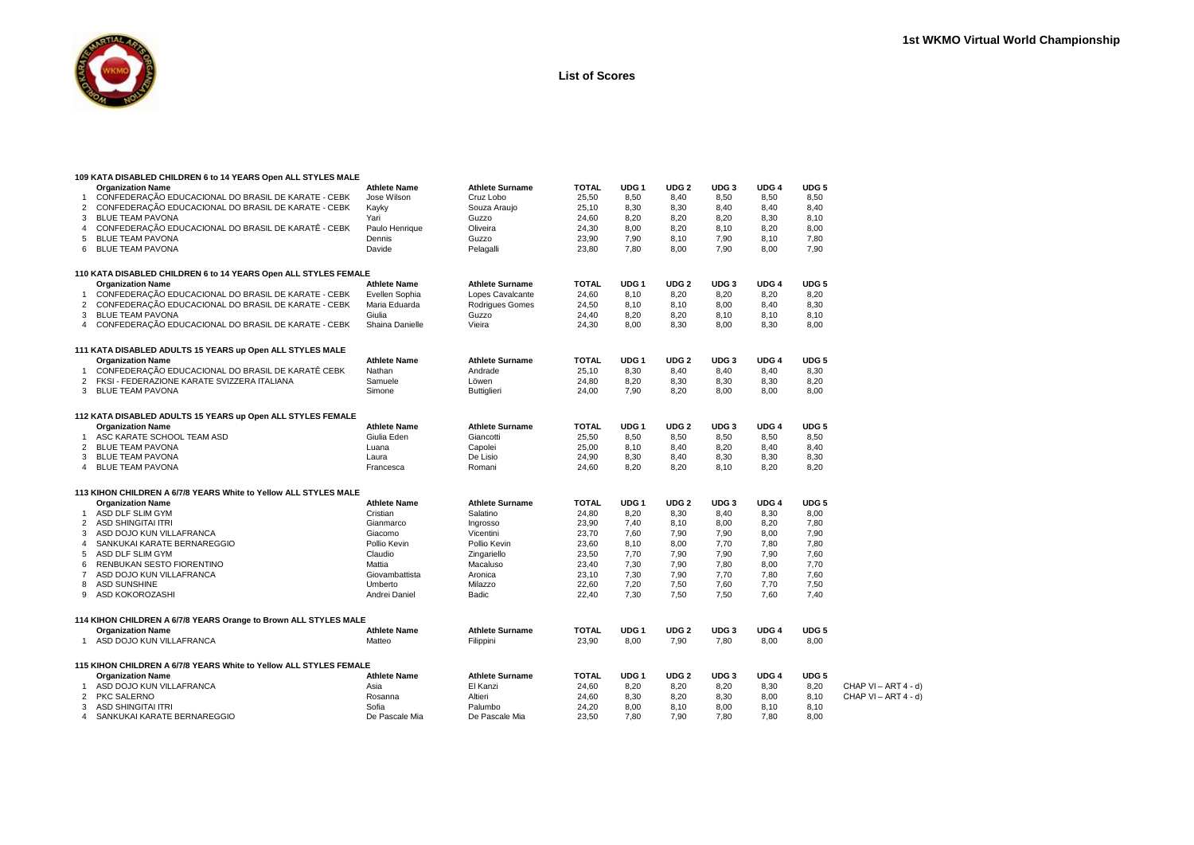

|                | 109 KATA DISABLED CHILDREN 6 to 14 YEARS Open ALL STYLES MALE      |                     |                        |              |                  |                  |                  |                  |                  |                      |
|----------------|--------------------------------------------------------------------|---------------------|------------------------|--------------|------------------|------------------|------------------|------------------|------------------|----------------------|
|                | <b>Organization Name</b>                                           | <b>Athlete Name</b> | <b>Athlete Surname</b> | <b>TOTAL</b> | UDG <sub>1</sub> | UDG <sub>2</sub> | UDG <sub>3</sub> | UDG 4            | UDG <sub>5</sub> |                      |
|                | CONFEDERAÇÃO EDUCACIONAL DO BRASIL DE KARATE - CEBK                | Jose Wilson         | Cruz Lobo              | 25,50        | 8,50             | 8,40             | 8,50             | 8,50             | 8,50             |                      |
| 2              | CONFEDERAÇÃO EDUCACIONAL DO BRASIL DE KARATE - CEBK                | Kayky               | Souza Araujo           | 25,10        | 8,30             | 8,30             | 8,40             | 8,40             | 8,40             |                      |
| 3              | <b>BLUE TEAM PAVONA</b>                                            | Yari                | Guzzo                  | 24,60        | 8,20             | 8,20             | 8,20             | 8,30             | 8,10             |                      |
| $\overline{4}$ | CONFEDERAÇÃO EDUCACIONAL DO BRASIL DE KARATÊ - CEBK                | Paulo Henrique      | Oliveira               | 24,30        | 8,00             | 8,20             | 8,10             | 8,20             | 8,00             |                      |
| 5              | <b>BLUE TEAM PAVONA</b>                                            | Dennis              | Guzzo                  | 23,90        | 7,90             | 8,10             | 7,90             | 8,10             | 7,80             |                      |
| 6              | <b>BLUE TEAM PAVONA</b>                                            | Davide              | Pelagalli              | 23,80        | 7.80             | 8.00             | 7.90             | 8,00             | 7.90             |                      |
|                | 110 KATA DISABLED CHILDREN 6 to 14 YEARS Open ALL STYLES FEMALE    |                     |                        |              |                  |                  |                  |                  |                  |                      |
|                | <b>Organization Name</b>                                           | <b>Athlete Name</b> | <b>Athlete Surname</b> | <b>TOTAL</b> | UDG <sub>1</sub> | UDG <sub>2</sub> | UDG <sub>3</sub> | UDG 4            | UDG <sub>5</sub> |                      |
|                | CONFEDERAÇÃO EDUCACIONAL DO BRASIL DE KARATE - CEBK                | Evellen Sophia      | Lopes Cavalcante       | 24,60        | 8,10             | 8,20             | 8,20             | 8,20             | 8,20             |                      |
| $\overline{2}$ | CONFEDERAÇÃO EDUCACIONAL DO BRASIL DE KARATE - CEBK                | Maria Eduarda       | <b>Rodrigues Gomes</b> | 24,50        | 8,10             | 8,10             | 8,00             | 8,40             | 8,30             |                      |
| 3              | <b>BLUE TEAM PAVONA</b>                                            | Giulia              | Guzzo                  | 24,40        | 8,20             | 8,20             | 8,10             | 8,10             | 8,10             |                      |
| 4              | CONFEDERAÇÃO EDUCACIONAL DO BRASIL DE KARATE - CEBK                | Shaina Danielle     | Vieira                 | 24,30        | 8.00             | 8.30             | 8.00             | 8.30             | 8,00             |                      |
|                | 111 KATA DISABLED ADULTS 15 YEARS up Open ALL STYLES MALE          |                     |                        |              |                  |                  |                  |                  |                  |                      |
|                | <b>Organization Name</b>                                           | <b>Athlete Name</b> | <b>Athlete Surname</b> | <b>TOTAL</b> | UDG <sub>1</sub> | UDG <sub>2</sub> | UDG <sub>3</sub> | UDG 4            | UDG <sub>5</sub> |                      |
|                | CONFEDERAÇÃO EDUCACIONAL DO BRASIL DE KARATÊ CEBK                  | Nathan              | Andrade                | 25,10        | 8,30             | 8.40             | 8,40             | 8.40             | 8,30             |                      |
| $\overline{2}$ | FKSI - FEDERAZIONE KARATE SVIZZERA ITALIANA                        | Samuele             | Löwen                  | 24,80        | 8,20             | 8,30             | 8,30             | 8,30             | 8,20             |                      |
| 3              | <b>BLUE TEAM PAVONA</b>                                            | Simone              | <b>Buttiglieri</b>     | 24,00        | 7.90             | 8.20             | 8.00             | 8.00             | 8,00             |                      |
|                | 112 KATA DISABLED ADULTS 15 YEARS up Open ALL STYLES FEMALE        |                     |                        |              |                  |                  |                  |                  |                  |                      |
|                | <b>Organization Name</b>                                           | <b>Athlete Name</b> | <b>Athlete Surname</b> | <b>TOTAL</b> | UDG <sub>1</sub> | UDG <sub>2</sub> | UDG <sub>3</sub> | UDG <sub>4</sub> | UDG <sub>5</sub> |                      |
|                | ASC KARATE SCHOOL TEAM ASD                                         | Giulia Eden         | Giancotti              | 25,50        | 8,50             | 8,50             | 8,50             | 8,50             | 8,50             |                      |
| 2              | <b>BLUE TEAM PAVONA</b>                                            | Luana               | Capolei                | 25,00        | 8,10             | 8,40             | 8,20             | 8,40             | 8,40             |                      |
| 3              | <b>BLUE TEAM PAVONA</b>                                            | Laura               | De Lisio               | 24,90        | 8,30             | 8,40             | 8,30             | 8,30             | 8,30             |                      |
| 4              | <b>BLUE TEAM PAVONA</b>                                            | Francesca           | Romani                 | 24,60        | 8.20             | 8.20             | 8.10             | 8.20             | 8.20             |                      |
|                | 113 KIHON CHILDREN A 6/7/8 YEARS White to Yellow ALL STYLES MALE   |                     |                        |              |                  |                  |                  |                  |                  |                      |
|                | <b>Organization Name</b>                                           | <b>Athlete Name</b> | <b>Athlete Surname</b> | <b>TOTAL</b> | UDG <sub>1</sub> | UDG <sub>2</sub> | UDG <sub>3</sub> | UDG <sub>4</sub> | UDG <sub>5</sub> |                      |
|                | ASD DLF SLIM GYM                                                   | Cristian            | Salatino               | 24,80        | 8,20             | 8,30             | 8,40             | 8,30             | 8,00             |                      |
| 2              | ASD SHINGITAI ITRI                                                 | Gianmarco           | Ingrosso               | 23,90        | 7,40             | 8,10             | 8,00             | 8,20             | 7,80             |                      |
| 3              | ASD DOJO KUN VILLAFRANCA                                           | Giacomo             | Vicentini              | 23,70        | 7,60             | 7,90             | 7,90             | 8,00             | 7,90             |                      |
| 4              | SANKUKAI KARATE BERNAREGGIO                                        | Pollio Kevin        | Pollio Kevin           | 23,60        | 8.10             | 8.00             | 7.70             | 7.80             | 7.80             |                      |
| 5              | ASD DLF SLIM GYM                                                   | Claudio             | Zingariello            | 23,50        | 7,70             | 7,90             | 7,90             | 7,90             | 7,60             |                      |
| 6              | RENBUKAN SESTO FIORENTINO                                          | Mattia              | Macaluso               | 23,40        | 7,30             | 7,90             | 7,80             | 8,00             | 7,70             |                      |
| $\overline{7}$ | ASD DOJO KUN VILLAFRANCA                                           | Giovambattista      | Aronica                | 23,10        | 7,30             | 7,90             | 7,70             | 7,80             | 7,60             |                      |
| 8              | <b>ASD SUNSHINE</b>                                                | Umberto             | Milazzo                | 22,60        | 7,20             | 7,50             | 7,60             | 7,70             | 7,50             |                      |
| 9              | ASD KOKOROZASHI                                                    | Andrei Daniel       | Badic                  | 22,40        | 7,30             | 7,50             | 7,50             | 7,60             | 7,40             |                      |
|                | 114 KIHON CHILDREN A 6/7/8 YEARS Orange to Brown ALL STYLES MALE   |                     |                        |              |                  |                  |                  |                  |                  |                      |
|                | <b>Organization Name</b>                                           | <b>Athlete Name</b> | <b>Athlete Surname</b> | <b>TOTAL</b> | UDG 1            | UDG <sub>2</sub> | UDG <sub>3</sub> | UDG <sub>4</sub> | UDG <sub>5</sub> |                      |
| 1              | ASD DOJO KUN VILLAFRANCA                                           | Matteo              | Filippini              | 23,90        | 8,00             | 7,90             | 7,80             | 8,00             | 8,00             |                      |
|                | 115 KIHON CHILDREN A 6/7/8 YEARS White to Yellow ALL STYLES FEMALE |                     |                        |              |                  |                  |                  |                  |                  |                      |
|                | <b>Organization Name</b>                                           | <b>Athlete Name</b> | <b>Athlete Surname</b> | <b>TOTAL</b> | UDG <sub>1</sub> | UDG <sub>2</sub> | UDG <sub>3</sub> | UDG <sub>4</sub> | UDG <sub>5</sub> |                      |
|                | ASD DOJO KUN VILLAFRANCA                                           | Asia                | El Kanzi               | 24,60        | 8,20             | 8,20             | 8,20             | 8,30             | 8,20             | CHAP VI - ART 4 - d) |
| 2              | PKC SALERNO                                                        | Rosanna             | Altieri                | 24,60        | 8,30             | 8,20             | 8,30             | 8,00             | 8,10             | CHAP VI - ART 4 - d) |
| 3              | ASD SHINGITAI ITRI                                                 | Sofia               | Palumbo                | 24,20        | 8,00             | 8,10             | 8,00             | 8.10             | 8,10             |                      |
| 4              | SANKUKAI KARATE BERNAREGGIO                                        | De Pascale Mia      | De Pascale Mia         | 23,50        | 7.80             | 7.90             | 7.80             | 7.80             | 8.00             |                      |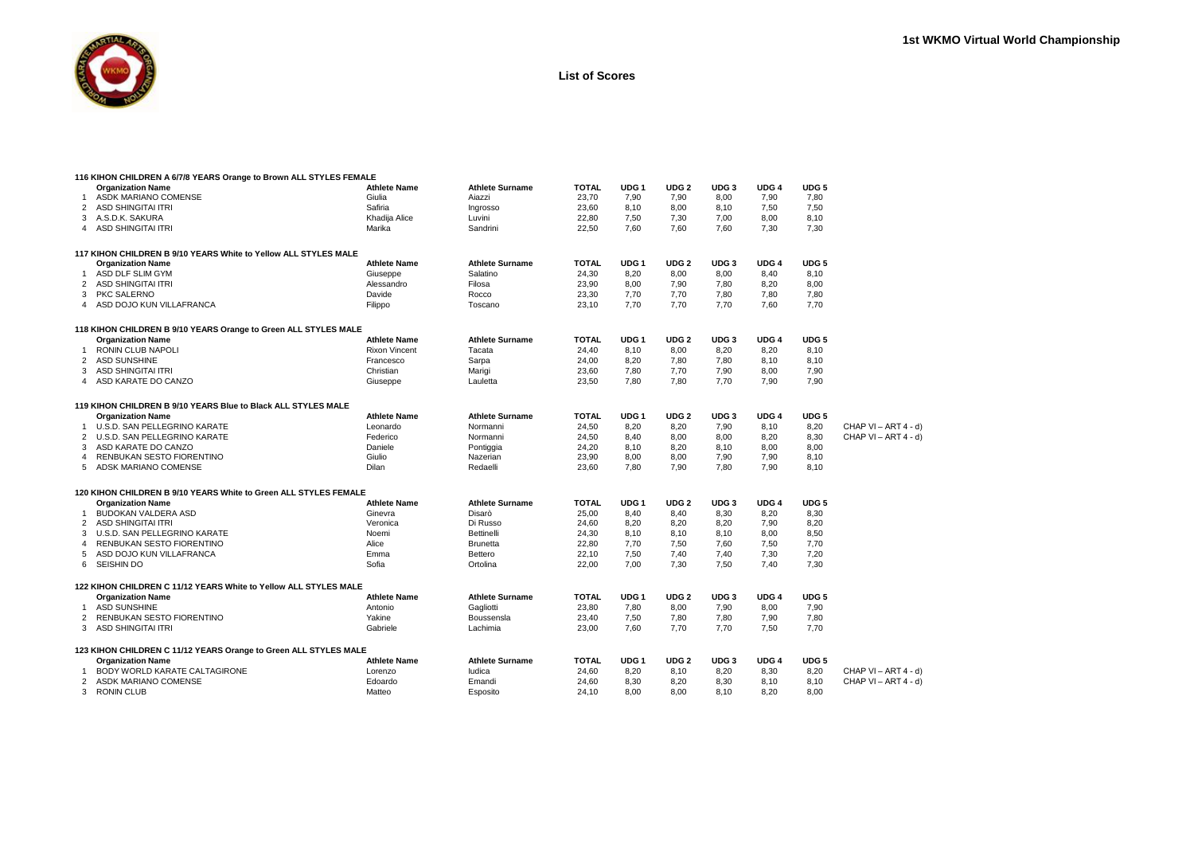

|                | 116 KIHON CHILDREN A 6/7/8 YEARS Orange to Brown ALL STYLES FEMALE |                      |                        |              |                  |                  |                  |                  |                  |                      |
|----------------|--------------------------------------------------------------------|----------------------|------------------------|--------------|------------------|------------------|------------------|------------------|------------------|----------------------|
|                | <b>Organization Name</b>                                           | <b>Athlete Name</b>  | <b>Athlete Surname</b> | <b>TOTAL</b> | UDG <sub>1</sub> | UDG <sub>2</sub> | UDG <sub>3</sub> | UDG <sub>4</sub> | UDG <sub>5</sub> |                      |
| 1              | ASDK MARIANO COMENSE                                               | Giulia               | Aiazzi                 | 23,70        | 7,90             | 7,90             | 8,00             | 7,90             | 7,80             |                      |
|                | 2 ASD SHINGITAI ITRI                                               | Safiria              | Ingrosso               | 23,60        | 8,10             | 8,00             | 8,10             | 7,50             | 7,50             |                      |
|                | 3 A.S.D.K. SAKURA                                                  | Khadija Alice        | Luvini                 | 22,80        | 7,50             | 7,30             | 7,00             | 8,00             | 8,10             |                      |
|                | 4 ASD SHINGITAI ITRI                                               | Marika               | Sandrini               | 22,50        | 7.60             | 7.60             | 7.60             | 7.30             | 7,30             |                      |
|                | 117 KIHON CHILDREN B 9/10 YEARS White to Yellow ALL STYLES MALE    |                      |                        |              |                  |                  |                  |                  |                  |                      |
|                | <b>Organization Name</b>                                           | <b>Athlete Name</b>  | <b>Athlete Surname</b> | TOTAL        | UDG <sub>1</sub> | UDG <sub>2</sub> | UDG <sub>3</sub> | UDG <sub>4</sub> | UDG <sub>5</sub> |                      |
| 1              | ASD DLF SLIM GYM                                                   | Giuseppe             | Salatino               | 24,30        | 8,20             | 8,00             | 8,00             | 8,40             | 8,10             |                      |
|                | 2 ASD SHINGITAI ITRI                                               | Alessandro           | Filosa                 | 23,90        | 8,00             | 7,90             | 7,80             | 8,20             | 8,00             |                      |
| 3              | PKC SALERNO                                                        | Davide               | Rocco                  | 23,30        | 7,70             | 7,70             | 7,80             | 7,80             | 7,80             |                      |
|                | 4 ASD DOJO KUN VILLAFRANCA                                         | Filippo              | Toscano                | 23,10        | 7.70             | 7.70             | 7.70             | 7.60             | 7.70             |                      |
|                | 118 KIHON CHILDREN B 9/10 YEARS Orange to Green ALL STYLES MALE    |                      |                        |              |                  |                  |                  |                  |                  |                      |
|                | <b>Organization Name</b>                                           | <b>Athlete Name</b>  | <b>Athlete Surname</b> | TOTAL        | UDG <sub>1</sub> | UDG <sub>2</sub> | UDG <sub>3</sub> | UDG <sub>4</sub> | UDG <sub>5</sub> |                      |
| $\overline{1}$ | RONIN CLUB NAPOLI                                                  | <b>Rixon Vincent</b> | Tacata                 | 24,40        | 8,10             | 8,00             | 8,20             | 8,20             | 8,10             |                      |
|                | 2 ASD SUNSHINE                                                     | Francesco            | Sarpa                  | 24,00        | 8,20             | 7,80             | 7,80             | 8,10             | 8,10             |                      |
| 3              | ASD SHINGITAI ITRI                                                 | Christian            | Marigi                 | 23,60        | 7,80             | 7,70             | 7,90             | 8,00             | 7,90             |                      |
| $\overline{4}$ | ASD KARATE DO CANZO                                                | Giuseppe             | Lauletta               | 23,50        | 7.80             | 7.80             | 7.70             | 7.90             | 7.90             |                      |
|                | 119 KIHON CHILDREN B 9/10 YEARS Blue to Black ALL STYLES MALE      |                      |                        |              |                  |                  |                  |                  |                  |                      |
|                | <b>Organization Name</b>                                           | <b>Athlete Name</b>  | <b>Athlete Surname</b> | <b>TOTAL</b> | UDG <sub>1</sub> | UDG <sub>2</sub> | UDG <sub>3</sub> | UDG <sub>4</sub> | UDG <sub>5</sub> |                      |
| $\overline{1}$ | U.S.D. SAN PELLEGRINO KARATE                                       | Leonardo             | Normanni               | 24,50        | 8,20             | 8,20             | 7,90             | 8,10             | 8,20             | CHAP VI - ART 4 - d) |
|                | 2 U.S.D. SAN PELLEGRINO KARATE                                     | Federico             | Normanni               | 24,50        | 8,40             | 8,00             | 8,00             | 8,20             | 8,30             | CHAP VI - ART 4 - d) |
| 3              | ASD KARATE DO CANZO                                                | Daniele              | Pontiggia              | 24,20        | 8,10             | 8,20             | 8,10             | 8,00             | 8,00             |                      |
| $\overline{4}$ | RENBUKAN SESTO FIORENTINO                                          | Giulio               | Nazerian               | 23,90        | 8,00             | 8,00             | 7.90             | 7,90             | 8,10             |                      |
| 5              | ADSK MARIANO COMENSE                                               | Dilan                | Redaelli               | 23,60        | 7,80             | 7,90             | 7,80             | 7,90             | 8,10             |                      |
|                | 120 KIHON CHILDREN B 9/10 YEARS White to Green ALL STYLES FEMALE   |                      |                        |              |                  |                  |                  |                  |                  |                      |
|                | <b>Organization Name</b>                                           | <b>Athlete Name</b>  | <b>Athlete Surname</b> | <b>TOTAL</b> | UDG <sub>1</sub> | UDG <sub>2</sub> | UDG <sub>3</sub> | UDG <sub>4</sub> | UDG <sub>5</sub> |                      |
| $\mathbf{1}$   | <b>BUDOKAN VALDERA ASD</b>                                         | Ginevra              | Disarò                 | 25,00        | 8,40             | 8,40             | 8,30             | 8,20             | 8,30             |                      |
| $\overline{2}$ | ASD SHINGITAI ITRI                                                 | Veronica             | Di Russo               | 24,60        | 8,20             | 8,20             | 8,20             | 7,90             | 8,20             |                      |
| 3              | U.S.D. SAN PELLEGRINO KARATE                                       | Noemi                | Bettinelli             | 24,30        | 8.10             | 8.10             | 8.10             | 8.00             | 8.50             |                      |
| $\overline{4}$ | RENBUKAN SESTO FIORENTINO                                          | Alice                | <b>Brunetta</b>        | 22,80        | 7,70             | 7,50             | 7,60             | 7,50             | 7,70             |                      |
| 5              | ASD DOJO KUN VILLAFRANCA                                           | Emma                 | Bettero                | 22,10        | 7,50             | 7,40             | 7,40             | 7,30             | 7,20             |                      |
| 6              | <b>SEISHIN DO</b>                                                  | Sofia                | Ortolina               | 22,00        | 7,00             | 7,30             | 7,50             | 7,40             | 7,30             |                      |
|                | 122 KIHON CHILDREN C 11/12 YEARS White to Yellow ALL STYLES MALE   |                      |                        |              |                  |                  |                  |                  |                  |                      |
|                | <b>Organization Name</b>                                           | <b>Athlete Name</b>  | <b>Athlete Surname</b> | <b>TOTAL</b> | UDG <sub>1</sub> | UDG <sub>2</sub> | UDG <sub>3</sub> | UDG <sub>4</sub> | UDG <sub>5</sub> |                      |
| -1             | <b>ASD SUNSHINE</b>                                                | Antonio              | Gagliotti              | 23,80        | 7,80             | 8,00             | 7,90             | 8,00             | 7,90             |                      |
| 2              | RENBUKAN SESTO FIORENTINO                                          | Yakine               | Boussensla             | 23,40        | 7,50             | 7,80             | 7,80             | 7,90             | 7,80             |                      |
|                | 3 ASD SHINGITAI ITRI                                               | Gabriele             | Lachimia               | 23,00        | 7,60             | 7,70             | 7,70             | 7,50             | 7,70             |                      |
|                | 123 KIHON CHILDREN C 11/12 YEARS Orange to Green ALL STYLES MALE   |                      |                        |              |                  |                  |                  |                  |                  |                      |
|                | <b>Organization Name</b>                                           | <b>Athlete Name</b>  | <b>Athlete Surname</b> | TOTAL        | UDG <sub>1</sub> | UDG <sub>2</sub> | UDG <sub>3</sub> | UDG <sub>4</sub> | UDG 5            |                      |
| $\mathbf{1}$   | BODY WORLD KARATE CALTAGIRONE                                      | Lorenzo              | ludica                 | 24,60        | 8,20             | 8,10             | 8,20             | 8,30             | 8,20             | CHAP VI - ART 4 - d) |
| 2              | ASDK MARIANO COMENSE                                               | Edoardo              | Emandi                 | 24,60        | 8,30             | 8,20             | 8,30             | 8.10             | 8,10             | CHAP VI - ART 4 - d) |
| 3              | <b>RONIN CLUB</b>                                                  | Matteo               | Esposito               | 24.10        | 8.00             | 8.00             | 8.10             | 8.20             | 8.00             |                      |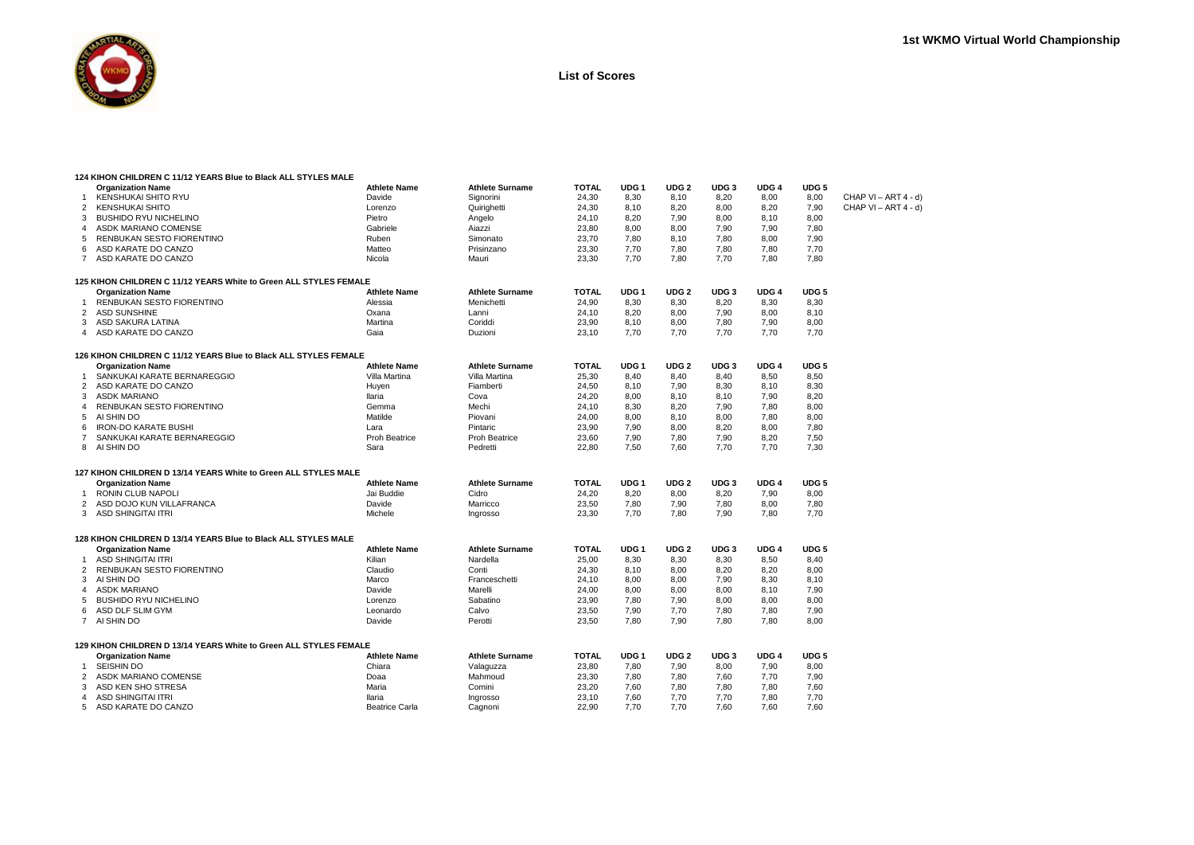

|                | 124 KIHON CHILDREN C 11/12 YEARS Blue to Black ALL STYLES MALE    |                       |                        |              |                  |                  |                  |                  |                  |                      |
|----------------|-------------------------------------------------------------------|-----------------------|------------------------|--------------|------------------|------------------|------------------|------------------|------------------|----------------------|
|                | <b>Organization Name</b>                                          | <b>Athlete Name</b>   | <b>Athlete Surname</b> | TOTAL        | UDG <sub>1</sub> | UDG <sub>2</sub> | UDG <sub>3</sub> | UDG <sub>4</sub> | UDG 5            |                      |
| $\mathbf{1}$   | <b>KENSHUKAI SHITO RYU</b>                                        | Davide                | Sianorini              | 24,30        | 8,30             | 8,10             | 8,20             | 8,00             | 8,00             | CHAP VI - ART 4 - d) |
| $\overline{2}$ | <b>KENSHUKAI SHITO</b>                                            | Lorenzo               | Quirighetti            | 24,30        | 8,10             | 8,20             | 8,00             | 8,20             | 7,90             | CHAP VI - ART 4 - d) |
| 3              | BUSHIDO RYU NICHELINO                                             | Pietro                | Angelo                 | 24,10        | 8,20             | 7,90             | 8,00             | 8,10             | 8,00             |                      |
| 4              | ASDK MARIANO COMENSE                                              | Gabriele              | Aiazzi                 | 23,80        | 8,00             | 8,00             | 7,90             | 7,90             | 7,80             |                      |
| 5              | RENBUKAN SESTO FIORENTINO                                         | Ruben                 | Simonato               | 23,70        | 7,80             | 8,10             | 7.80             | 8,00             | 7,90             |                      |
| 6              | ASD KARATE DO CANZO                                               | Matteo                | Prisinzano             | 23,30        | 7,70             | 7,80             | 7,80             | 7,80             | 7,70             |                      |
|                | 7 ASD KARATE DO CANZO                                             | Nicola                | Mauri                  | 23,30        | 7.70             | 7,80             | 7,70             | 7,80             | 7,80             |                      |
|                | 125 KIHON CHILDREN C 11/12 YEARS White to Green ALL STYLES FEMALE |                       |                        |              |                  |                  |                  |                  |                  |                      |
|                | <b>Organization Name</b>                                          | <b>Athlete Name</b>   | <b>Athlete Surname</b> | TOTAL        | UDG <sub>1</sub> | UDG <sub>2</sub> | UDG <sub>3</sub> | UDG 4            | UDG 5            |                      |
| -1             | RENBUKAN SESTO FIORENTINO                                         | Alessia               | Menichetti             | 24,90        | 8,30             | 8,30             | 8,20             | 8,30             | 8,30             |                      |
| 2              | <b>ASD SUNSHINE</b>                                               | Oxana                 | Lanni                  | 24,10        | 8,20             | 8,00             | 7,90             | 8,00             | 8,10             |                      |
| 3              | ASD SAKURA LATINA                                                 | Martina               | Coriddi                | 23,90        | 8,10             | 8,00             | 7,80             | 7,90             | 8,00             |                      |
| $\overline{4}$ | ASD KARATE DO CANZO                                               | Gaia                  | Duzioni                | 23,10        | 7,70             | 7,70             | 7,70             | 7,70             | 7,70             |                      |
|                | 126 KIHON CHILDREN C 11/12 YEARS Blue to Black ALL STYLES FEMALE  |                       |                        |              |                  |                  |                  |                  |                  |                      |
|                | <b>Organization Name</b>                                          | <b>Athlete Name</b>   | <b>Athlete Surname</b> | <b>TOTAL</b> | UDG <sub>1</sub> | UDG <sub>2</sub> | UDG <sub>3</sub> | UDG 4            | UDG <sub>5</sub> |                      |
| -1             | SANKUKAI KARATE BERNAREGGIO                                       | Villa Martina         | Villa Martina          | 25,30        | 8,40             | 8,40             | 8,40             | 8,50             | 8,50             |                      |
| $\overline{2}$ | ASD KARATE DO CANZO                                               | Huyen                 | Fiamberti              | 24,50        | 8,10             | 7,90             | 8,30             | 8,10             | 8,30             |                      |
| 3              | <b>ASDK MARIANO</b>                                               | Ilaria                | Cova                   | 24,20        | 8,00             | 8,10             | 8,10             | 7,90             | 8,20             |                      |
| $\overline{a}$ | RENBUKAN SESTO FIORENTINO                                         | Gemma                 | Mechi                  | 24,10        | 8,30             | 8,20             | 7,90             | 7,80             | 8,00             |                      |
| 5              | AI SHIN DO                                                        | Matilde               | Piovani                | 24,00        | 8.00             | 8.10             | 8.00             | 7.80             | 8.00             |                      |
| 6              | <b>IRON-DO KARATE BUSHI</b>                                       | Lara                  | Pintaric               | 23,90        | 7,90             | 8,00             | 8,20             | 8,00             | 7,80             |                      |
| 7              | SANKUKAI KARATE BERNAREGGIO                                       | <b>Proh Beatrice</b>  | <b>Proh Beatrice</b>   | 23,60        | 7.90             | 7.80             | 7.90             | 8.20             | 7.50             |                      |
| 8              | AI SHIN DO                                                        | Sara                  | Pedretti               | 22,80        | 7,50             | 7,60             | 7,70             | 7,70             | 7,30             |                      |
|                | 127 KIHON CHILDREN D 13/14 YEARS White to Green ALL STYLES MALE   |                       |                        |              |                  |                  |                  |                  |                  |                      |
|                | <b>Organization Name</b>                                          | <b>Athlete Name</b>   | <b>Athlete Surname</b> | <b>TOTAL</b> | UDG <sub>1</sub> | UDG <sub>2</sub> | UDG <sub>3</sub> | UDG 4            | UDG 5            |                      |
|                | RONIN CLUB NAPOLI                                                 | Jai Buddie            | Cidro                  | 24,20        | 8,20             | 8,00             | 8,20             | 7,90             | 8,00             |                      |
| 2              | ASD DOJO KUN VILLAFRANCA                                          | Davide                | Marricco               | 23,50        | 7,80             | 7,90             | 7.80             | 8,00             | 7,80             |                      |
|                | 3 ASD SHINGITAI ITRI                                              | Michele               | Ingrosso               | 23,30        | 7,70             | 7,80             | 7,90             | 7,80             | 7,70             |                      |
|                | 128 KIHON CHILDREN D 13/14 YEARS Blue to Black ALL STYLES MALE    |                       |                        |              |                  |                  |                  |                  |                  |                      |
|                | <b>Organization Name</b>                                          | <b>Athlete Name</b>   | <b>Athlete Surname</b> | <b>TOTAL</b> | UDG <sub>1</sub> | UDG <sub>2</sub> | UDG <sub>3</sub> | UDG <sub>4</sub> | UDG <sub>5</sub> |                      |
| 1              | ASD SHINGITAI ITRI                                                | Kilian                | Nardella               | 25,00        | 8,30             | 8,30             | 8,30             | 8,50             | 8,40             |                      |
| $\overline{2}$ | RENBUKAN SESTO FIORENTINO                                         | Claudio               | Conti                  | 24,30        | 8,10             | 8,00             | 8,20             | 8,20             | 8,00             |                      |
| 3              | AI SHIN DO                                                        | Marco                 | Franceschetti          | 24,10        | 8,00             | 8,00             | 7,90             | 8,30             | 8,10             |                      |
| 4              | <b>ASDK MARIANO</b>                                               | Davide                | Marelli                | 24,00        | 8,00             | 8,00             | 8,00             | 8,10             | 7,90             |                      |
| 5              | <b>BUSHIDO RYU NICHELINO</b>                                      | Lorenzo               | Sabatino               | 23,90        | 7,80             | 7,90             | 8,00             | 8,00             | 8,00             |                      |
| 6              | ASD DLF SLIM GYM                                                  | Leonardo              | Calvo                  | 23,50        | 7,90             | 7,70             | 7,80             | 7,80             | 7,90             |                      |
|                | 7 AI SHIN DO                                                      | Davide                | Perotti                | 23,50        | 7.80             | 7.90             | 7.80             | 7.80             | 8.00             |                      |
|                | 129 KIHON CHILDREN D 13/14 YEARS White to Green ALL STYLES FEMALE |                       |                        |              |                  |                  |                  |                  |                  |                      |
|                | <b>Organization Name</b>                                          | <b>Athlete Name</b>   | <b>Athlete Surname</b> | <b>TOTAL</b> | UDG <sub>1</sub> | UDG <sub>2</sub> | UDG <sub>3</sub> | UDG <sub>4</sub> | UDG <sub>5</sub> |                      |
| 1              | <b>SEISHIN DO</b>                                                 | Chiara                | Valaguzza              | 23,80        | 7,80             | 7,90             | 8,00             | 7,90             | 8,00             |                      |
| 2              | ASDK MARIANO COMENSE                                              | Doaa                  | Mahmoud                | 23,30        | 7,80             | 7,80             | 7,60             | 7,70             | 7,90             |                      |
| 3              | ASD KEN SHO STRESA                                                | Maria                 | Comini                 | 23,20        | 7,60             | 7.80             | 7,80             | 7,80             | 7,60             |                      |
| 4              | ASD SHINGITAI ITRI                                                | Ilaria                | Ingrosso               | 23,10        | 7,60             | 7,70             | 7,70             | 7,80             | 7,70             |                      |
|                | 5 ASD KARATE DO CANZO                                             | <b>Beatrice Carla</b> | Cagnoni                | 22.90        | 7.70             | 7.70             | 7.60             | 7.60             | 7.60             |                      |
|                |                                                                   |                       |                        |              |                  |                  |                  |                  |                  |                      |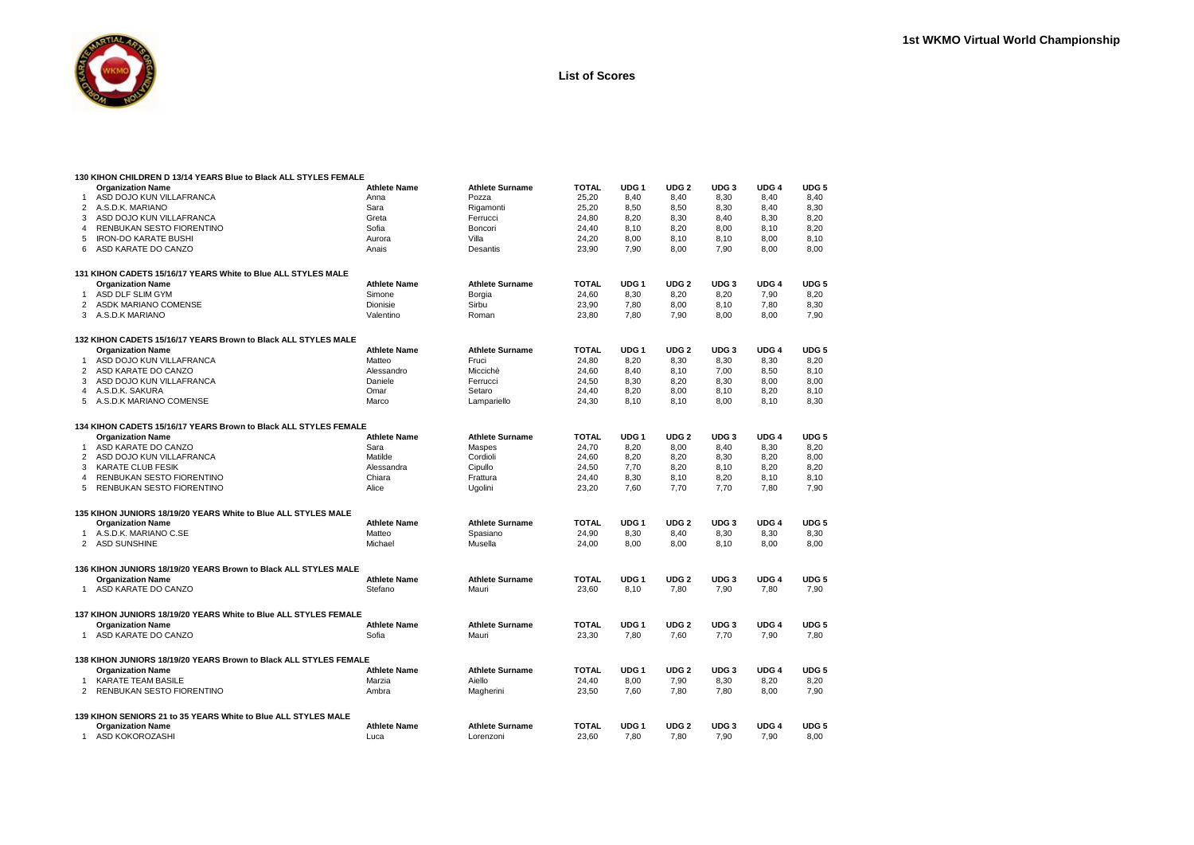

|                | 130 KIHON CHILDREN D 13/14 YEARS Blue to Black ALL STYLES FEMALE  |                     |                        |              |                  |                  |                  |                  |                  |
|----------------|-------------------------------------------------------------------|---------------------|------------------------|--------------|------------------|------------------|------------------|------------------|------------------|
|                | <b>Organization Name</b>                                          | <b>Athlete Name</b> | <b>Athlete Surname</b> | <b>TOTAL</b> | UDG <sub>1</sub> | UDG <sub>2</sub> | UDG <sub>3</sub> | UDG <sub>4</sub> | UDG <sub>5</sub> |
| -1             | ASD DOJO KUN VILLAFRANCA                                          | Anna                | Pozza                  | 25,20        | 8,40             | 8,40             | 8,30             | 8,40             | 8,40             |
| 2              | A.S.D.K. MARIANO                                                  | Sara                | Rigamonti              | 25,20        | 8,50             | 8,50             | 8,30             | 8,40             | 8,30             |
| 3              | ASD DOJO KUN VILLAFRANCA                                          | Greta               | Ferrucci               | 24,80        | 8,20             | 8,30             | 8.40             | 8.30             | 8,20             |
| 4              | <b>RENBUKAN SESTO FIORENTINO</b>                                  | Sofia               | Boncori                | 24.40        | 8.10             | 8,20             | 8.00             | 8.10             | 8,20             |
| 5              | <b>IRON-DO KARATE BUSHI</b>                                       | Aurora              | Villa                  | 24,20        | 8,00             | 8,10             | 8,10             | 8,00             | 8,10             |
| 6              | ASD KARATE DO CANZO                                               | Anais               | Desantis               | 23,90        | 7,90             | 8,00             | 7,90             | 8.00             | 8.00             |
|                | 131 KIHON CADETS 15/16/17 YEARS White to Blue ALL STYLES MALE     |                     |                        |              |                  |                  |                  |                  |                  |
|                | <b>Organization Name</b>                                          | <b>Athlete Name</b> | <b>Athlete Surname</b> | TOTAL        | UDG <sub>1</sub> | UDG <sub>2</sub> | UDG 3            | UDG <sub>4</sub> | UDG <sub>5</sub> |
| $\mathbf{1}$   | ASD DLF SLIM GYM                                                  | Simone              | Borgia                 | 24,60        | 8,30             | 8,20             | 8,20             | 7,90             | 8,20             |
| 2              | ASDK MARIANO COMENSE                                              | Dionisie            | Sirbu                  | 23,90        | 7,80             | 8,00             | 8,10             | 7,80             | 8,30             |
|                | 3 A.S.D.K MARIANO                                                 | Valentino           | Roman                  | 23,80        | 7,80             | 7,90             | 8,00             | 8,00             | 7,90             |
|                | 132 KIHON CADETS 15/16/17 YEARS Brown to Black ALL STYLES MALE    |                     |                        |              |                  |                  |                  |                  |                  |
|                | <b>Organization Name</b>                                          | <b>Athlete Name</b> | <b>Athlete Surname</b> | TOTAL        | UDG <sub>1</sub> | UDG <sub>2</sub> | UDG 3            | UDG <sub>4</sub> | UDG 5            |
| -1             | ASD DOJO KUN VILLAFRANCA                                          | Matteo              | Fruci                  | 24,80        | 8,20             | 8,30             | 8,30             | 8,30             | 8,20             |
| $\overline{2}$ | ASD KARATE DO CANZO                                               | Alessandro          | Miccichè               | 24.60        | 8.40             | 8.10             | 7,00             | 8,50             | 8,10             |
| 3              | ASD DOJO KUN VILLAFRANCA                                          | Daniele             | Ferrucci               | 24,50        | 8,30             | 8,20             | 8,30             | 8,00             | 8,00             |
| 4              | A.S.D.K. SAKURA                                                   | Omar                | Setaro                 | 24,40        | 8,20             | 8,00             | 8,10             | 8,20             | 8,10             |
| 5              | A.S.D.K MARIANO COMENSE                                           | Marco               | Lampariello            | 24,30        | 8.10             | 8.10             | 8,00             | 8.10             | 8,30             |
|                |                                                                   |                     |                        |              |                  |                  |                  |                  |                  |
|                | 134 KIHON CADETS 15/16/17 YEARS Brown to Black ALL STYLES FEMALE  |                     |                        |              |                  |                  |                  |                  |                  |
|                | <b>Organization Name</b>                                          | <b>Athlete Name</b> | <b>Athlete Surname</b> | <b>TOTAL</b> | UDG <sub>1</sub> | UDG <sub>2</sub> | UDG <sub>3</sub> | UDG <sub>4</sub> | UDG <sub>5</sub> |
| -1             | ASD KARATE DO CANZO                                               | Sara                | Maspes                 | 24,70        | 8,20             | 8,00             | 8,40             | 8,30             | 8,20             |
| 2              | ASD DOJO KUN VILLAFRANCA                                          | Matilde             | Cordioli               | 24.60        | 8,20             | 8,20             | 8,30             | 8.20             | 8,00             |
| 3              | KARATE CLUB FESIK                                                 | Alessandra          | Cipullo                | 24,50        | 7,70             | 8,20             | 8.10             | 8.20             | 8,20             |
| $\overline{4}$ | RENBUKAN SESTO FIORENTINO                                         | Chiara              | Frattura               | 24,40        | 8,30             | 8,10             | 8,20             | 8,10             | 8,10             |
| 5              | <b>RENBUKAN SESTO FIORENTINO</b>                                  | Alice               | Ugolini                | 23,20        | 7.60             | 7.70             | 7.70             | 7.80             | 7.90             |
|                | 135 KIHON JUNIORS 18/19/20 YEARS White to Blue ALL STYLES MALE    |                     |                        |              |                  |                  |                  |                  |                  |
|                | <b>Organization Name</b>                                          | <b>Athlete Name</b> | <b>Athlete Surname</b> | <b>TOTAL</b> | UDG <sub>1</sub> | UDG <sub>2</sub> | UDG <sub>3</sub> | UDG <sub>4</sub> | UDG 5            |
|                | 1 A.S.D.K. MARIANO C.SE                                           | Matteo              | Spasiano               | 24,90        | 8,30             | 8,40             | 8,30             | 8,30             | 8,30             |
| 2              | ASD SUNSHINE                                                      | Michael             | Musella                | 24,00        | 8,00             | 8.00             | 8,10             | 8.00             | 8.00             |
|                | 136 KIHON JUNIORS 18/19/20 YEARS Brown to Black ALL STYLES MALE   |                     |                        |              |                  |                  |                  |                  |                  |
|                | <b>Organization Name</b>                                          | <b>Athlete Name</b> | <b>Athlete Surname</b> | <b>TOTAL</b> | UDG <sub>1</sub> | UDG <sub>2</sub> | UDG <sub>3</sub> | UDG <sub>4</sub> | UDG <sub>5</sub> |
|                | 1 ASD KARATE DO CANZO                                             | Stefano             | Mauri                  | 23,60        | 8,10             | 7,80             | 7,90             | 7,80             | 7,90             |
|                | 137 KIHON JUNIORS 18/19/20 YEARS White to Blue ALL STYLES FEMALE  |                     |                        |              |                  |                  |                  |                  |                  |
|                | <b>Organization Name</b>                                          | <b>Athlete Name</b> | <b>Athlete Surname</b> | <b>TOTAL</b> | UDG <sub>1</sub> | UDG <sub>2</sub> | UDG <sub>3</sub> | UDG <sub>4</sub> | UDG <sub>5</sub> |
| $\mathbf{1}$   | ASD KARATE DO CANZO                                               | Sofia               | Mauri                  | 23,30        | 7,80             | 7,60             | 7,70             | 7,90             | 7.80             |
|                | 138 KIHON JUNIORS 18/19/20 YEARS Brown to Black ALL STYLES FEMALE |                     |                        |              |                  |                  |                  |                  |                  |
|                | <b>Organization Name</b>                                          | <b>Athlete Name</b> | <b>Athlete Surname</b> | TOTAL        | UDG <sub>1</sub> | UDG <sub>2</sub> | UDG <sub>3</sub> | UDG <sub>4</sub> | UDG <sub>5</sub> |
| $\mathbf{1}$   | KARATE TEAM BASILE                                                | Marzia              | Aiello                 | 24,40        | 8,00             | 7,90             | 8,30             | 8,20             | 8,20             |
| 2              | RENBUKAN SESTO FIORENTINO                                         | Ambra               | Magherini              | 23,50        | 7,60             | 7,80             | 7,80             | 8,00             | 7,90             |
|                | 139 KIHON SENIORS 21 to 35 YEARS White to Blue ALL STYLES MALE    |                     |                        |              |                  |                  |                  |                  |                  |
|                | <b>Organization Name</b>                                          | <b>Athlete Name</b> | <b>Athlete Surname</b> | <b>TOTAL</b> | UDG <sub>1</sub> | UDG <sub>2</sub> | UDG <sub>3</sub> | UDG <sub>4</sub> | UDG <sub>5</sub> |
| $\mathbf{1}$   | ASD KOKOROZASHI                                                   | Luca                | Lorenzoni              | 23.60        | 7.80             | 7.80             | 7.90             | 7.90             | 8.00             |
|                |                                                                   |                     |                        |              |                  |                  |                  |                  |                  |